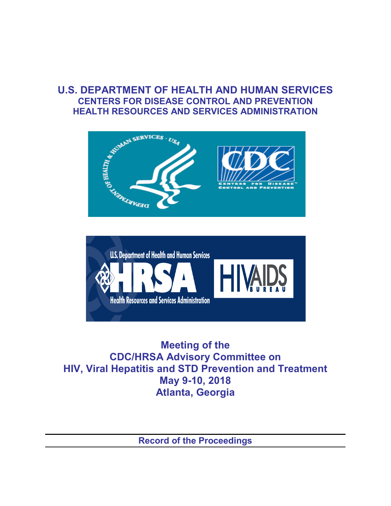## **U.S. DEPARTMENT OF HEALTH AND HUMAN SERVICES CENTERS FOR DISEASE CONTROL AND PREVENTION HEALTH RESOURCES AND SERVICES ADMINISTRATION**





**Meeting of the CDC/HRSA Advisory Committee on HIV, Viral Hepatitis and STD Prevention and Treatment May 9-10, 2018 Atlanta, Georgia**

**Record of the Proceedings**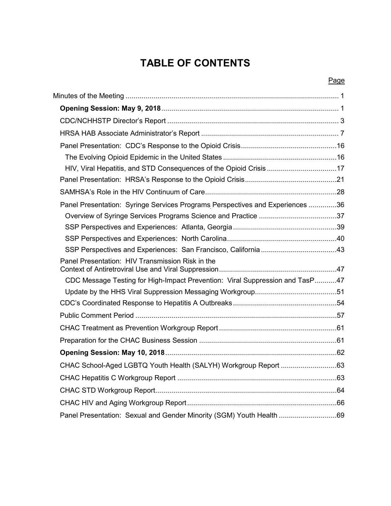# **TABLE OF CONTENTS**

## Page

| HIV, Viral Hepatitis, and STD Consequences of the Opioid Crisis 17            |  |
|-------------------------------------------------------------------------------|--|
|                                                                               |  |
|                                                                               |  |
| Panel Presentation: Syringe Services Programs Perspectives and Experiences 36 |  |
|                                                                               |  |
|                                                                               |  |
|                                                                               |  |
|                                                                               |  |
| Panel Presentation: HIV Transmission Risk in the                              |  |
| CDC Message Testing for High-Impact Prevention: Viral Suppression and TasP47  |  |
|                                                                               |  |
|                                                                               |  |
|                                                                               |  |
|                                                                               |  |
|                                                                               |  |
|                                                                               |  |
|                                                                               |  |
|                                                                               |  |
|                                                                               |  |
|                                                                               |  |
| Panel Presentation: Sexual and Gender Minority (SGM) Youth Health 69          |  |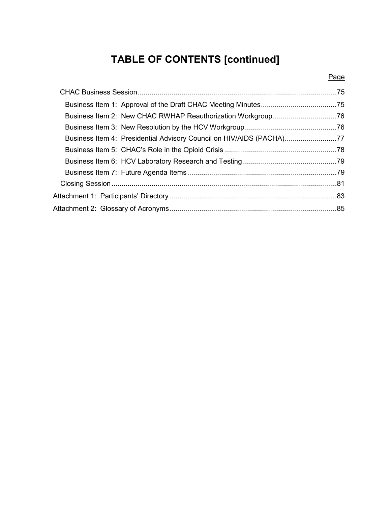# **TABLE OF CONTENTS [continued]**

Page

| Business Item 4: Presidential Advisory Council on HIV/AIDS (PACHA)77 |  |
|----------------------------------------------------------------------|--|
|                                                                      |  |
|                                                                      |  |
|                                                                      |  |
|                                                                      |  |
|                                                                      |  |
|                                                                      |  |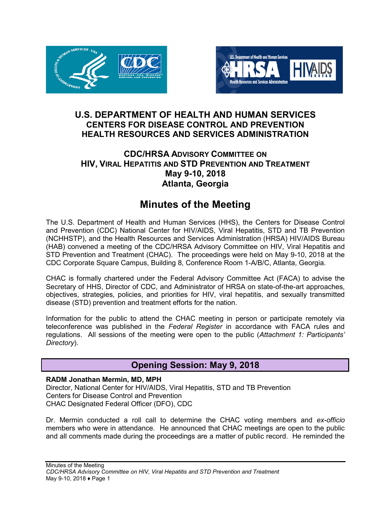



## **U.S. DEPARTMENT OF HEALTH AND HUMAN SERVICES CENTERS FOR DISEASE CONTROL AND PREVENTION HEALTH RESOURCES AND SERVICES ADMINISTRATION**

## **CDC/HRSA ADVISORY COMMITTEE ON HIV, VIRAL HEPATITIS AND STD PREVENTION AND TREATMENT May 9-10, 2018 Atlanta, Georgia**

## **Minutes of the Meeting**

<span id="page-3-0"></span>The U.S. Department of Health and Human Services (HHS), the Centers for Disease Control and Prevention (CDC) National Center for HIV/AIDS, Viral Hepatitis, STD and TB Prevention (NCHHSTP), and the Health Resources and Services Administration (HRSA) HIV/AIDS Bureau (HAB) convened a meeting of the CDC/HRSA Advisory Committee on HIV, Viral Hepatitis and STD Prevention and Treatment (CHAC). The proceedings were held on May 9-10, 2018 at the CDC Corporate Square Campus, Building 8, Conference Room 1-A/B/C, Atlanta, Georgia.

CHAC is formally chartered under the Federal Advisory Committee Act (FACA) to advise the Secretary of HHS, Director of CDC, and Administrator of HRSA on state-of-the-art approaches, objectives, strategies, policies, and priorities for HIV, viral hepatitis, and sexually transmitted disease (STD) prevention and treatment efforts for the nation.

Information for the public to attend the CHAC meeting in person or participate remotely via teleconference was published in the *Federal Register* in accordance with FACA rules and regulations. All sessions of the meeting were open to the public (*Attachment 1: Participants' Directory*).

## **Opening Session: May 9, 2018**

#### <span id="page-3-1"></span>**RADM Jonathan Mermin, MD, MPH**

Director, National Center for HIV/AIDS, Viral Hepatitis, STD and TB Prevention Centers for Disease Control and Prevention CHAC Designated Federal Officer (DFO), CDC

Dr. Mermin conducted a roll call to determine the CHAC voting members and *ex-officio* members who were in attendance. He announced that CHAC meetings are open to the public and all comments made during the proceedings are a matter of public record. He reminded the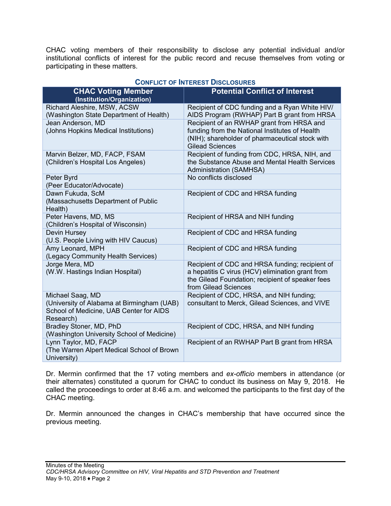CHAC voting members of their responsibility to disclose any potential individual and/or institutional conflicts of interest for the public record and recuse themselves from voting or participating in these matters.

| <b>CHAC Voting Member</b><br>(Institution/Organization)                                                                | <b>Potential Conflict of Interest</b>                                                                                                                                           |
|------------------------------------------------------------------------------------------------------------------------|---------------------------------------------------------------------------------------------------------------------------------------------------------------------------------|
| Richard Aleshire, MSW, ACSW<br>(Washington State Department of Health)                                                 | Recipient of CDC funding and a Ryan White HIV/<br>AIDS Program (RWHAP) Part B grant from HRSA                                                                                   |
| Jean Anderson, MD<br>(Johns Hopkins Medical Institutions)                                                              | Recipient of an RWHAP grant from HRSA and<br>funding from the National Institutes of Health<br>(NIH); shareholder of pharmaceutical stock with<br><b>Gilead Sciences</b>        |
| Marvin Belzer, MD, FACP, FSAM<br>(Children's Hospital Los Angeles)                                                     | Recipient of funding from CDC, HRSA, NIH, and<br>the Substance Abuse and Mental Health Services<br>Administration (SAMHSA)                                                      |
| Peter Byrd<br>(Peer Educator/Advocate)                                                                                 | No conflicts disclosed                                                                                                                                                          |
| Dawn Fukuda, ScM<br>(Massachusetts Department of Public<br>Health)                                                     | Recipient of CDC and HRSA funding                                                                                                                                               |
| Peter Havens, MD, MS<br>(Children's Hospital of Wisconsin)                                                             | Recipient of HRSA and NIH funding                                                                                                                                               |
| Devin Hursey<br>(U.S. People Living with HIV Caucus)                                                                   | Recipient of CDC and HRSA funding                                                                                                                                               |
| Amy Leonard, MPH<br>(Legacy Community Health Services)                                                                 | Recipient of CDC and HRSA funding                                                                                                                                               |
| Jorge Mera, MD<br>(W.W. Hastings Indian Hospital)                                                                      | Recipient of CDC and HRSA funding; recipient of<br>a hepatitis C virus (HCV) elimination grant from<br>the Gilead Foundation; recipient of speaker fees<br>from Gilead Sciences |
| Michael Saag, MD<br>(University of Alabama at Birmingham (UAB)<br>School of Medicine, UAB Center for AIDS<br>Research) | Recipient of CDC, HRSA, and NIH funding;<br>consultant to Merck, Gilead Sciences, and VIVE                                                                                      |
| Bradley Stoner, MD, PhD<br>(Washington University School of Medicine)                                                  | Recipient of CDC, HRSA, and NIH funding                                                                                                                                         |
| Lynn Taylor, MD, FACP<br>(The Warren Alpert Medical School of Brown<br>University)                                     | Recipient of an RWHAP Part B grant from HRSA                                                                                                                                    |

#### **CONFLICT OF INTEREST DISCLOSURES**

Dr. Mermin confirmed that the 17 voting members and *ex-officio* members in attendance (or their alternates) constituted a quorum for CHAC to conduct its business on May 9, 2018. He called the proceedings to order at 8:46 a.m. and welcomed the participants to the first day of the CHAC meeting.

Dr. Mermin announced the changes in CHAC's membership that have occurred since the previous meeting.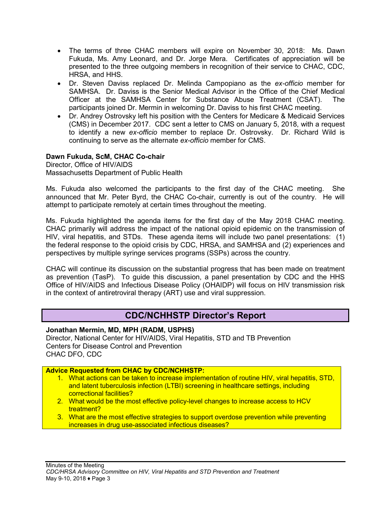- The terms of three CHAC members will expire on November 30, 2018: Ms. Dawn Fukuda, Ms. Amy Leonard, and Dr. Jorge Mera. Certificates of appreciation will be presented to the three outgoing members in recognition of their service to CHAC, CDC, HRSA, and HHS.
- Dr. Steven Daviss replaced Dr. Melinda Campopiano as the *ex-officio* member for SAMHSA. Dr. Daviss is the Senior Medical Advisor in the Office of the Chief Medical Officer at the SAMHSA Center for Substance Abuse Treatment (CSAT). The participants joined Dr. Mermin in welcoming Dr. Daviss to his first CHAC meeting.
- Dr. Andrey Ostrovsky left his position with the Centers for Medicare & Medicaid Services (CMS) in December 2017. CDC sent a letter to CMS on January 5, 2018, with a request to identify a new *ex-officio* member to replace Dr. Ostrovsky. Dr. Richard Wild is continuing to serve as the alternate *ex-officio* member for CMS.

#### **Dawn Fukuda, ScM, CHAC Co-chair**

Director, Office of HIV/AIDS Massachusetts Department of Public Health

Ms. Fukuda also welcomed the participants to the first day of the CHAC meeting. She announced that Mr. Peter Byrd, the CHAC Co-chair, currently is out of the country. He will attempt to participate remotely at certain times throughout the meeting.

Ms. Fukuda highlighted the agenda items for the first day of the May 2018 CHAC meeting. CHAC primarily will address the impact of the national opioid epidemic on the transmission of HIV, viral hepatitis, and STDs. These agenda items will include two panel presentations: (1) the federal response to the opioid crisis by CDC, HRSA, and SAMHSA and (2) experiences and perspectives by multiple syringe services programs (SSPs) across the country.

CHAC will continue its discussion on the substantial progress that has been made on treatment as prevention (TasP). To guide this discussion, a panel presentation by CDC and the HHS Office of HIV/AIDS and Infectious Disease Policy (OHAIDP) will focus on HIV transmission risk in the context of antiretroviral therapy (ART) use and viral suppression.

## **CDC/NCHHSTP Director's Report**

<span id="page-5-0"></span>**Jonathan Mermin, MD, MPH (RADM, USPHS)**

Director, National Center for HIV/AIDS, Viral Hepatitis, STD and TB Prevention Centers for Disease Control and Prevention CHAC DFO, CDC

#### **Advice Requested from CHAC by CDC/NCHHSTP:**

- 1. What actions can be taken to increase implementation of routine HIV, viral hepatitis, STD, and latent tuberculosis infection (LTBI) screening in healthcare settings, including correctional facilities?
- 2. What would be the most effective policy-level changes to increase access to HCV treatment?
- 3. What are the most effective strategies to support overdose prevention while preventing increases in drug use-associated infectious diseases?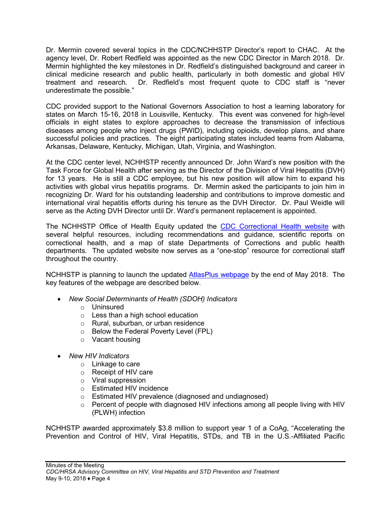Dr. Mermin covered several topics in the CDC/NCHHSTP Director's report to CHAC. At the agency level, Dr. Robert Redfield was appointed as the new CDC Director in March 2018. Dr. Mermin highlighted the key milestones in Dr. Redfield's distinguished background and career in clinical medicine research and public health, particularly in both domestic and global HIV treatment and research. Dr. Redfield's most frequent quote to CDC staff is "never underestimate the possible."

CDC provided support to the National Governors Association to host a learning laboratory for states on March 15-16, 2018 in Louisville, Kentucky. This event was convened for high-level officials in eight states to explore approaches to decrease the transmission of infectious diseases among people who inject drugs (PWID), including opioids, develop plans, and share successful policies and practices. The eight participating states included teams from Alabama, Arkansas, Delaware, Kentucky, Michigan, Utah, Virginia, and Washington.

At the CDC center level, NCHHSTP recently announced Dr. John Ward's new position with the Task Force for Global Health after serving as the Director of the Division of Viral Hepatitis (DVH) for 13 years. He is still a CDC employee, but his new position will allow him to expand his activities with global virus hepatitis programs. Dr. Mermin asked the participants to join him in recognizing Dr. Ward for his outstanding leadership and contributions to improve domestic and international viral hepatitis efforts during his tenure as the DVH Director. Dr. Paul Weidle will serve as the Acting DVH Director until Dr. Ward's permanent replacement is appointed.

The NCHHSTP Office of Health Equity updated the CDC [Correctional Health website](https://www.cdc.gov/correctionalhealth/default.htm) with several helpful resources, including recommendations and guidance, scientific reports on correctional health, and a map of state Departments of Corrections and public health departments. The updated website now serves as a "one-stop" resource for correctional staff throughout the country.

NCHHSTP is planning to launch the updated [AtlasPlus webpage](https://www.cdc.gov/nchhstp/atlas/index.htm) by the end of May 2018. The key features of the webpage are described below.

- *New Social Determinants of Health (SDOH) Indicators*
	- o Uninsured
	- o Less than a high school education
	- o Rural, suburban, or urban residence
	- o Below the Federal Poverty Level (FPL)
	- o Vacant housing
- *New HIV Indicators*
	- o Linkage to care
	- o Receipt of HIV care
	- o Viral suppression
	- o Estimated HIV incidence
	- o Estimated HIV prevalence (diagnosed and undiagnosed)
	- o Percent of people with diagnosed HIV infections among all people living with HIV (PLWH) infection

NCHHSTP awarded approximately \$3.8 million to support year 1 of a CoAg, "Accelerating the Prevention and Control of HIV, Viral Hepatitis, STDs, and TB in the U.S.-Affiliated Pacific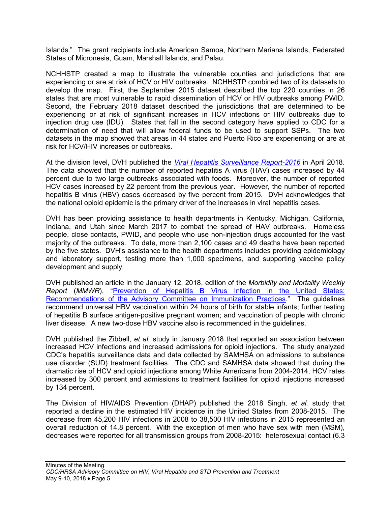Islands." The grant recipients include American Samoa, Northern Mariana Islands, Federated States of Micronesia, Guam, Marshall Islands, and Palau.

NCHHSTP created a map to illustrate the vulnerable counties and jurisdictions that are experiencing or are at risk of HCV or HIV outbreaks. NCHHSTP combined two of its datasets to develop the map. First, the September 2015 dataset described the top 220 counties in 26 states that are most vulnerable to rapid dissemination of HCV or HIV outbreaks among PWID. Second, the February 2018 dataset described the jurisdictions that are determined to be experiencing or at risk of significant increases in HCV infections or HIV outbreaks due to injection drug use (IDU). States that fall in the second category have applied to CDC for a determination of need that will allow federal funds to be used to support SSPs. The two datasets in the map showed that areas in 44 states and Puerto Rico are experiencing or are at risk for HCV/HIV increases or outbreaks.

At the division level, DVH published the *[Viral Hepatitis Surveillance Report-2016](https://www.cdc.gov/hepatitis/statistics/2016surveillance/index.htm)* in April 2018. The data showed that the number of reported hepatitis A virus (HAV) cases increased by 44 percent due to two large outbreaks associated with foods. Moreover, the number of reported HCV cases increased by 22 percent from the previous year. However, the number of reported hepatitis B virus (HBV) cases decreased by five percent from 2015. DVH acknowledges that the national opioid epidemic is the primary driver of the increases in viral hepatitis cases.

DVH has been providing assistance to health departments in Kentucky, Michigan, California, Indiana, and Utah since March 2017 to combat the spread of HAV outbreaks. Homeless people, close contacts, PWID, and people who use non-injection drugs accounted for the vast majority of the outbreaks. To date, more than 2,100 cases and 49 deaths have been reported by the five states. DVH's assistance to the health departments includes providing epidemiology and laboratory support, testing more than 1,000 specimens, and supporting vaccine policy development and supply.

DVH published an article in the January 12, 2018, edition of the *Morbidity and Mortality Weekly Report* (*MMWR*), ["Prevention of Hepatitis B Virus Infection in the United States:](https://www.cdc.gov/mmwr/volumes/67/rr/rr6701a1.htm)  [Recommendations of the Advisory Committee on Immunization Practices.](https://www.cdc.gov/mmwr/volumes/67/rr/rr6701a1.htm)" The guidelines recommend universal HBV vaccination within 24 hours of birth for stable infants; further testing of hepatitis B surface antigen-positive pregnant women; and vaccination of people with chronic liver disease. A new two-dose HBV vaccine also is recommended in the guidelines.

DVH published the Zibbell, *et al.* study in January 2018 that reported an association between increased HCV infections and increased admissions for opioid injections. The study analyzed CDC's hepatitis surveillance data and data collected by SAMHSA on admissions to substance use disorder (SUD) treatment facilities. The CDC and SAMHSA data showed that during the dramatic rise of HCV and opioid injections among White Americans from 2004-2014, HCV rates increased by 300 percent and admissions to treatment facilities for opioid injections increased by 134 percent.

The Division of HIV/AIDS Prevention (DHAP) published the 2018 Singh, *et al.* study that reported a decline in the estimated HIV incidence in the United States from 2008-2015. The decrease from 45,200 HIV infections in 2008 to 38,500 HIV infections in 2015 represented an overall reduction of 14.8 percent. With the exception of men who have sex with men (MSM), decreases were reported for all transmission groups from 2008-2015: heterosexual contact (6.3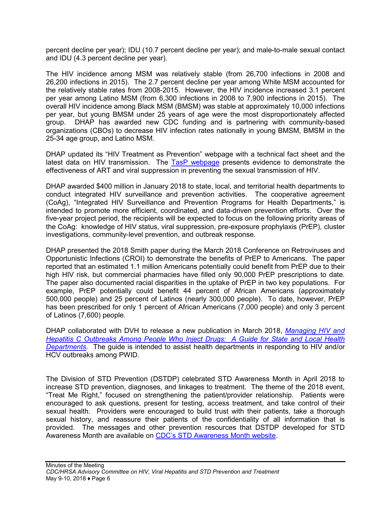percent decline per year); IDU (10.7 percent decline per year); and male-to-male sexual contact and IDU (4.3 percent decline per year).

The HIV incidence among MSM was relatively stable (from 26,700 infections in 2008 and 26,200 infections in 2015). The 2.7 percent decline per year among White MSM accounted for the relatively stable rates from 2008-2015. However, the HIV incidence increased 3.1 percent per year among Latino MSM (from 6,300 infections in 2008 to 7,900 infections in 2015). The overall HIV incidence among Black MSM (BMSM) was stable at approximately 10,000 infections per year, but young BMSM under 25 years of age were the most disproportionately affected group. DHAP has awarded new CDC funding and is partnering with community-based organizations (CBOs) to decrease HIV infection rates nationally in young BMSM, BMSM in the 25-34 age group, and Latino MSM.

DHAP updated its "HIV Treatment as Prevention" webpage with a technical fact sheet and the latest data on HIV transmission. The [TasP webpage](https://www.cdc.gov/hiv/risk/art/index.html) presents evidence to demonstrate the effectiveness of ART and viral suppression in preventing the sexual transmission of HIV.

DHAP awarded \$400 million in January 2018 to state, local, and territorial health departments to conduct integrated HIV surveillance and prevention activities. The cooperative agreement (CoAg), "Integrated HIV Surveillance and Prevention Programs for Health Departments," is intended to promote more efficient, coordinated, and data-driven prevention efforts. Over the five-year project period, the recipients will be expected to focus on the following priority areas of the CoAg: knowledge of HIV status, viral suppression, pre-exposure prophylaxis (PrEP), cluster investigations, community-level prevention, and outbreak response.

DHAP presented the 2018 Smith paper during the March 2018 Conference on Retroviruses and Opportunistic Infections (CROI) to demonstrate the benefits of PrEP to Americans. The paper reported that an estimated 1.1 million Americans potentially could benefit from PrEP due to their high HIV risk, but commercial pharmacies have filled only 90,000 PrEP prescriptions to date. The paper also documented racial disparities in the uptake of PrEP in two key populations. For example, PrEP potentially could benefit 44 percent of African Americans (approximately 500,000 people) and 25 percent of Latinos (nearly 300,000 people). To date, however, PrEP has been prescribed for only 1 percent of African Americans (7,000 people) and only 3 percent of Latinos (7,600) people.

DHAP collaborated with DVH to release a new publication in March 2018, *[Managing HIV and](https://www.cdc.gov/hiv/pdf/programresources/guidance/cluster-outbreak/cdc-hiv-hcv-pwid-guide.pdf)  [Hepatitis C Outbreaks Among People Who Inject Drugs: A Guide for State and Local Health](https://www.cdc.gov/hiv/pdf/programresources/guidance/cluster-outbreak/cdc-hiv-hcv-pwid-guide.pdf)  [Departments](https://www.cdc.gov/hiv/pdf/programresources/guidance/cluster-outbreak/cdc-hiv-hcv-pwid-guide.pdf)*. The guide is intended to assist health departments in responding to HIV and/or HCV outbreaks among PWID.

The Division of STD Prevention (DSTDP) celebrated STD Awareness Month in April 2018 to increase STD prevention, diagnoses, and linkages to treatment. The theme of the 2018 event, "Treat Me Right," focused on strengthening the patient/provider relationship. Patients were encouraged to ask questions, present for testing, access treatment, and take control of their sexual health. Providers were encouraged to build trust with their patients, take a thorough sexual history, and reassure their patients of the confidentiality of all information that is provided. The messages and other prevention resources that DSTDP developed for STD Awareness Month are available on [CDC's STD Awareness Month website.](https://www.cdc.gov/std/sam/index.htm)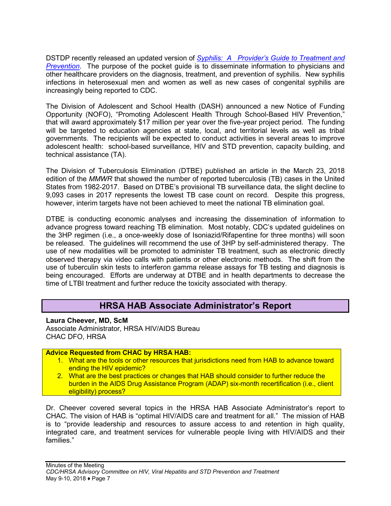DSTDP recently released an updated version of *[Syphilis: A Provider's Guide to Treatment and](https://www.targethiv.org/news/cdc-publishes-pocket-guide-syphilis-treatment-and-prevention)  [Prevention](https://www.cdc.gov/std/syphilis/SyphilisPocket-Guide-FINAL-508.pdf)*. The purpose of the pocket guide is to disseminate information to physicians and other healthcare providers on the diagnosis, treatment, and prevention of syphilis. New syphilis infections in heterosexual men and women as well as new cases of congenital syphilis are increasingly being reported to CDC.

The Division of Adolescent and School Health (DASH) announced a new Notice of Funding Opportunity (NOFO), "Promoting Adolescent Health Through School-Based HIV Prevention," that will award approximately \$17 million per year over the five-year project period. The funding will be targeted to education agencies at state, local, and territorial levels as well as tribal governments. The recipients will be expected to conduct activities in several areas to improve adolescent health: school-based surveillance, HIV and STD prevention, capacity building, and technical assistance (TA).

The Division of Tuberculosis Elimination (DTBE) published an article in the March 23, 2018 edition of the *MMWR* that showed the number of reported tuberculosis (TB) cases in the United States from 1982-2017. Based on DTBE's provisional TB surveillance data, the slight decline to 9,093 cases in 2017 represents the lowest TB case count on record. Despite this progress, however, interim targets have not been achieved to meet the national TB elimination goal.

DTBE is conducting economic analyses and increasing the dissemination of information to advance progress toward reaching TB elimination. Most notably, CDC's updated guidelines on the 3HP regimen (i.e., a once-weekly dose of Isoniazid/Rifapentine for three months) will soon be released. The guidelines will recommend the use of 3HP by self-administered therapy. The use of new modalities will be promoted to administer TB treatment, such as electronic directly observed therapy via video calls with patients or other electronic methods. The shift from the use of tuberculin skin tests to interferon gamma release assays for TB testing and diagnosis is being encouraged. Efforts are underway at DTBE and in health departments to decrease the time of LTBI treatment and further reduce the toxicity associated with therapy.

## **HRSA HAB Associate Administrator's Report**

<span id="page-9-0"></span>**Laura Cheever, MD, ScM** Associate Administrator, HRSA HIV/AIDS Bureau CHAC DFO, HRSA

#### **Advice Requested from CHAC by HRSA HAB:**

- 1. What are the tools or other resources that jurisdictions need from HAB to advance toward ending the HIV epidemic?
- 2. What are the best practices or changes that HAB should consider to further reduce the burden in the AIDS Drug Assistance Program (ADAP) six-month recertification (i.e., client eligibility) process?

Dr. Cheever covered several topics in the HRSA HAB Associate Administrator's report to CHAC. The vision of HAB is "optimal HIV/AIDS care and treatment for all." The mission of HAB is to "provide leadership and resources to assure access to and retention in high quality, integrated care, and treatment services for vulnerable people living with HIV/AIDS and their families."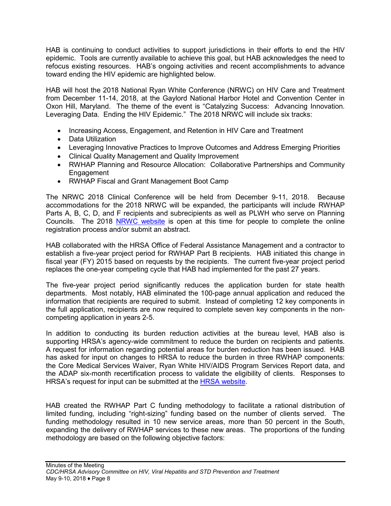HAB is continuing to conduct activities to support jurisdictions in their efforts to end the HIV epidemic. Tools are currently available to achieve this goal, but HAB acknowledges the need to refocus existing resources. HAB's ongoing activities and recent accomplishments to advance toward ending the HIV epidemic are highlighted below.

HAB will host the 2018 National Ryan White Conference (NRWC) on HIV Care and Treatment from December 11-14, 2018, at the Gaylord National Harbor Hotel and Convention Center in Oxon Hill, Maryland. The theme of the event is "Catalyzing Success: Advancing Innovation. Leveraging Data. Ending the HIV Epidemic." The 2018 NRWC will include six tracks:

- Increasing Access, Engagement, and Retention in HIV Care and Treatment
- Data Utilization
- Leveraging Innovative Practices to Improve Outcomes and Address Emerging Priorities
- Clinical Quality Management and Quality Improvement
- RWHAP Planning and Resource Allocation: Collaborative Partnerships and Community **Engagement**
- RWHAP Fiscal and Grant Management Boot Camp

The NRWC 2018 Clinical Conference will be held from December 9-11, 2018. Because accommodations for the 2018 NRWC will be expanded, the participants will include RWHAP Parts A, B, C, D, and F recipients and subrecipients as well as PLWH who serve on Planning Councils. The 2018 [NRWC website](https://ryanwhite2018.hrsa.gov/) is open at this time for people to complete the online registration process and/or submit an abstract.

HAB collaborated with the HRSA Office of Federal Assistance Management and a contractor to establish a five-year project period for RWHAP Part B recipients. HAB initiated this change in fiscal year (FY) 2015 based on requests by the recipients. The current five-year project period replaces the one-year competing cycle that HAB had implemented for the past 27 years.

The five-year project period significantly reduces the application burden for state health departments. Most notably, HAB eliminated the 100-page annual application and reduced the information that recipients are required to submit. Instead of completing 12 key components in the full application, recipients are now required to complete seven key components in the noncompeting application in years 2-5.

In addition to conducting its burden reduction activities at the bureau level, HAB also is supporting HRSA's agency-wide commitment to reduce the burden on recipients and patients. A request for information regarding potential areas for burden reduction has been issued. HAB has asked for input on changes to HRSA to reduce the burden in three RWHAP components: the Core Medical Services Waiver, Ryan White HIV/AIDS Program Services Report data, and the ADAP six-month recertification process to validate the eligibility of clients. Responses to HRSA's request for input can be submitted at the [HRSA website.](https://www.hrsa.gov/about/news)

HAB created the RWHAP Part C funding methodology to facilitate a rational distribution of limited funding, including "right-sizing" funding based on the number of clients served. The funding methodology resulted in 10 new service areas, more than 50 percent in the South, expanding the delivery of RWHAP services to these new areas. The proportions of the funding methodology are based on the following objective factors: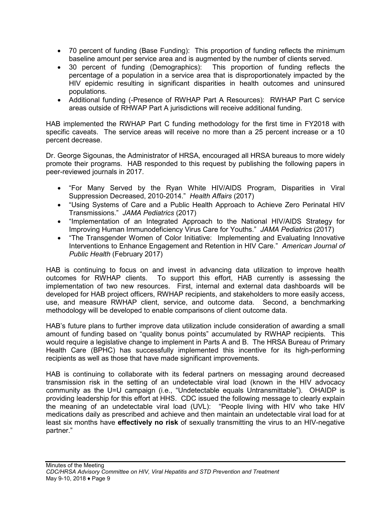- 70 percent of funding (Base Funding): This proportion of funding reflects the minimum baseline amount per service area and is augmented by the number of clients served.
- 30 percent of funding (Demographics): This proportion of funding reflects the percentage of a population in a service area that is disproportionately impacted by the HIV epidemic resulting in significant disparities in health outcomes and uninsured populations.
- Additional funding (-Presence of RWHAP Part A Resources): RWHAP Part C service areas outside of RHWAP Part A jurisdictions will receive additional funding.

HAB implemented the RWHAP Part C funding methodology for the first time in FY2018 with specific caveats. The service areas will receive no more than a 25 percent increase or a 10 percent decrease.

Dr. George Sigounas, the Administrator of HRSA, encouraged all HRSA bureaus to more widely promote their programs. HAB responded to this request by publishing the following papers in peer-reviewed journals in 2017.

- "For Many Served by the Ryan White HIV/AIDS Program, Disparities in Viral Suppression Decreased, 2010-2014." *Health Affairs* (2017)
- "Using Systems of Care and a Public Health Approach to Achieve Zero Perinatal HIV Transmissions." *JAMA Pediatrics* (2017)
- "Implementation of an Integrated Approach to the National HIV/AIDS Strategy for Improving Human Immunodeficiency Virus Care for Youths." *JAMA Pediatrics* (2017)
- "The Transgender Women of Color Initiative: Implementing and Evaluating Innovative Interventions to Enhance Engagement and Retention in HIV Care." *American Journal of Public Health* (February 2017)

HAB is continuing to focus on and invest in advancing data utilization to improve health outcomes for RWHAP clients. To support this effort, HAB currently is assessing the implementation of two new resources. First, internal and external data dashboards will be developed for HAB project officers, RWHAP recipients, and stakeholders to more easily access, use, and measure RWHAP client, service, and outcome data. Second, a benchmarking methodology will be developed to enable comparisons of client outcome data.

HAB's future plans to further improve data utilization include consideration of awarding a small amount of funding based on "quality bonus points" accumulated by RWHAP recipients. This would require a legislative change to implement in Parts A and B. The HRSA Bureau of Primary Health Care (BPHC) has successfully implemented this incentive for its high-performing recipients as well as those that have made significant improvements.

HAB is continuing to collaborate with its federal partners on messaging around decreased transmission risk in the setting of an undetectable viral load (known in the HIV advocacy community as the U=U campaign (i.e., "Undetectable equals Untransmittable"). OHAIDP is providing leadership for this effort at HHS. CDC issued the following message to clearly explain the meaning of an undetectable viral load (UVL): "People living with HIV who take HIV medications daily as prescribed and achieve and then maintain an undetectable viral load for at least six months have **effectively no risk** of sexually transmitting the virus to an HIV-negative partner."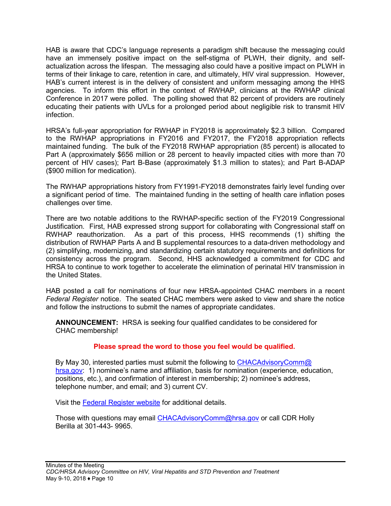HAB is aware that CDC's language represents a paradigm shift because the messaging could have an immensely positive impact on the self-stigma of PLWH, their dignity, and selfactualization across the lifespan. The messaging also could have a positive impact on PLWH in terms of their linkage to care, retention in care, and ultimately, HIV viral suppression. However, HAB's current interest is in the delivery of consistent and uniform messaging among the HHS agencies. To inform this effort in the context of RWHAP, clinicians at the RWHAP clinical Conference in 2017 were polled. The polling showed that 82 percent of providers are routinely educating their patients with UVLs for a prolonged period about negligible risk to transmit HIV infection.

HRSA's full-year appropriation for RWHAP in FY2018 is approximately \$2.3 billion. Compared to the RWHAP appropriations in FY2016 and FY2017, the FY2018 appropriation reflects maintained funding. The bulk of the FY2018 RWHAP appropriation (85 percent) is allocated to Part A (approximately \$656 million or 28 percent to heavily impacted cities with more than 70 percent of HIV cases); Part B-Base (approximately \$1.3 million to states); and Part B-ADAP (\$900 million for medication).

The RWHAP appropriations history from FY1991-FY2018 demonstrates fairly level funding over a significant period of time. The maintained funding in the setting of health care inflation poses challenges over time.

There are two notable additions to the RWHAP-specific section of the FY2019 Congressional Justification. First, HAB expressed strong support for collaborating with Congressional staff on RWHAP reauthorization. As a part of this process, HHS recommends (1) shifting the distribution of RWHAP Parts A and B supplemental resources to a data-driven methodology and (2) simplifying, modernizing, and standardizing certain statutory requirements and definitions for consistency across the program. Second, HHS acknowledged a commitment for CDC and HRSA to continue to work together to accelerate the elimination of perinatal HIV transmission in the United States.

HAB posted a call for nominations of four new HRSA-appointed CHAC members in a recent *Federal Register* notice. The seated CHAC members were asked to view and share the notice and follow the instructions to submit the names of appropriate candidates.

**ANNOUNCEMENT:** HRSA is seeking four qualified candidates to be considered for CHAC membership!

#### **Please spread the word to those you feel would be qualified.**

By May 30, interested parties must submit the following to [CHACAdvisoryComm@](mailto:CHACAdvisoryComm@hrsa.gov) [hrsa.gov:](mailto:CHACAdvisoryComm@hrsa.gov) 1) nominee's name and affiliation, basis for nomination (experience, education, positions, etc.), and confirmation of interest in membership; 2) nominee's address, telephone number, and email; and 3) current CV.

Visit the [Federal Register website](https://www.federalregister.gov/documents/2018/02/26/2018-03853/request-for-nominations) for additional details.

Those with questions may email [CHACAdvisoryComm@hrsa.gov](mailto:CHACAdvisoryComm@hrsa.gov) or call CDR Holly Berilla at 301-443- 9965.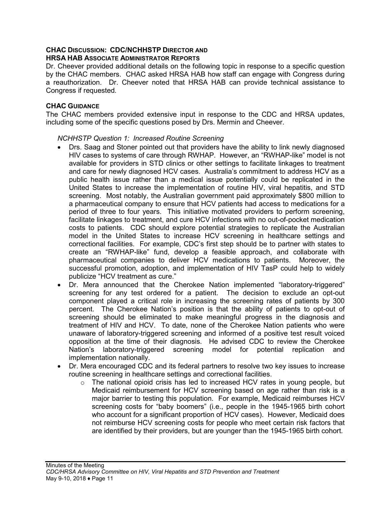#### **CHAC DISCUSSION: CDC/NCHHSTP DIRECTOR AND HRSA HAB ASSOCIATE ADMINISTRATOR REPORTS**

Dr. Cheever provided additional details on the following topic in response to a specific question by the CHAC members. CHAC asked HRSA HAB how staff can engage with Congress during a reauthorization. Dr. Cheever noted that HRSA HAB can provide technical assistance to Congress if requested.

#### **CHAC GUIDANCE**

The CHAC members provided extensive input in response to the CDC and HRSA updates, including some of the specific questions posed by Drs. Mermin and Cheever.

#### *NCHHSTP Question 1: Increased Routine Screening*

- Drs. Saag and Stoner pointed out that providers have the ability to link newly diagnosed HIV cases to systems of care through RWHAP. However, an "RWHAP-like" model is not available for providers in STD clinics or other settings to facilitate linkages to treatment and care for newly diagnosed HCV cases. Australia's commitment to address HCV as a public health issue rather than a medical issue potentially could be replicated in the United States to increase the implementation of routine HIV, viral hepatitis, and STD screening. Most notably, the Australian government paid approximately \$800 million to a pharmaceutical company to ensure that HCV patients had access to medications for a period of three to four years. This initiative motivated providers to perform screening, facilitate linkages to treatment, and cure HCV infections with no out-of-pocket medication costs to patients. CDC should explore potential strategies to replicate the Australian model in the United States to increase HCV screening in healthcare settings and correctional facilities. For example, CDC's first step should be to partner with states to create an "RWHAP-like" fund, develop a feasible approach, and collaborate with pharmaceutical companies to deliver HCV medications to patients. Moreover, the successful promotion, adoption, and implementation of HIV TasP could help to widely publicize "HCV treatment as cure."
- Dr. Mera announced that the Cherokee Nation implemented "laboratory-triggered" screening for any test ordered for a patient. The decision to exclude an opt-out component played a critical role in increasing the screening rates of patients by 300 percent. The Cherokee Nation's position is that the ability of patients to opt-out of screening should be eliminated to make meaningful progress in the diagnosis and treatment of HIV and HCV. To date, none of the Cherokee Nation patients who were unaware of laboratory-triggered screening and informed of a positive test result voiced opposition at the time of their diagnosis. He advised CDC to review the Cherokee Nation's laboratory-triggered screening model for potential replication and implementation nationally.
- Dr. Mera encouraged CDC and its federal partners to resolve two key issues to increase routine screening in healthcare settings and correctional facilities.
	- $\circ$  The national opioid crisis has led to increased HCV rates in young people, but Medicaid reimbursement for HCV screening based on age rather than risk is a major barrier to testing this population. For example, Medicaid reimburses HCV screening costs for "baby boomers" (i.e., people in the 1945-1965 birth cohort who account for a significant proportion of HCV cases). However, Medicaid does not reimburse HCV screening costs for people who meet certain risk factors that are identified by their providers, but are younger than the 1945-1965 birth cohort.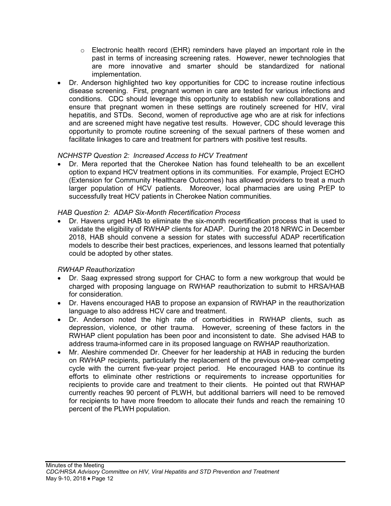- $\circ$  Electronic health record (EHR) reminders have played an important role in the past in terms of increasing screening rates. However, newer technologies that are more innovative and smarter should be standardized for national implementation.
- Dr. Anderson highlighted two key opportunities for CDC to increase routine infectious disease screening. First, pregnant women in care are tested for various infections and conditions. CDC should leverage this opportunity to establish new collaborations and ensure that pregnant women in these settings are routinely screened for HIV, viral hepatitis, and STDs. Second, women of reproductive age who are at risk for infections and are screened might have negative test results. However, CDC should leverage this opportunity to promote routine screening of the sexual partners of these women and facilitate linkages to care and treatment for partners with positive test results.

#### *NCHHSTP Question 2: Increased Access to HCV Treatment*

• Dr. Mera reported that the Cherokee Nation has found telehealth to be an excellent option to expand HCV treatment options in its communities. For example, Project ECHO (Extension for Community Healthcare Outcomes) has allowed providers to treat a much larger population of HCV patients. Moreover, local pharmacies are using PrEP to successfully treat HCV patients in Cherokee Nation communities.

#### *HAB Question 2: ADAP Six-Month Recertification Process*

• Dr. Havens urged HAB to eliminate the six-month recertification process that is used to validate the eligibility of RWHAP clients for ADAP. During the 2018 NRWC in December 2018, HAB should convene a session for states with successful ADAP recertification models to describe their best practices, experiences, and lessons learned that potentially could be adopted by other states.

#### *RWHAP Reauthorization*

- Dr. Saag expressed strong support for CHAC to form a new workgroup that would be charged with proposing language on RWHAP reauthorization to submit to HRSA/HAB for consideration.
- Dr. Havens encouraged HAB to propose an expansion of RWHAP in the reauthorization language to also address HCV care and treatment.
- Dr. Anderson noted the high rate of comorbidities in RWHAP clients, such as depression, violence, or other trauma. However, screening of these factors in the RWHAP client population has been poor and inconsistent to date. She advised HAB to address trauma-informed care in its proposed language on RWHAP reauthorization.
- Mr. Aleshire commended Dr. Cheever for her leadership at HAB in reducing the burden on RWHAP recipients, particularly the replacement of the previous one-year competing cycle with the current five-year project period. He encouraged HAB to continue its efforts to eliminate other restrictions or requirements to increase opportunities for recipients to provide care and treatment to their clients. He pointed out that RWHAP currently reaches 90 percent of PLWH, but additional barriers will need to be removed for recipients to have more freedom to allocate their funds and reach the remaining 10 percent of the PLWH population.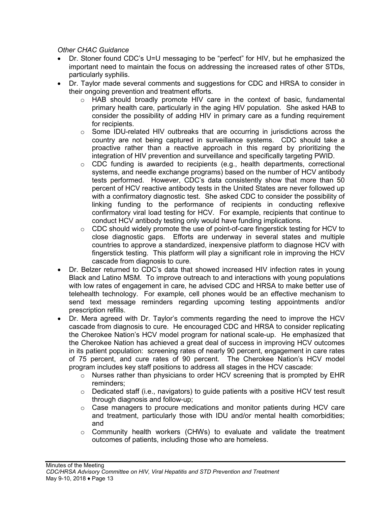*Other CHAC Guidance*

- Dr. Stoner found CDC's U=U messaging to be "perfect" for HIV, but he emphasized the important need to maintain the focus on addressing the increased rates of other STDs, particularly syphilis.
- Dr. Taylor made several comments and suggestions for CDC and HRSA to consider in their ongoing prevention and treatment efforts.
	- $\circ$  HAB should broadly promote HIV care in the context of basic, fundamental primary health care, particularly in the aging HIV population. She asked HAB to consider the possibility of adding HIV in primary care as a funding requirement for recipients.
	- $\circ$  Some IDU-related HIV outbreaks that are occurring in jurisdictions across the country are not being captured in surveillance systems. CDC should take a proactive rather than a reactive approach in this regard by prioritizing the integration of HIV prevention and surveillance and specifically targeting PWID.
	- $\circ$  CDC funding is awarded to recipients (e.g., health departments, correctional systems, and needle exchange programs) based on the number of HCV antibody tests performed. However, CDC's data consistently show that more than 50 percent of HCV reactive antibody tests in the United States are never followed up with a confirmatory diagnostic test. She asked CDC to consider the possibility of linking funding to the performance of recipients in conducting reflexive confirmatory viral load testing for HCV. For example, recipients that continue to conduct HCV antibody testing only would have funding implications.
	- o CDC should widely promote the use of point-of-care fingerstick testing for HCV to close diagnostic gaps. Efforts are underway in several states and multiple countries to approve a standardized, inexpensive platform to diagnose HCV with fingerstick testing. This platform will play a significant role in improving the HCV cascade from diagnosis to cure.
- Dr. Belzer returned to CDC's data that showed increased HIV infection rates in young Black and Latino MSM. To improve outreach to and interactions with young populations with low rates of engagement in care, he advised CDC and HRSA to make better use of telehealth technology. For example, cell phones would be an effective mechanism to send text message reminders regarding upcoming testing appointments and/or prescription refills.
- Dr. Mera agreed with Dr. Taylor's comments regarding the need to improve the HCV cascade from diagnosis to cure. He encouraged CDC and HRSA to consider replicating the Cherokee Nation's HCV model program for national scale-up. He emphasized that the Cherokee Nation has achieved a great deal of success in improving HCV outcomes in its patient population: screening rates of nearly 90 percent, engagement in care rates of 75 percent, and cure rates of 90 percent. The Cherokee Nation's HCV model program includes key staff positions to address all stages in the HCV cascade:
	- $\circ$  Nurses rather than physicians to order HCV screening that is prompted by EHR reminders;
	- $\circ$  Dedicated staff (i.e., navigators) to quide patients with a positive HCV test result through diagnosis and follow-up;
	- o Case managers to procure medications and monitor patients during HCV care and treatment, particularly those with IDU and/or mental health comorbidities; and
	- o Community health workers (CHWs) to evaluate and validate the treatment outcomes of patients, including those who are homeless.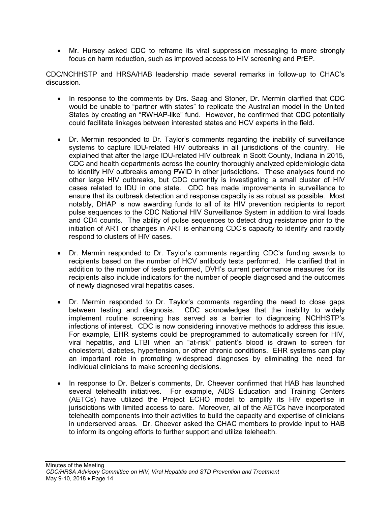• Mr. Hursey asked CDC to reframe its viral suppression messaging to more strongly focus on harm reduction, such as improved access to HIV screening and PrEP.

CDC/NCHHSTP and HRSA/HAB leadership made several remarks in follow-up to CHAC's discussion.

- In response to the comments by Drs. Saag and Stoner, Dr. Mermin clarified that CDC would be unable to "partner with states" to replicate the Australian model in the United States by creating an "RWHAP-like" fund. However, he confirmed that CDC potentially could facilitate linkages between interested states and HCV experts in the field.
- Dr. Mermin responded to Dr. Taylor's comments regarding the inability of surveillance systems to capture IDU-related HIV outbreaks in all jurisdictions of the country. He explained that after the large IDU-related HIV outbreak in Scott County, Indiana in 2015, CDC and health departments across the country thoroughly analyzed epidemiologic data to identify HIV outbreaks among PWID in other jurisdictions. These analyses found no other large HIV outbreaks, but CDC currently is investigating a small cluster of HIV cases related to IDU in one state. CDC has made improvements in surveillance to ensure that its outbreak detection and response capacity is as robust as possible. Most notably, DHAP is now awarding funds to all of its HIV prevention recipients to report pulse sequences to the CDC National HIV Surveillance System in addition to viral loads and CD4 counts. The ability of pulse sequences to detect drug resistance prior to the initiation of ART or changes in ART is enhancing CDC's capacity to identify and rapidly respond to clusters of HIV cases.
- Dr. Mermin responded to Dr. Taylor's comments regarding CDC's funding awards to recipients based on the number of HCV antibody tests performed. He clarified that in addition to the number of tests performed, DVH's current performance measures for its recipients also include indicators for the number of people diagnosed and the outcomes of newly diagnosed viral hepatitis cases.
- Dr. Mermin responded to Dr. Taylor's comments regarding the need to close gaps between testing and diagnosis. CDC acknowledges that the inability to widely implement routine screening has served as a barrier to diagnosing NCHHSTP's infections of interest. CDC is now considering innovative methods to address this issue. For example, EHR systems could be preprogrammed to automatically screen for HIV, viral hepatitis, and LTBI when an "at-risk" patient's blood is drawn to screen for cholesterol, diabetes, hypertension, or other chronic conditions. EHR systems can play an important role in promoting widespread diagnoses by eliminating the need for individual clinicians to make screening decisions.
- In response to Dr. Belzer's comments, Dr. Cheever confirmed that HAB has launched several telehealth initiatives. For example, AIDS Education and Training Centers (AETCs) have utilized the Project ECHO model to amplify its HIV expertise in jurisdictions with limited access to care. Moreover, all of the AETCs have incorporated telehealth components into their activities to build the capacity and expertise of clinicians in underserved areas. Dr. Cheever asked the CHAC members to provide input to HAB to inform its ongoing efforts to further support and utilize telehealth.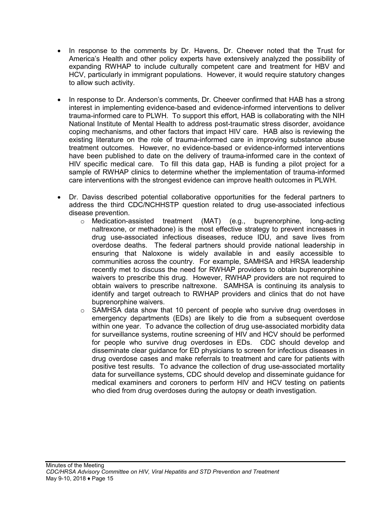- In response to the comments by Dr. Havens, Dr. Cheever noted that the Trust for America's Health and other policy experts have extensively analyzed the possibility of expanding RWHAP to include culturally competent care and treatment for HBV and HCV, particularly in immigrant populations. However, it would require statutory changes to allow such activity.
- In response to Dr. Anderson's comments, Dr. Cheever confirmed that HAB has a strong interest in implementing evidence-based and evidence-informed interventions to deliver trauma-informed care to PLWH. To support this effort, HAB is collaborating with the NIH National Institute of Mental Health to address post-traumatic stress disorder, avoidance coping mechanisms, and other factors that impact HIV care. HAB also is reviewing the existing literature on the role of trauma-informed care in improving substance abuse treatment outcomes. However, no evidence-based or evidence-informed interventions have been published to date on the delivery of trauma-informed care in the context of HIV specific medical care. To fill this data gap, HAB is funding a pilot project for a sample of RWHAP clinics to determine whether the implementation of trauma-informed care interventions with the strongest evidence can improve health outcomes in PLWH.
- <span id="page-17-0"></span>• Dr. Daviss described potential collaborative opportunities for the federal partners to address the third CDC/NCHHSTP question related to drug use-associated infectious disease prevention.
	- o Medication-assisted treatment (MAT) (e.g., buprenorphine, long-acting naltrexone, or methadone) is the most effective strategy to prevent increases in drug use-associated infectious diseases, reduce IDU, and save lives from overdose deaths. The federal partners should provide national leadership in ensuring that Naloxone is widely available in and easily accessible to communities across the country. For example, SAMHSA and HRSA leadership recently met to discuss the need for RWHAP providers to obtain buprenorphine waivers to prescribe this drug. However, RWHAP providers are not required to obtain waivers to prescribe naltrexone. SAMHSA is continuing its analysis to identify and target outreach to RWHAP providers and clinics that do not have buprenorphine waivers.
	- $\circ$  SAMHSA data show that 10 percent of people who survive drug overdoses in emergency departments (EDs) are likely to die from a subsequent overdose within one year. To advance the collection of drug use-associated morbidity data for surveillance systems, routine screening of HIV and HCV should be performed for people who survive drug overdoses in EDs. CDC should develop and disseminate clear guidance for ED physicians to screen for infectious diseases in drug overdose cases and make referrals to treatment and care for patients with positive test results. To advance the collection of drug use-associated mortality data for surveillance systems, CDC should develop and disseminate guidance for medical examiners and coroners to perform HIV and HCV testing on patients who died from drug overdoses during the autopsy or death investigation.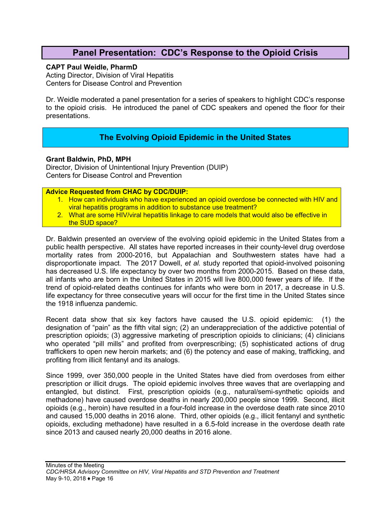## **Panel Presentation: CDC's Response to the Opioid Crisis**

#### **CAPT Paul Weidle, PharmD**

Acting Director, Division of Viral Hepatitis Centers for Disease Control and Prevention

Dr. Weidle moderated a panel presentation for a series of speakers to highlight CDC's response to the opioid crisis. He introduced the panel of CDC speakers and opened the floor for their presentations.

#### **The Evolving Opioid Epidemic in the United States**

#### <span id="page-18-0"></span>**Grant Baldwin, PhD, MPH**

Director, Division of Unintentional Injury Prevention (DUIP) Centers for Disease Control and Prevention

**Advice Requested from CHAC by CDC/DUIP:** 

- 1. How can individuals who have experienced an opioid overdose be connected with HIV and viral hepatitis programs in addition to substance use treatment?
- 2. What are some HIV/viral hepatitis linkage to care models that would also be effective in the SUD space?

Dr. Baldwin presented an overview of the evolving opioid epidemic in the United States from a public health perspective. All states have reported increases in their county-level drug overdose mortality rates from 2000-2016, but Appalachian and Southwestern states have had a disproportionate impact. The 2017 Dowell, *et al.* study reported that opioid-involved poisoning has decreased U.S. life expectancy by over two months from 2000-2015. Based on these data, all infants who are born in the United States in 2015 will live 800,000 fewer years of life. If the trend of opioid-related deaths continues for infants who were born in 2017, a decrease in U.S. life expectancy for three consecutive years will occur for the first time in the United States since the 1918 influenza pandemic.

Recent data show that six key factors have caused the U.S. opioid epidemic: (1) the designation of "pain" as the fifth vital sign; (2) an underappreciation of the addictive potential of prescription opioids; (3) aggressive marketing of prescription opioids to clinicians; (4) clinicians who operated "pill mills" and profited from overprescribing; (5) sophisticated actions of drug traffickers to open new heroin markets; and (6) the potency and ease of making, trafficking, and profiting from illicit fentanyl and its analogs.

Since 1999, over 350,000 people in the United States have died from overdoses from either prescription or illicit drugs. The opioid epidemic involves three waves that are overlapping and entangled, but distinct. First, prescription opioids (e.g., natural/semi-synthetic opioids and methadone) have caused overdose deaths in nearly 200,000 people since 1999. Second, illicit opioids (e.g., heroin) have resulted in a four-fold increase in the overdose death rate since 2010 and caused 15,000 deaths in 2016 alone. Third, other opioids (e.g., illicit fentanyl and synthetic opioids, excluding methadone) have resulted in a 6.5-fold increase in the overdose death rate since 2013 and caused nearly 20,000 deaths in 2016 alone.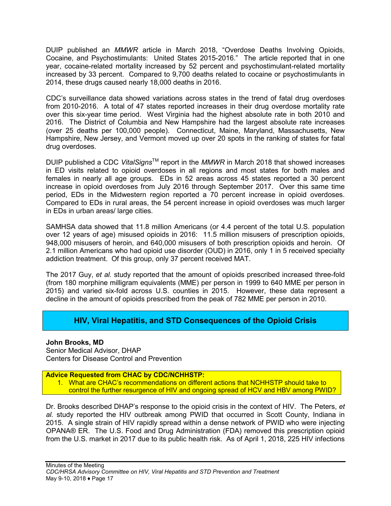DUIP published an *MMWR* article in March 2018, "Overdose Deaths Involving Opioids, Cocaine, and Psychostimulants: United States 2015-2016." The article reported that in one year, cocaine-related mortality increased by 52 percent and psychostimulant-related mortality increased by 33 percent. Compared to 9,700 deaths related to cocaine or psychostimulants in 2014, these drugs caused nearly 18,000 deaths in 2016.

CDC's surveillance data showed variations across states in the trend of fatal drug overdoses from 2010-2016. A total of 47 states reported increases in their drug overdose mortality rate over this six-year time period. West Virginia had the highest absolute rate in both 2010 and 2016. The District of Columbia and New Hampshire had the largest absolute rate increases (over 25 deaths per 100,000 people). Connecticut, Maine, Maryland, Massachusetts, New Hampshire, New Jersey, and Vermont moved up over 20 spots in the ranking of states for fatal drug overdoses.

DUIP published a CDC *VitalSigns*TM report in the *MMWR* in March 2018 that showed increases in ED visits related to opioid overdoses in all regions and most states for both males and females in nearly all age groups. EDs in 52 areas across 45 states reported a 30 percent increase in opioid overdoses from July 2016 through September 2017. Over this same time period, EDs in the Midwestern region reported a 70 percent increase in opioid overdoses. Compared to EDs in rural areas, the 54 percent increase in opioid overdoses was much larger in EDs in urban areas/ large cities.

SAMHSA data showed that 11.8 million Americans (or 4.4 percent of the total U.S. population over 12 years of age) misused opioids in 2016: 11.5 million misusers of prescription opioids, 948,000 misusers of heroin, and 640,000 misusers of both prescription opioids and heroin. Of 2.1 million Americans who had opioid use disorder (OUD) in 2016, only 1 in 5 received specialty addiction treatment. Of this group, only 37 percent received MAT.

The 2017 Guy, *et al.* study reported that the amount of opioids prescribed increased three-fold (from 180 morphine milligram equivalents (MME) per person in 1999 to 640 MME per person in 2015) and varied six-fold across U.S. counties in 2015. However, these data represent a decline in the amount of opioids prescribed from the peak of 782 MME per person in 2010.

## **HIV, Viral Hepatitis, and STD Consequences of the Opioid Crisis**

#### <span id="page-19-0"></span>**John Brooks, MD**

Senior Medical Advisor, DHAP Centers for Disease Control and Prevention

#### **Advice Requested from CHAC by CDC/NCHHSTP:**

1. What are CHAC's recommendations on different actions that NCHHSTP should take to control the further resurgence of HIV and ongoing spread of HCV and HBV among PWID?

Dr. Brooks described DHAP's response to the opioid crisis in the context of HIV. The Peters, *et al.* study reported the HIV outbreak among PWID that occurred in Scott County, Indiana in 2015. A single strain of HIV rapidly spread within a dense network of PWID who were injecting OPANA® ER. The U.S. Food and Drug Administration (FDA) removed this prescription opioid from the U.S. market in 2017 due to its public health risk. As of April 1, 2018, 225 HIV infections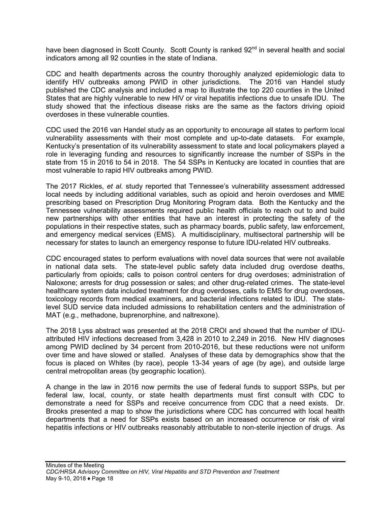have been diagnosed in Scott County. Scott County is ranked 92<sup>nd</sup> in several health and social indicators among all 92 counties in the state of Indiana.

CDC and health departments across the country thoroughly analyzed epidemiologic data to identify HIV outbreaks among PWID in other jurisdictions. The 2016 van Handel study published the CDC analysis and included a map to illustrate the top 220 counties in the United States that are highly vulnerable to new HIV or viral hepatitis infections due to unsafe IDU. The study showed that the infectious disease risks are the same as the factors driving opioid overdoses in these vulnerable counties.

CDC used the 2016 van Handel study as an opportunity to encourage all states to perform local vulnerability assessments with their most complete and up-to-date datasets. For example, Kentucky's presentation of its vulnerability assessment to state and local policymakers played a role in leveraging funding and resources to significantly increase the number of SSPs in the state from 15 in 2016 to 54 in 2018. The 54 SSPs in Kentucky are located in counties that are most vulnerable to rapid HIV outbreaks among PWID.

The 2017 Rickles, *et al.* study reported that Tennessee's vulnerability assessment addressed local needs by including additional variables, such as opioid and heroin overdoses and MME prescribing based on Prescription Drug Monitoring Program data. Both the Kentucky and the Tennessee vulnerability assessments required public health officials to reach out to and build new partnerships with other entities that have an interest in protecting the safety of the populations in their respective states, such as pharmacy boards, public safety, law enforcement, and emergency medical services (EMS). A multidisciplinary, multisectoral partnership will be necessary for states to launch an emergency response to future IDU-related HIV outbreaks.

CDC encouraged states to perform evaluations with novel data sources that were not available in national data sets. The state-level public safety data included drug overdose deaths, particularly from opioids; calls to poison control centers for drug overdoses; administration of Naloxone; arrests for drug possession or sales; and other drug-related crimes. The state-level healthcare system data included treatment for drug overdoses, calls to EMS for drug overdoses, toxicology records from medical examiners, and bacterial infections related to IDU. The statelevel SUD service data included admissions to rehabilitation centers and the administration of MAT (e.g., methadone, buprenorphine, and naltrexone).

The 2018 Lyss abstract was presented at the 2018 CROI and showed that the number of IDUattributed HIV infections decreased from 3,428 in 2010 to 2,249 in 2016. New HIV diagnoses among PWID declined by 34 percent from 2010-2016, but these reductions were not uniform over time and have slowed or stalled. Analyses of these data by demographics show that the focus is placed on Whites (by race), people 13-34 years of age (by age), and outside large central metropolitan areas (by geographic location).

A change in the law in 2016 now permits the use of federal funds to support SSPs, but per federal law, local, county, or state health departments must first consult with CDC to demonstrate a need for SSPs and receive concurrence from CDC that a need exists. Dr. Brooks presented a map to show the jurisdictions where CDC has concurred with local health departments that a need for SSPs exists based on an increased occurrence or risk of viral hepatitis infections or HIV outbreaks reasonably attributable to non-sterile injection of drugs. As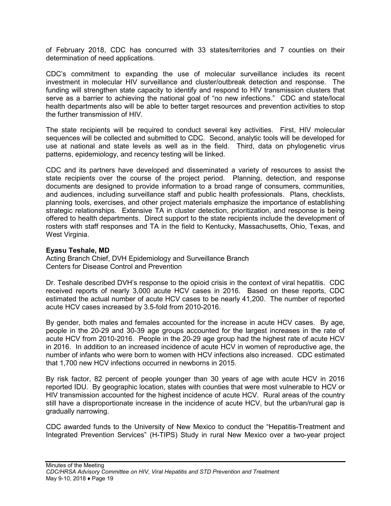of February 2018, CDC has concurred with 33 states/territories and 7 counties on their determination of need applications.

CDC's commitment to expanding the use of molecular surveillance includes its recent investment in molecular HIV surveillance and cluster/outbreak detection and response. The funding will strengthen state capacity to identify and respond to HIV transmission clusters that serve as a barrier to achieving the national goal of "no new infections." CDC and state/local health departments also will be able to better target resources and prevention activities to stop the further transmission of HIV.

The state recipients will be required to conduct several key activities. First, HIV molecular sequences will be collected and submitted to CDC. Second, analytic tools will be developed for use at national and state levels as well as in the field. Third, data on phylogenetic virus patterns, epidemiology, and recency testing will be linked.

CDC and its partners have developed and disseminated a variety of resources to assist the state recipients over the course of the project period. Planning, detection, and response documents are designed to provide information to a broad range of consumers, communities, and audiences, including surveillance staff and public health professionals. Plans, checklists, planning tools, exercises, and other project materials emphasize the importance of establishing strategic relationships. Extensive TA in cluster detection, prioritization, and response is being offered to health departments. Direct support to the state recipients include the development of rosters with staff responses and TA in the field to Kentucky, Massachusetts, Ohio, Texas, and West Virginia.

#### **Eyasu Teshale, MD**

Acting Branch Chief, DVH Epidemiology and Surveillance Branch Centers for Disease Control and Prevention

Dr. Teshale described DVH's response to the opioid crisis in the context of viral hepatitis. CDC received reports of nearly 3,000 acute HCV cases in 2016. Based on these reports, CDC estimated the actual number of acute HCV cases to be nearly 41,200. The number of reported acute HCV cases increased by 3.5-fold from 2010-2016.

By gender, both males and females accounted for the increase in acute HCV cases. By age, people in the 20-29 and 30-39 age groups accounted for the largest increases in the rate of acute HCV from 2010-2016. People in the 20-29 age group had the highest rate of acute HCV in 2016. In addition to an increased incidence of acute HCV in women of reproductive age, the number of infants who were born to women with HCV infections also increased. CDC estimated that 1,700 new HCV infections occurred in newborns in 2015.

By risk factor, 82 percent of people younger than 30 years of age with acute HCV in 2016 reported IDU. By geographic location, states with counties that were most vulnerable to HCV or HIV transmission accounted for the highest incidence of acute HCV. Rural areas of the country still have a disproportionate increase in the incidence of acute HCV, but the urban/rural gap is gradually narrowing.

CDC awarded funds to the University of New Mexico to conduct the "Hepatitis-Treatment and Integrated Prevention Services" (H-TIPS) Study in rural New Mexico over a two-year project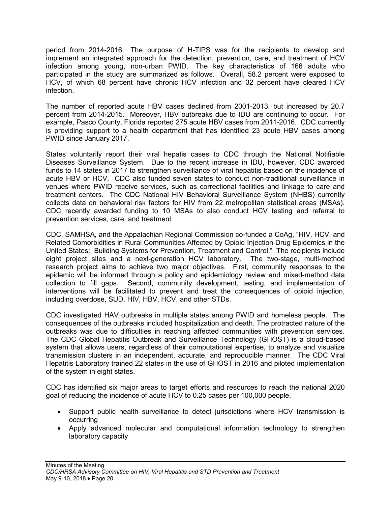period from 2014-2016. The purpose of H-TIPS was for the recipients to develop and implement an integrated approach for the detection, prevention, care, and treatment of HCV infection among young, non-urban PWID. The key characteristics of 166 adults who participated in the study are summarized as follows. Overall, 58.2 percent were exposed to HCV, of which 68 percent have chronic HCV infection and 32 percent have cleared HCV infection.

The number of reported acute HBV cases declined from 2001-2013, but increased by 20.7 percent from 2014-2015. Moreover, HBV outbreaks due to IDU are continuing to occur. For example, Pasco County, Florida reported 275 acute HBV cases from 2011-2016. CDC currently is providing support to a health department that has identified 23 acute HBV cases among PWID since January 2017.

States voluntarily report their viral hepatis cases to CDC through the National Notifiable Diseases Surveillance System. Due to the recent increase in IDU, however, CDC awarded funds to 14 states in 2017 to strengthen surveillance of viral hepatitis based on the incidence of acute HBV or HCV. CDC also funded seven states to conduct non-traditional surveillance in venues where PWID receive services, such as correctional facilities and linkage to care and treatment centers. The CDC National HIV Behavioral Surveillance System (NHBS) currently collects data on behavioral risk factors for HIV from 22 metropolitan statistical areas (MSAs). CDC recently awarded funding to 10 MSAs to also conduct HCV testing and referral to prevention services, care, and treatment.

CDC, SAMHSA, and the Appalachian Regional Commission co-funded a CoAg, "HIV, HCV, and Related Comorbidities in Rural Communities Affected by Opioid Injection Drug Epidemics in the United States: Building Systems for Prevention, Treatment and Control." The recipients include eight project sites and a next-generation HCV laboratory. The two-stage, multi-method research project aims to achieve two major objectives. First, community responses to the epidemic will be informed through a policy and epidemiology review and mixed-method data collection to fill gaps. Second, community development, testing, and implementation of interventions will be facilitated to prevent and treat the consequences of opioid injection, including overdose, SUD, HIV, HBV, HCV, and other STDs.

CDC investigated HAV outbreaks in multiple states among PWID and homeless people. The consequences of the outbreaks included hospitalization and death. The protracted nature of the outbreaks was due to difficulties in reaching affected communities with prevention services. The CDC Global Hepatitis Outbreak and Surveillance Technology (GHOST) is a cloud-based system that allows users, regardless of their computational expertise, to analyze and visualize transmission clusters in an independent, accurate, and reproducible manner. The CDC Viral Hepatitis Laboratory trained 22 states in the use of GHOST in 2016 and piloted implementation of the system in eight states.

CDC has identified six major areas to target efforts and resources to reach the national 2020 goal of reducing the incidence of acute HCV to 0.25 cases per 100,000 people.

- Support public health surveillance to detect jurisdictions where HCV transmission is occurring
- Apply advanced molecular and computational information technology to strengthen laboratory capacity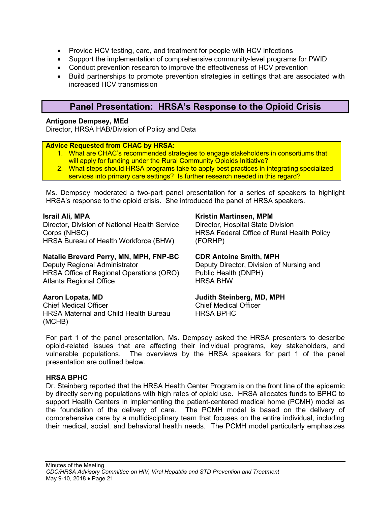- Provide HCV testing, care, and treatment for people with HCV infections
- Support the implementation of comprehensive community-level programs for PWID
- Conduct prevention research to improve the effectiveness of HCV prevention
- Build partnerships to promote prevention strategies in settings that are associated with increased HCV transmission

## **Panel Presentation: HRSA's Response to the Opioid Crisis**

#### <span id="page-23-0"></span>**Antigone Dempsey, MEd**

Director, HRSA HAB/Division of Policy and Data

#### **Advice Requested from CHAC by HRSA:**

- 1. What are CHAC's recommended strategies to engage stakeholders in consortiums that will apply for funding under the Rural Community Opioids Initiative?
- 2. What steps should HRSA programs take to apply best practices in integrating specialized services into primary care settings? Is further research needed in this regard?

Ms. Dempsey moderated a two-part panel presentation for a series of speakers to highlight HRSA's response to the opioid crisis. She introduced the panel of HRSA speakers.

#### **Israil Ali, MPA**

Director, Division of National Health Service Corps (NHSC) HRSA Bureau of Health Workforce (BHW)

#### **Natalie Brevard Perry, MN, MPH, FNP-BC**

Deputy Regional Administrator HRSA Office of Regional Operations (ORO) Atlanta Regional Office

#### **Aaron Lopata, MD**

Chief Medical Officer HRSA Maternal and Child Health Bureau (MCHB)

#### **Kristin Martinsen, MPM**

Director, Hospital State Division HRSA Federal Office of Rural Health Policy (FORHP)

#### **CDR Antoine Smith, MPH**

Deputy Director, Division of Nursing and Public Health (DNPH) HRSA BHW

#### **Judith Steinberg, MD, MPH**

Chief Medical Officer HRSA BPHC

For part 1 of the panel presentation, Ms. Dempsey asked the HRSA presenters to describe opioid-related issues that are affecting their individual programs, key stakeholders, and vulnerable populations. The overviews by the HRSA speakers for part 1 of the panel presentation are outlined below.

#### **HRSA BPHC**

Dr. Steinberg reported that the HRSA Health Center Program is on the front line of the epidemic by directly serving populations with high rates of opioid use. HRSA allocates funds to BPHC to support Health Centers in implementing the patient-centered medical home (PCMH) model as the foundation of the delivery of care. The PCMH model is based on the delivery of comprehensive care by a multidisciplinary team that focuses on the entire individual, including their medical, social, and behavioral health needs. The PCMH model particularly emphasizes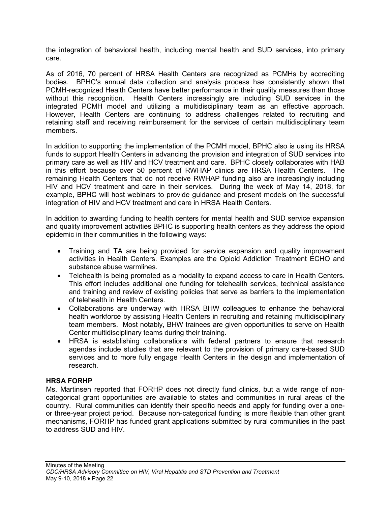the integration of behavioral health, including mental health and SUD services, into primary care.

As of 2016, 70 percent of HRSA Health Centers are recognized as PCMHs by accrediting bodies. BPHC's annual data collection and analysis process has consistently shown that PCMH-recognized Health Centers have better performance in their quality measures than those without this recognition. Health Centers increasingly are including SUD services in the integrated PCMH model and utilizing a multidisciplinary team as an effective approach. However, Health Centers are continuing to address challenges related to recruiting and retaining staff and receiving reimbursement for the services of certain multidisciplinary team members.

In addition to supporting the implementation of the PCMH model, BPHC also is using its HRSA funds to support Health Centers in advancing the provision and integration of SUD services into primary care as well as HIV and HCV treatment and care. BPHC closely collaborates with HAB in this effort because over 50 percent of RWHAP clinics are HRSA Health Centers. The remaining Health Centers that do not receive RWHAP funding also are increasingly including HIV and HCV treatment and care in their services. During the week of May 14, 2018, for example, BPHC will host webinars to provide guidance and present models on the successful integration of HIV and HCV treatment and care in HRSA Health Centers.

In addition to awarding funding to health centers for mental health and SUD service expansion and quality improvement activities BPHC is supporting health centers as they address the opioid epidemic in their communities in the following ways:

- Training and TA are being provided for service expansion and quality improvement activities in Health Centers. Examples are the Opioid Addiction Treatment ECHO and substance abuse warmlines.
- Telehealth is being promoted as a modality to expand access to care in Health Centers. This effort includes additional one funding for telehealth services, technical assistance and training and review of existing policies that serve as barriers to the implementation of telehealth in Health Centers.
- Collaborations are underway with HRSA BHW colleagues to enhance the behavioral health workforce by assisting Health Centers in recruiting and retaining multidisciplinary team members. Most notably, BHW trainees are given opportunities to serve on Health Center multidisciplinary teams during their training.
- HRSA is establishing collaborations with federal partners to ensure that research agendas include studies that are relevant to the provision of primary care-based SUD services and to more fully engage Health Centers in the design and implementation of research.

#### **HRSA FORHP**

Ms. Martinsen reported that FORHP does not directly fund clinics, but a wide range of noncategorical grant opportunities are available to states and communities in rural areas of the country. Rural communities can identify their specific needs and apply for funding over a oneor three-year project period. Because non-categorical funding is more flexible than other grant mechanisms, FORHP has funded grant applications submitted by rural communities in the past to address SUD and HIV.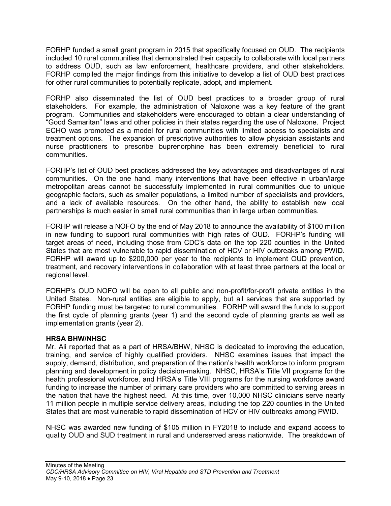FORHP funded a small grant program in 2015 that specifically focused on OUD. The recipients included 10 rural communities that demonstrated their capacity to collaborate with local partners to address OUD, such as law enforcement, healthcare providers, and other stakeholders. FORHP compiled the major findings from this initiative to develop a list of OUD best practices for other rural communities to potentially replicate, adopt, and implement.

FORHP also disseminated the list of OUD best practices to a broader group of rural stakeholders. For example, the administration of Naloxone was a key feature of the grant program. Communities and stakeholders were encouraged to obtain a clear understanding of "Good Samaritan" laws and other policies in their states regarding the use of Naloxone. Project ECHO was promoted as a model for rural communities with limited access to specialists and treatment options. The expansion of prescriptive authorities to allow physician assistants and nurse practitioners to prescribe buprenorphine has been extremely beneficial to rural communities.

FORHP's list of OUD best practices addressed the key advantages and disadvantages of rural communities. On the one hand, many interventions that have been effective in urban/large metropolitan areas cannot be successfully implemented in rural communities due to unique geographic factors, such as smaller populations, a limited number of specialists and providers, and a lack of available resources. On the other hand, the ability to establish new local partnerships is much easier in small rural communities than in large urban communities.

FORHP will release a NOFO by the end of May 2018 to announce the availability of \$100 million in new funding to support rural communities with high rates of OUD. FORHP's funding will target areas of need, including those from CDC's data on the top 220 counties in the United States that are most vulnerable to rapid dissemination of HCV or HIV outbreaks among PWID. FORHP will award up to \$200,000 per year to the recipients to implement OUD prevention, treatment, and recovery interventions in collaboration with at least three partners at the local or regional level.

FORHP's OUD NOFO will be open to all public and non-profit/for-profit private entities in the United States. Non-rural entities are eligible to apply, but all services that are supported by FORHP funding must be targeted to rural communities. FORHP will award the funds to support the first cycle of planning grants (year 1) and the second cycle of planning grants as well as implementation grants (year 2).

#### **HRSA BHW/NHSC**

Mr. Ali reported that as a part of HRSA/BHW, NHSC is dedicated to improving the education, training, and service of highly qualified providers. NHSC examines issues that impact the supply, demand, distribution, and preparation of the nation's health workforce to inform program planning and development in policy decision-making. NHSC, HRSA's Title VII programs for the health professional workforce, and HRSA's Title VIII programs for the nursing workforce award funding to increase the number of primary care providers who are committed to serving areas in the nation that have the highest need. At this time, over 10,000 NHSC clinicians serve nearly 11 million people in multiple service delivery areas, including the top 220 counties in the United States that are most vulnerable to rapid dissemination of HCV or HIV outbreaks among PWID.

NHSC was awarded new funding of \$105 million in FY2018 to include and expand access to quality OUD and SUD treatment in rural and underserved areas nationwide. The breakdown of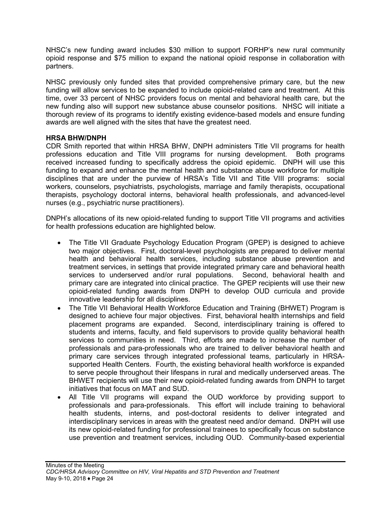NHSC's new funding award includes \$30 million to support FORHP's new rural community opioid response and \$75 million to expand the national opioid response in collaboration with partners.

NHSC previously only funded sites that provided comprehensive primary care, but the new funding will allow services to be expanded to include opioid-related care and treatment. At this time, over 33 percent of NHSC providers focus on mental and behavioral health care, but the new funding also will support new substance abuse counselor positions. NHSC will initiate a thorough review of its programs to identify existing evidence-based models and ensure funding awards are well aligned with the sites that have the greatest need.

#### **HRSA BHW/DNPH**

CDR Smith reported that within HRSA BHW, DNPH administers Title VII programs for health professions education and Title VIII programs for nursing development. Both programs received increased funding to specifically address the opioid epidemic. DNPH will use this funding to expand and enhance the mental health and substance abuse workforce for multiple disciplines that are under the purview of HRSA's Title VII and Title VIII programs: social workers, counselors, psychiatrists, psychologists, marriage and family therapists, occupational therapists, psychology doctoral interns, behavioral health professionals, and advanced-level nurses (e.g., psychiatric nurse practitioners).

DNPH's allocations of its new opioid-related funding to support Title VII programs and activities for health professions education are highlighted below.

- The Title VII Graduate Psychology Education Program (GPEP) is designed to achieve two major objectives. First, doctoral-level psychologists are prepared to deliver mental health and behavioral health services, including substance abuse prevention and treatment services, in settings that provide integrated primary care and behavioral health services to underserved and/or rural populations. Second, behavioral health and primary care are integrated into clinical practice. The GPEP recipients will use their new opioid-related funding awards from DNPH to develop OUD curricula and provide innovative leadership for all disciplines.
- The Title VII Behavioral Health Workforce Education and Training (BHWET) Program is designed to achieve four major objectives. First, behavioral health internships and field placement programs are expanded. Second, interdisciplinary training is offered to students and interns, faculty, and field supervisors to provide quality behavioral health services to communities in need. Third, efforts are made to increase the number of professionals and para-professionals who are trained to deliver behavioral health and primary care services through integrated professional teams, particularly in HRSAsupported Health Centers. Fourth, the existing behavioral health workforce is expanded to serve people throughout their lifespans in rural and medically underserved areas. The BHWET recipients will use their new opioid-related funding awards from DNPH to target initiatives that focus on MAT and SUD.
- All Title VII programs will expand the OUD workforce by providing support to professionals and para-professionals. This effort will include training to behavioral health students, interns, and post-doctoral residents to deliver integrated and interdisciplinary services in areas with the greatest need and/or demand. DNPH will use its new opioid-related funding for professional trainees to specifically focus on substance use prevention and treatment services, including OUD. Community-based experiential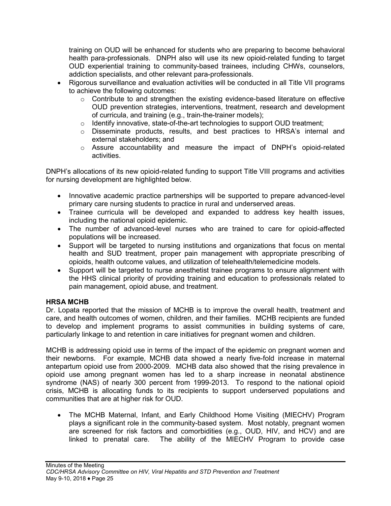training on OUD will be enhanced for students who are preparing to become behavioral health para-professionals. DNPH also will use its new opioid-related funding to target OUD experiential training to community-based trainees, including CHWs, counselors, addiction specialists, and other relevant para-professionals.

- Rigorous surveillance and evaluation activities will be conducted in all Title VII programs to achieve the following outcomes:
	- $\circ$  Contribute to and strengthen the existing evidence-based literature on effective OUD prevention strategies, interventions, treatment, research and development of curricula, and training (e.g., train-the-trainer models);
	- o Identify innovative, state-of-the-art technologies to support OUD treatment;
	- o Disseminate products, results, and best practices to HRSA's internal and external stakeholders; and
	- o Assure accountability and measure the impact of DNPH's opioid-related activities.

DNPH's allocations of its new opioid-related funding to support Title VIII programs and activities for nursing development are highlighted below.

- Innovative academic practice partnerships will be supported to prepare advanced-level primary care nursing students to practice in rural and underserved areas.
- Trainee curricula will be developed and expanded to address key health issues, including the national opioid epidemic.
- The number of advanced-level nurses who are trained to care for opioid-affected populations will be increased.
- Support will be targeted to nursing institutions and organizations that focus on mental health and SUD treatment, proper pain management with appropriate prescribing of opioids, health outcome values, and utilization of telehealth/telemedicine models.
- Support will be targeted to nurse anesthetist trainee programs to ensure alignment with the HHS clinical priority of providing training and education to professionals related to pain management, opioid abuse, and treatment.

#### **HRSA MCHB**

Dr. Lopata reported that the mission of MCHB is to improve the overall health, treatment and care, and health outcomes of women, children, and their families. MCHB recipients are funded to develop and implement programs to assist communities in building systems of care, particularly linkage to and retention in care initiatives for pregnant women and children.

MCHB is addressing opioid use in terms of the impact of the epidemic on pregnant women and their newborns. For example, MCHB data showed a nearly five-fold increase in maternal antepartum opioid use from 2000-2009. MCHB data also showed that the rising prevalence in opioid use among pregnant women has led to a sharp increase in neonatal abstinence syndrome (NAS) of nearly 300 percent from 1999-2013. To respond to the national opioid crisis, MCHB is allocating funds to its recipients to support underserved populations and communities that are at higher risk for OUD.

• The MCHB Maternal, Infant, and Early Childhood Home Visiting (MIECHV) Program plays a significant role in the community-based system. Most notably, pregnant women are screened for risk factors and comorbidities (e.g., OUD, HIV, and HCV) and are linked to prenatal care. The ability of the MIECHV Program to provide case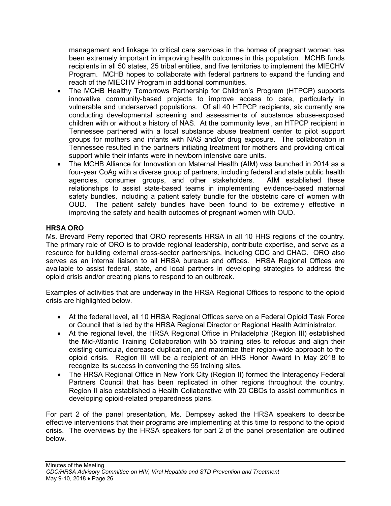management and linkage to critical care services in the homes of pregnant women has been extremely important in improving health outcomes in this population. MCHB funds recipients in all 50 states, 25 tribal entities, and five territories to implement the MIECHV Program. MCHB hopes to collaborate with federal partners to expand the funding and reach of the MIECHV Program in additional communities.

- The MCHB Healthy Tomorrows Partnership for Children's Program (HTPCP) supports innovative community-based projects to improve access to care, particularly in vulnerable and underserved populations. Of all 40 HTPCP recipients, six currently are conducting developmental screening and assessments of substance abuse-exposed children with or without a history of NAS. At the community level, an HTPCP recipient in Tennessee partnered with a local substance abuse treatment center to pilot support groups for mothers and infants with NAS and/or drug exposure. The collaboration in Tennessee resulted in the partners initiating treatment for mothers and providing critical support while their infants were in newborn intensive care units.
- The MCHB Alliance for Innovation on Maternal Health (AIM) was launched in 2014 as a four-year CoAg with a diverse group of partners, including federal and state public health agencies, consumer groups, and other stakeholders. AIM established these relationships to assist state-based teams in implementing evidence-based maternal safety bundles, including a patient safety bundle for the obstetric care of women with OUD. The patient safety bundles have been found to be extremely effective in improving the safety and health outcomes of pregnant women with OUD.

#### **HRSA ORO**

Ms. Brevard Perry reported that ORO represents HRSA in all 10 HHS regions of the country. The primary role of ORO is to provide regional leadership, contribute expertise, and serve as a resource for building external cross-sector partnerships, including CDC and CHAC. ORO also serves as an internal liaison to all HRSA bureaus and offices. HRSA Regional Offices are available to assist federal, state, and local partners in developing strategies to address the opioid crisis and/or creating plans to respond to an outbreak.

Examples of activities that are underway in the HRSA Regional Offices to respond to the opioid crisis are highlighted below.

- At the federal level, all 10 HRSA Regional Offices serve on a Federal Opioid Task Force or Council that is led by the HRSA Regional Director or Regional Health Administrator.
- At the regional level, the HRSA Regional Office in Philadelphia (Region III) established the Mid-Atlantic Training Collaboration with 55 training sites to refocus and align their existing curricula, decrease duplication, and maximize their region-wide approach to the opioid crisis. Region III will be a recipient of an HHS Honor Award in May 2018 to recognize its success in convening the 55 training sites.
- The HRSA Regional Office in New York City (Region II) formed the Interagency Federal Partners Council that has been replicated in other regions throughout the country. Region II also established a Health Collaborative with 20 CBOs to assist communities in developing opioid-related preparedness plans.

For part 2 of the panel presentation, Ms. Dempsey asked the HRSA speakers to describe effective interventions that their programs are implementing at this time to respond to the opioid crisis. The overviews by the HRSA speakers for part 2 of the panel presentation are outlined below.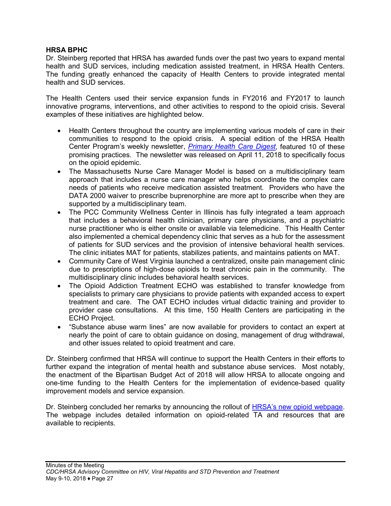#### **HRSA BPHC**

Dr. Steinberg reported that HRSA has awarded funds over the past two years to expand mental health and SUD services, including medication assisted treatment, in HRSA Health Centers. The funding greatly enhanced the capacity of Health Centers to provide integrated mental health and SUD services.

The Health Centers used their service expansion funds in FY2016 and FY2017 to launch innovative programs, interventions, and other activities to respond to the opioid crisis. Several examples of these initiatives are highlighted below.

- Health Centers throughout the country are implementing various models of care in their communities to respond to the opioid crisis. A special edition of the HRSA Health Center Program's weekly newsletter, *[Primary Health Care Digest](https://content.govdelivery.com/accounts/USHHSHRSA/bulletins/1e8d493)*, featured 10 of these promising practices. The newsletter was released on April 11, 2018 to specifically focus on the opioid epidemic.
- The Massachusetts Nurse Care Manager Model is based on a multidisciplinary team approach that includes a nurse care manager who helps coordinate the complex care needs of patients who receive medication assisted treatment. Providers who have the DATA 2000 waiver to prescribe buprenorphine are more apt to prescribe when they are supported by a multidisciplinary team.
- The PCC Community Wellness Center in Illinois has fully integrated a team approach that includes a behavioral health clinician, primary care physicians, and a psychiatric nurse practitioner who is either onsite or available via telemedicine. This Health Center also implemented a chemical dependency clinic that serves as a hub for the assessment of patients for SUD services and the provision of intensive behavioral health services. The clinic initiates MAT for patients, stabilizes patients, and maintains patients on MAT.
- Community Care of West Virginia launched a centralized, onsite pain management clinic due to prescriptions of high-dose opioids to treat chronic pain in the community. The multidisciplinary clinic includes behavioral health services.
- The Opioid Addiction Treatment ECHO was established to transfer knowledge from specialists to primary care physicians to provide patients with expanded access to expert treatment and care. The OAT ECHO includes virtual didactic training and provider to provider case consultations. At this time, 150 Health Centers are participating in the ECHO Project.
- "Substance abuse warm lines" are now available for providers to contact an expert at nearly the point of care to obtain guidance on dosing, management of drug withdrawal, and other issues related to opioid treatment and care.

Dr. Steinberg confirmed that HRSA will continue to support the Health Centers in their efforts to further expand the integration of mental health and substance abuse services. Most notably, the enactment of the Bipartisan Budget Act of 2018 will allow HRSA to allocate ongoing and one-time funding to the Health Centers for the implementation of evidence-based quality improvement models and service expansion.

Dr. Steinberg concluded her remarks by announcing the rollout of **HRSA's new opioid webpage**. The webpage includes detailed information on opioid-related TA and resources that are available to recipients.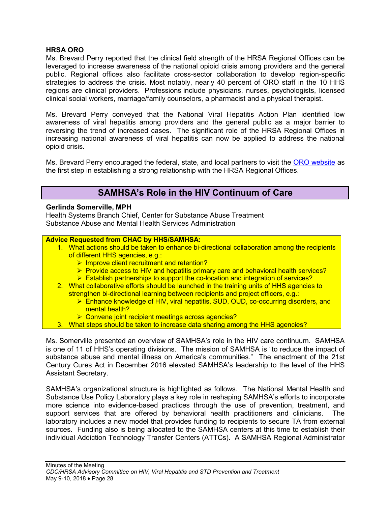#### **HRSA ORO**

Ms. Brevard Perry reported that the clinical field strength of the HRSA Regional Offices can be leveraged to increase awareness of the national opioid crisis among providers and the general public. Regional offices also facilitate cross-sector collaboration to develop region-specific strategies to address the crisis. Most notably, nearly 40 percent of ORO staff in the 10 HHS regions are clinical providers. Professions include physicians, nurses, psychologists, licensed clinical social workers, marriage/family counselors, a pharmacist and a physical therapist.

Ms. Brevard Perry conveyed that the National Viral Hepatitis Action Plan identified low awareness of viral hepatitis among providers and the general public as a major barrier to reversing the trend of increased cases. The significant role of the HRSA Regional Offices in increasing national awareness of viral hepatitis can now be applied to address the national opioid crisis.

Ms. Brevard Perry encouraged the federal, state, and local partners to visit the [ORO website](https://www.hrsa.gov/about/organization/bureaus/oro/index.html) as the first step in establishing a strong relationship with the HRSA Regional Offices.

## **SAMHSA's Role in the HIV Continuum of Care**

#### <span id="page-30-0"></span>**Gerlinda Somerville, MPH**

Health Systems Branch Chief, Center for Substance Abuse Treatment Substance Abuse and Mental Health Services Administration

#### **Advice Requested from CHAC by HHS/SAMHSA:**

- 1. What actions should be taken to enhance bi-directional collaboration among the recipients of different HHS agencies, e.g.:
	- $\triangleright$  Improve client recruitment and retention?
	- Provide access to HIV and hepatitis primary care and behavioral health services?
	- Establish partnerships to support the co-location and integration of services?
- 2. What collaborative efforts should be launched in the training units of HHS agencies to strengthen bi-directional learning between recipients and project officers, e.g.:
	- Enhance knowledge of HIV, viral hepatitis, SUD, OUD, co-occurring disorders, and mental health?
	- **EX** Convene joint recipient meetings across agencies?
- 3. What steps should be taken to increase data sharing among the HHS agencies?

Ms. Somerville presented an overview of SAMHSA's role in the HIV care continuum. SAMHSA is one of 11 of HHS's operating divisions. The mission of SAMHSA is "to reduce the impact of substance abuse and mental illness on America's communities." The enactment of the 21st Century Cures Act in December 2016 elevated SAMHSA's leadership to the level of the HHS Assistant Secretary.

SAMHSA's organizational structure is highlighted as follows. The National Mental Health and Substance Use Policy Laboratory plays a key role in reshaping SAMHSA's efforts to incorporate more science into evidence-based practices through the use of prevention, treatment, and support services that are offered by behavioral health practitioners and clinicians. The laboratory includes a new model that provides funding to recipients to secure TA from external sources. Funding also is being allocated to the SAMHSA centers at this time to establish their individual Addiction Technology Transfer Centers (ATTCs). A SAMHSA Regional Administrator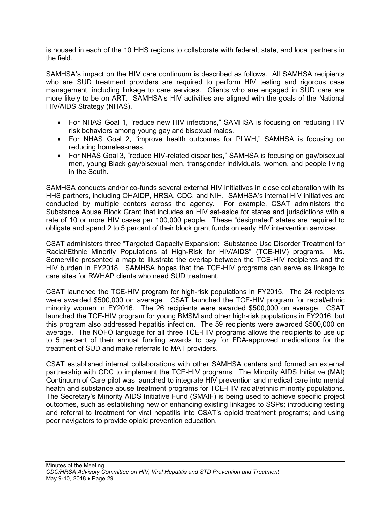is housed in each of the 10 HHS regions to collaborate with federal, state, and local partners in the field.

SAMHSA's impact on the HIV care continuum is described as follows. All SAMHSA recipients who are SUD treatment providers are required to perform HIV testing and rigorous case management, including linkage to care services. Clients who are engaged in SUD care are more likely to be on ART. SAMHSA's HIV activities are aligned with the goals of the National HIV/AIDS Strategy (NHAS).

- For NHAS Goal 1, "reduce new HIV infections," SAMHSA is focusing on reducing HIV risk behaviors among young gay and bisexual males.
- For NHAS Goal 2, "improve health outcomes for PLWH," SAMHSA is focusing on reducing homelessness.
- For NHAS Goal 3, "reduce HIV-related disparities," SAMHSA is focusing on gay/bisexual men, young Black gay/bisexual men, transgender individuals, women, and people living in the South.

SAMHSA conducts and/or co-funds several external HIV initiatives in close collaboration with its HHS partners, including OHAIDP, HRSA, CDC, and NIH. SAMHSA's internal HIV initiatives are conducted by multiple centers across the agency. For example, CSAT administers the Substance Abuse Block Grant that includes an HIV set-aside for states and jurisdictions with a rate of 10 or more HIV cases per 100,000 people. These "designated" states are required to obligate and spend 2 to 5 percent of their block grant funds on early HIV intervention services.

CSAT administers three "Targeted Capacity Expansion: Substance Use Disorder Treatment for Racial/Ethnic Minority Populations at High-Risk for HIV/AIDS" (TCE-HIV) programs. Ms. Somerville presented a map to illustrate the overlap between the TCE-HIV recipients and the HIV burden in FY2018. SAMHSA hopes that the TCE-HIV programs can serve as linkage to care sites for RWHAP clients who need SUD treatment.

CSAT launched the TCE-HIV program for high-risk populations in FY2015. The 24 recipients were awarded \$500,000 on average. CSAT launched the TCE-HIV program for racial/ethnic minority women in FY2016. The 26 recipients were awarded \$500,000 on average. CSAT launched the TCE-HIV program for young BMSM and other high-risk populations in FY2016, but this program also addressed hepatitis infection. The 59 recipients were awarded \$500,000 on average. The NOFO language for all three TCE-HIV programs allows the recipients to use up to 5 percent of their annual funding awards to pay for FDA-approved medications for the treatment of SUD and make referrals to MAT providers.

CSAT established internal collaborations with other SAMHSA centers and formed an external partnership with CDC to implement the TCE-HIV programs. The Minority AIDS Initiative (MAI) Continuum of Care pilot was launched to integrate HIV prevention and medical care into mental health and substance abuse treatment programs for TCE-HIV racial/ethnic minority populations. The Secretary's Minority AIDS Initiative Fund (SMAIF) is being used to achieve specific project outcomes, such as establishing new or enhancing existing linkages to SSPs; introducing testing and referral to treatment for viral hepatitis into CSAT's opioid treatment programs; and using peer navigators to provide opioid prevention education.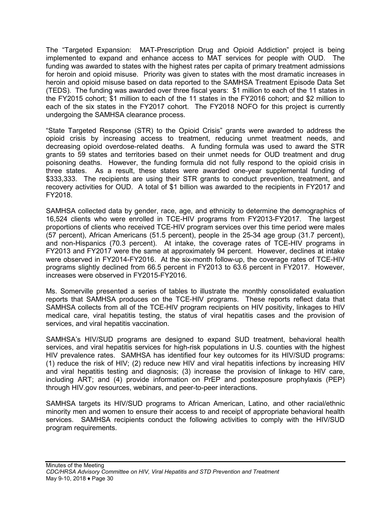The "Targeted Expansion: MAT-Prescription Drug and Opioid Addiction" project is being implemented to expand and enhance access to MAT services for people with OUD. The funding was awarded to states with the highest rates per capita of primary treatment admissions for heroin and opioid misuse. Priority was given to states with the most dramatic increases in heroin and opioid misuse based on data reported to the SAMHSA Treatment Episode Data Set (TEDS). The funding was awarded over three fiscal years: \$1 million to each of the 11 states in the FY2015 cohort; \$1 million to each of the 11 states in the FY2016 cohort; and \$2 million to each of the six states in the FY2017 cohort. The FY2018 NOFO for this project is currently undergoing the SAMHSA clearance process.

"State Targeted Response (STR) to the Opioid Crisis" grants were awarded to address the opioid crisis by increasing access to treatment, reducing unmet treatment needs, and decreasing opioid overdose-related deaths. A funding formula was used to award the STR grants to 59 states and territories based on their unmet needs for OUD treatment and drug poisoning deaths. However, the funding formula did not fully respond to the opioid crisis in three states. As a result, these states were awarded one-year supplemental funding of \$333,333. The recipients are using their STR grants to conduct prevention, treatment, and recovery activities for OUD. A total of \$1 billion was awarded to the recipients in FY2017 and FY2018.

SAMHSA collected data by gender, race, age, and ethnicity to determine the demographics of 16,524 clients who were enrolled in TCE-HIV programs from FY2013-FY2017. The largest proportions of clients who received TCE-HIV program services over this time period were males (57 percent), African Americans (51.5 percent), people in the 25-34 age group (31.7 percent), and non-Hispanics (70.3 percent). At intake, the coverage rates of TCE-HIV programs in FY2013 and FY2017 were the same at approximately 94 percent. However, declines at intake were observed in FY2014-FY2016. At the six-month follow-up, the coverage rates of TCE-HIV programs slightly declined from 66.5 percent in FY2013 to 63.6 percent in FY2017. However, increases were observed in FY2015-FY2016.

Ms. Somerville presented a series of tables to illustrate the monthly consolidated evaluation reports that SAMHSA produces on the TCE-HIV programs. These reports reflect data that SAMHSA collects from all of the TCE-HIV program recipients on HIV positivity, linkages to HIV medical care, viral hepatitis testing, the status of viral hepatitis cases and the provision of services, and viral hepatitis vaccination.

SAMHSA's HIV/SUD programs are designed to expand SUD treatment, behavioral health services, and viral hepatitis services for high-risk populations in U.S. counties with the highest HIV prevalence rates. SAMHSA has identified four key outcomes for its HIV/SUD programs: (1) reduce the risk of HIV; (2) reduce new HIV and viral hepatitis infections by increasing HIV and viral hepatitis testing and diagnosis; (3) increase the provision of linkage to HIV care, including ART; and (4) provide information on PrEP and postexposure prophylaxis (PEP) through HIV.gov resources, webinars, and peer-to-peer interactions.

SAMHSA targets its HIV/SUD programs to African American, Latino, and other racial/ethnic minority men and women to ensure their access to and receipt of appropriate behavioral health services. SAMHSA recipients conduct the following activities to comply with the HIV/SUD program requirements.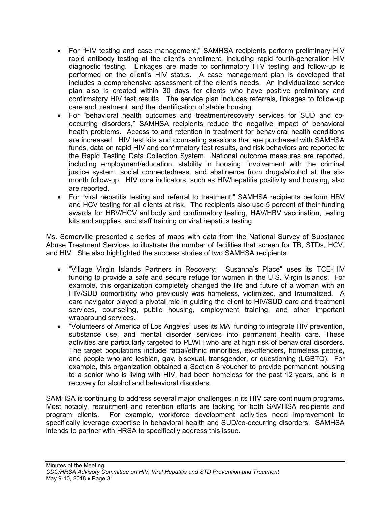- For "HIV testing and case management," SAMHSA recipients perform preliminary HIV rapid antibody testing at the client's enrollment, including rapid fourth-generation HIV diagnostic testing. Linkages are made to confirmatory HIV testing and follow-up is performed on the client's HIV status. A case management plan is developed that includes a comprehensive assessment of the client's needs. An individualized service plan also is created within 30 days for clients who have positive preliminary and confirmatory HIV test results. The service plan includes referrals, linkages to follow-up care and treatment, and the identification of stable housing.
- For "behavioral health outcomes and treatment/recovery services for SUD and cooccurring disorders," SAMHSA recipients reduce the negative impact of behavioral health problems. Access to and retention in treatment for behavioral health conditions are increased. HIV test kits and counseling sessions that are purchased with SAMHSA funds, data on rapid HIV and confirmatory test results, and risk behaviors are reported to the Rapid Testing Data Collection System. National outcome measures are reported, including employment/education, stability in housing, involvement with the criminal justice system, social connectedness, and abstinence from drugs/alcohol at the sixmonth follow-up. HIV core indicators, such as HIV/hepatitis positivity and housing, also are reported.
- For "viral hepatitis testing and referral to treatment," SAMHSA recipients perform HBV and HCV testing for all clients at risk. The recipients also use 5 percent of their funding awards for HBV/HCV antibody and confirmatory testing, HAV/HBV vaccination, testing kits and supplies, and staff training on viral hepatitis testing.

Ms. Somerville presented a series of maps with data from the National Survey of Substance Abuse Treatment Services to illustrate the number of facilities that screen for TB, STDs, HCV, and HIV. She also highlighted the success stories of two SAMHSA recipients.

- "Village Virgin Islands Partners in Recovery: Susanna's Place" uses its TCE-HIV funding to provide a safe and secure refuge for women in the U.S. Virgin Islands. For example, this organization completely changed the life and future of a woman with an HIV/SUD comorbidity who previously was homeless, victimized, and traumatized. A care navigator played a pivotal role in guiding the client to HIV/SUD care and treatment services, counseling, public housing, employment training, and other important wraparound services.
- "Volunteers of America of Los Angeles" uses its MAI funding to integrate HIV prevention, substance use, and mental disorder services into permanent health care. These activities are particularly targeted to PLWH who are at high risk of behavioral disorders. The target populations include racial/ethnic minorities, ex-offenders, homeless people, and people who are lesbian, gay, bisexual, transgender, or questioning (LGBTQ). For example, this organization obtained a Section 8 voucher to provide permanent housing to a senior who is living with HIV, had been homeless for the past 12 years, and is in recovery for alcohol and behavioral disorders.

SAMHSA is continuing to address several major challenges in its HIV care continuum programs. Most notably, recruitment and retention efforts are lacking for both SAMHSA recipients and program clients. For example, workforce development activities need improvement to specifically leverage expertise in behavioral health and SUD/co-occurring disorders. SAMHSA intends to partner with HRSA to specifically address this issue.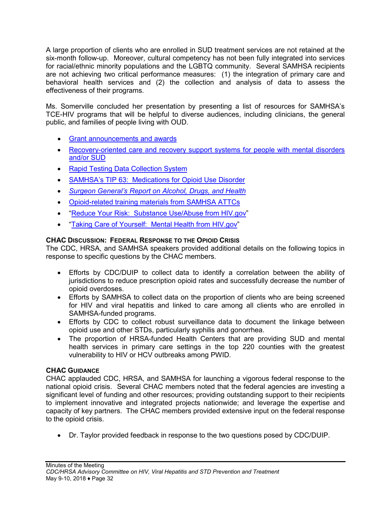A large proportion of clients who are enrolled in SUD treatment services are not retained at the six-month follow-up. Moreover, cultural competency has not been fully integrated into services for racial/ethnic minority populations and the LGBTQ community. Several SAMHSA recipients are not achieving two critical performance measures: (1) the integration of primary care and behavioral health services and (2) the collection and analysis of data to assess the effectiveness of their programs.

Ms. Somerville concluded her presentation by presenting a list of resources for SAMHSA's TCE-HIV programs that will be helpful to diverse audiences, including clinicians, the general public, and families of people living with OUD.

- [Grant announcements and awards](http://www.samhsa.gov/grants/grant-announcements)
- [Recovery-oriented care and recovery support systems for people with mental disorders](https://www.samhsa.gov/recovery)  [and/or SUD](https://www.samhsa.gov/recovery)
- [Rapid Testing Data Collection System](https://rhht.samhsa.gov/auth/login)
- [SAMHSA's TIP 63: Medications for Opioid Use Disorder](https://store.samhsa.gov/product/SMA18-5063FULLDOC)
- *[Surgeon General's Report on Alcohol, Drugs, and Health](https://addiction.surgeongeneral.gov/sites/default/files/surgeon-generals-report.pdf)*
- [Opioid-related training materials from SAMHSA](http://attcnetwork.org/projects/opioid.aspx) ATTCs
- ["Reduce Your Risk: Substance Use/Abuse from HIV.gov"](https://www.hiv.gov/hiv-basics/hiv-prevention/reducing-risk-from-alcohol-and-druguse/alcohol-and-drug-use-and-hiv-risk)
- "Taking Care [of Yourself: Mental Health from HIV.gov"](https://www.hiv.gov/hiv-basics/staying-in-hiv-care/other-related-healthissues/mental-health)

#### **CHAC DISCUSSION: FEDERAL RESPONSE TO THE OPIOID CRISIS**

The CDC, HRSA, and SAMHSA speakers provided additional details on the following topics in response to specific questions by the CHAC members.

- Efforts by CDC/DUIP to collect data to identify a correlation between the ability of jurisdictions to reduce prescription opioid rates and successfully decrease the number of opioid overdoses.
- Efforts by SAMHSA to collect data on the proportion of clients who are being screened for HIV and viral hepatitis and linked to care among all clients who are enrolled in SAMHSA-funded programs.
- Efforts by CDC to collect robust surveillance data to document the linkage between opioid use and other STDs, particularly syphilis and gonorrhea.
- The proportion of HRSA-funded Health Centers that are providing SUD and mental health services in primary care settings in the top 220 counties with the greatest vulnerability to HIV or HCV outbreaks among PWID.

#### **CHAC GUIDANCE**

CHAC applauded CDC, HRSA, and SAMHSA for launching a vigorous federal response to the national opioid crisis. Several CHAC members noted that the federal agencies are investing a significant level of funding and other resources; providing outstanding support to their recipients to implement innovative and integrated projects nationwide; and leverage the expertise and capacity of key partners. The CHAC members provided extensive input on the federal response to the opioid crisis.

• Dr. Taylor provided feedback in response to the two questions posed by CDC/DUIP.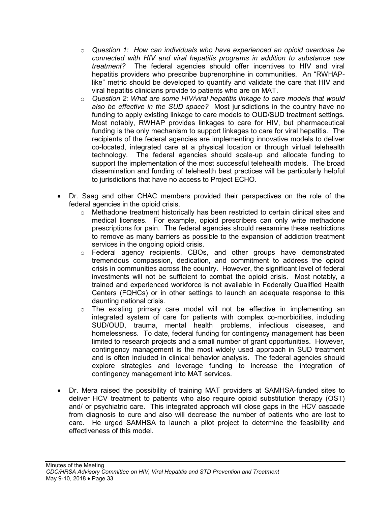- o *Question 1: How can individuals who have experienced an opioid overdose be connected with HIV and viral hepatitis programs in addition to substance use treatment?* The federal agencies should offer incentives to HIV and viral hepatitis providers who prescribe buprenorphine in communities. An "RWHAPlike" metric should be developed to quantify and validate the care that HIV and viral hepatitis clinicians provide to patients who are on MAT.
- o *Question 2: What are some HIV/viral hepatitis linkage to care models that would also be effective in the SUD space?* Most jurisdictions in the country have no funding to apply existing linkage to care models to OUD/SUD treatment settings. Most notably, RWHAP provides linkages to care for HIV, but pharmaceutical funding is the only mechanism to support linkages to care for viral hepatitis. The recipients of the federal agencies are implementing innovative models to deliver co-located, integrated care at a physical location or through virtual telehealth technology. The federal agencies should scale-up and allocate funding to support the implementation of the most successful telehealth models. The broad dissemination and funding of telehealth best practices will be particularly helpful to jurisdictions that have no access to Project ECHO.
- Dr. Saag and other CHAC members provided their perspectives on the role of the federal agencies in the opioid crisis.
	- $\circ$  Methadone treatment historically has been restricted to certain clinical sites and medical licenses. For example, opioid prescribers can only write methadone prescriptions for pain. The federal agencies should reexamine these restrictions to remove as many barriers as possible to the expansion of addiction treatment services in the ongoing opioid crisis.
	- o Federal agency recipients, CBOs, and other groups have demonstrated tremendous compassion, dedication, and commitment to address the opioid crisis in communities across the country. However, the significant level of federal investments will not be sufficient to combat the opioid crisis. Most notably, a trained and experienced workforce is not available in Federally Qualified Health Centers (FQHCs) or in other settings to launch an adequate response to this daunting national crisis.
	- o The existing primary care model will not be effective in implementing an integrated system of care for patients with complex co-morbidities, including SUD/OUD, trauma, mental health problems, infectious diseases, and homelessness. To date, federal funding for contingency management has been limited to research projects and a small number of grant opportunities. However, contingency management is the most widely used approach in SUD treatment and is often included in clinical behavior analysis. The federal agencies should explore strategies and leverage funding to increase the integration of contingency management into MAT services.
- Dr. Mera raised the possibility of training MAT providers at SAMHSA-funded sites to deliver HCV treatment to patients who also require opioid substitution therapy (OST) and/ or psychiatric care. This integrated approach will close gaps in the HCV cascade from diagnosis to cure and also will decrease the number of patients who are lost to care. He urged SAMHSA to launch a pilot project to determine the feasibility and effectiveness of this model.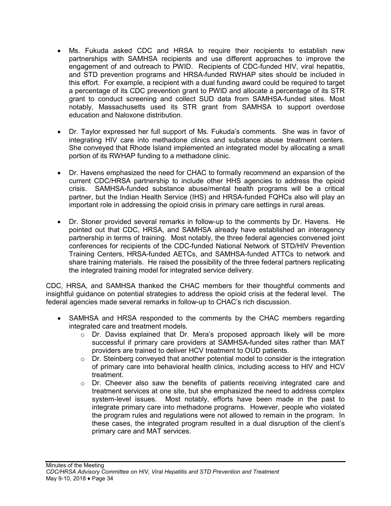- Ms. Fukuda asked CDC and HRSA to require their recipients to establish new partnerships with SAMHSA recipients and use different approaches to improve the engagement of and outreach to PWID. Recipients of CDC-funded HIV, viral hepatitis, and STD prevention programs and HRSA-funded RWHAP sites should be included in this effort. For example, a recipient with a dual funding award could be required to target a percentage of its CDC prevention grant to PWID and allocate a percentage of its STR grant to conduct screening and collect SUD data from SAMHSA-funded sites. Most notably, Massachusetts used its STR grant from SAMHSA to support overdose education and Naloxone distribution.
- Dr. Taylor expressed her full support of Ms. Fukuda's comments. She was in favor of integrating HIV care into methadone clinics and substance abuse treatment centers. She conveyed that Rhode Island implemented an integrated model by allocating a small portion of its RWHAP funding to a methadone clinic.
- Dr. Havens emphasized the need for CHAC to formally recommend an expansion of the current CDC/HRSA partnership to include other HHS agencies to address the opioid crisis. SAMHSA-funded substance abuse/mental health programs will be a critical partner, but the Indian Health Service (IHS) and HRSA-funded FQHCs also will play an important role in addressing the opioid crisis in primary care settings in rural areas.
- Dr. Stoner provided several remarks in follow-up to the comments by Dr. Havens. He pointed out that CDC, HRSA, and SAMHSA already have established an interagency partnership in terms of training. Most notably, the three federal agencies convened joint conferences for recipients of the CDC-funded National Network of STD/HIV Prevention Training Centers, HRSA-funded AETCs, and SAMHSA-funded ATTCs to network and share training materials. He raised the possibility of the three federal partners replicating the integrated training model for integrated service delivery.

CDC, HRSA, and SAMHSA thanked the CHAC members for their thoughtful comments and insightful guidance on potential strategies to address the opioid crisis at the federal level. The federal agencies made several remarks in follow-up to CHAC's rich discussion.

- SAMHSA and HRSA responded to the comments by the CHAC members regarding integrated care and treatment models.
	- o Dr. Daviss explained that Dr. Mera's proposed approach likely will be more successful if primary care providers at SAMHSA-funded sites rather than MAT providers are trained to deliver HCV treatment to OUD patients.
	- o Dr. Steinberg conveyed that another potential model to consider is the integration of primary care into behavioral health clinics, including access to HIV and HCV treatment.
	- o Dr. Cheever also saw the benefits of patients receiving integrated care and treatment services at one site, but she emphasized the need to address complex system-level issues. Most notably, efforts have been made in the past to integrate primary care into methadone programs. However, people who violated the program rules and regulations were not allowed to remain in the program. In these cases, the integrated program resulted in a dual disruption of the client's primary care and MAT services.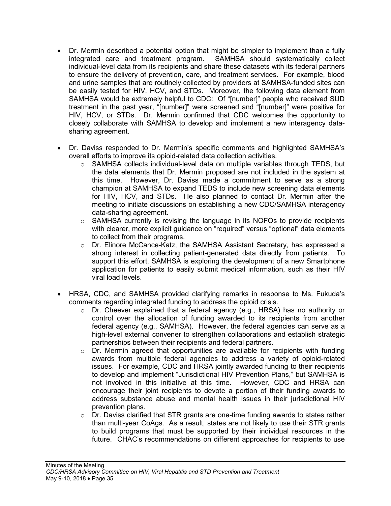- Dr. Mermin described a potential option that might be simpler to implement than a fully integrated care and treatment program. SAMHSA should systematically collect individual-level data from its recipients and share these datasets with its federal partners to ensure the delivery of prevention, care, and treatment services. For example, blood and urine samples that are routinely collected by providers at SAMHSA-funded sites can be easily tested for HIV, HCV, and STDs. Moreover, the following data element from SAMHSA would be extremely helpful to CDC: Of "[number]" people who received SUD treatment in the past year, "[number]" were screened and "[number]" were positive for HIV, HCV, or STDs. Dr. Mermin confirmed that CDC welcomes the opportunity to closely collaborate with SAMHSA to develop and implement a new interagency datasharing agreement.
- Dr. Daviss responded to Dr. Mermin's specific comments and highlighted SAMHSA's overall efforts to improve its opioid-related data collection activities.
	- $\circ$  SAMHSA collects individual-level data on multiple variables through TEDS, but the data elements that Dr. Mermin proposed are not included in the system at this time. However, Dr. Daviss made a commitment to serve as a strong champion at SAMHSA to expand TEDS to include new screening data elements for HIV, HCV, and STDs. He also planned to contact Dr. Mermin after the meeting to initiate discussions on establishing a new CDC/SAMHSA interagency data-sharing agreement.
	- $\circ$  SAMHSA currently is revising the language in its NOFOs to provide recipients with clearer, more explicit guidance on "required" versus "optional" data elements to collect from their programs.
	- o Dr. Elinore McCance-Katz, the SAMHSA Assistant Secretary, has expressed a strong interest in collecting patient-generated data directly from patients. To support this effort, SAMHSA is exploring the development of a new Smartphone application for patients to easily submit medical information, such as their HIV viral load levels.
- HRSA, CDC, and SAMHSA provided clarifying remarks in response to Ms. Fukuda's comments regarding integrated funding to address the opioid crisis.
	- o Dr. Cheever explained that a federal agency (e.g., HRSA) has no authority or control over the allocation of funding awarded to its recipients from another federal agency (e.g., SAMHSA). However, the federal agencies can serve as a high-level external convener to strengthen collaborations and establish strategic partnerships between their recipients and federal partners.
	- $\circ$  Dr. Mermin agreed that opportunities are available for recipients with funding awards from multiple federal agencies to address a variety of opioid-related issues. For example, CDC and HRSA jointly awarded funding to their recipients to develop and implement "Jurisdictional HIV Prevention Plans," but SAMHSA is not involved in this initiative at this time. However, CDC and HRSA can encourage their joint recipients to devote a portion of their funding awards to address substance abuse and mental health issues in their jurisdictional HIV prevention plans.
	- $\circ$  Dr. Daviss clarified that STR grants are one-time funding awards to states rather than multi-year CoAgs. As a result, states are not likely to use their STR grants to build programs that must be supported by their individual resources in the future. CHAC's recommendations on different approaches for recipients to use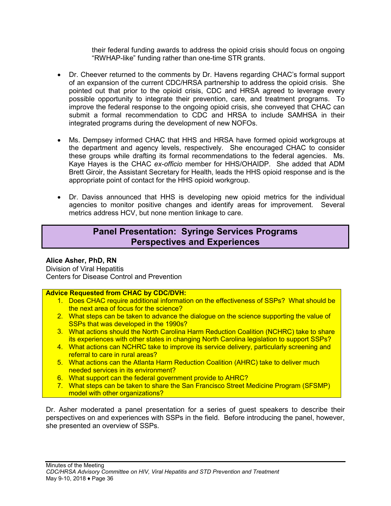their federal funding awards to address the opioid crisis should focus on ongoing "RWHAP-like" funding rather than one-time STR grants.

- Dr. Cheever returned to the comments by Dr. Havens regarding CHAC's formal support of an expansion of the current CDC/HRSA partnership to address the opioid crisis. She pointed out that prior to the opioid crisis, CDC and HRSA agreed to leverage every possible opportunity to integrate their prevention, care, and treatment programs. To improve the federal response to the ongoing opioid crisis, she conveyed that CHAC can submit a formal recommendation to CDC and HRSA to include SAMHSA in their integrated programs during the development of new NOFOs.
- Ms. Dempsey informed CHAC that HHS and HRSA have formed opioid workgroups at the department and agency levels, respectively. She encouraged CHAC to consider these groups while drafting its formal recommendations to the federal agencies. Ms. Kaye Hayes is the CHAC *ex-officio* member for HHS/OHAIDP. She added that ADM Brett Giroir, the Assistant Secretary for Health, leads the HHS opioid response and is the appropriate point of contact for the HHS opioid workgroup.
- Dr. Daviss announced that HHS is developing new opioid metrics for the individual agencies to monitor positive changes and identify areas for improvement. Several metrics address HCV, but none mention linkage to care.

# **Panel Presentation: Syringe Services Programs Perspectives and Experiences**

### **Alice Asher, PhD, RN**

Division of Viral Hepatitis Centers for Disease Control and Prevention

#### **Advice Requested from CHAC by CDC/DVH:**

- 1. Does CHAC require additional information on the effectiveness of SSPs? What should be the next area of focus for the science?
- 2. What steps can be taken to advance the dialogue on the science supporting the value of SSPs that was developed in the 1990s?
- 3. What actions should the North Carolina Harm Reduction Coalition (NCHRC) take to share its experiences with other states in changing North Carolina legislation to support SSPs?
- 4. What actions can NCHRC take to improve its service delivery, particularly screening and referral to care in rural areas?
- 5. What actions can the Atlanta Harm Reduction Coalition (AHRC) take to deliver much needed services in its environment?
- 6. What support can the federal government provide to AHRC?
- 7. What steps can be taken to share the San Francisco Street Medicine Program (SFSMP) model with other organizations?

Dr. Asher moderated a panel presentation for a series of guest speakers to describe their perspectives on and experiences with SSPs in the field. Before introducing the panel, however, she presented an overview of SSPs.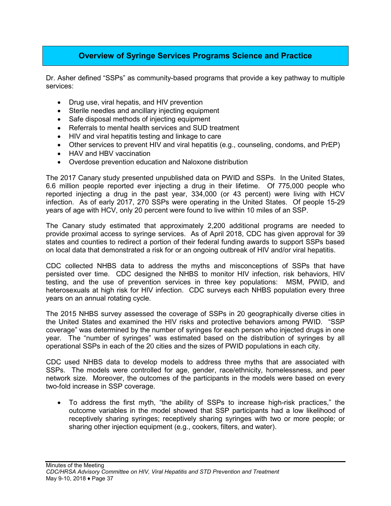# **Overview of Syringe Services Programs Science and Practice**

Dr. Asher defined "SSPs" as community-based programs that provide a key pathway to multiple services:

- Drug use, viral hepatis, and HIV prevention
- Sterile needles and ancillary injecting equipment
- Safe disposal methods of injecting equipment
- Referrals to mental health services and SUD treatment
- HIV and viral hepatitis testing and linkage to care
- Other services to prevent HIV and viral hepatitis (e.g., counseling, condoms, and PrEP)
- HAV and HBV vaccination
- Overdose prevention education and Naloxone distribution

The 2017 Canary study presented unpublished data on PWID and SSPs. In the United States, 6.6 million people reported ever injecting a drug in their lifetime. Of 775,000 people who reported injecting a drug in the past year, 334,000 (or 43 percent) were living with HCV infection. As of early 2017, 270 SSPs were operating in the United States. Of people 15-29 years of age with HCV, only 20 percent were found to live within 10 miles of an SSP.

The Canary study estimated that approximately 2,200 additional programs are needed to provide proximal access to syringe services. As of April 2018, CDC has given approval for 39 states and counties to redirect a portion of their federal funding awards to support SSPs based on local data that demonstrated a risk for or an ongoing outbreak of HIV and/or viral hepatitis.

CDC collected NHBS data to address the myths and misconceptions of SSPs that have persisted over time. CDC designed the NHBS to monitor HIV infection, risk behaviors, HIV testing, and the use of prevention services in three key populations: MSM, PWID, and heterosexuals at high risk for HIV infection. CDC surveys each NHBS population every three years on an annual rotating cycle.

The 2015 NHBS survey assessed the coverage of SSPs in 20 geographically diverse cities in the United States and examined the HIV risks and protective behaviors among PWID. "SSP coverage" was determined by the number of syringes for each person who injected drugs in one year. The "number of syringes" was estimated based on the distribution of syringes by all operational SSPs in each of the 20 cities and the sizes of PWID populations in each city.

CDC used NHBS data to develop models to address three myths that are associated with SSPs. The models were controlled for age, gender, race/ethnicity, homelessness, and peer network size. Moreover, the outcomes of the participants in the models were based on every two-fold increase in SSP coverage.

• To address the first myth, "the ability of SSPs to increase high-risk practices," the outcome variables in the model showed that SSP participants had a low likelihood of receptively sharing syringes; receptively sharing syringes with two or more people; or sharing other injection equipment (e.g., cookers, filters, and water).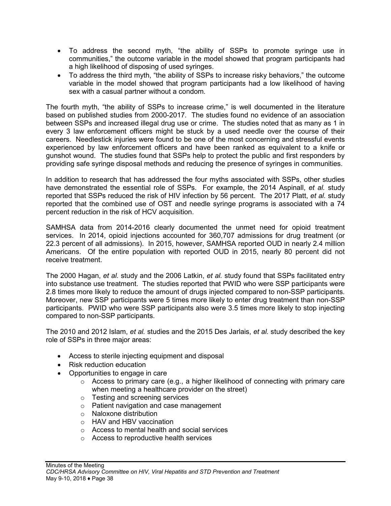- To address the second myth, "the ability of SSPs to promote syringe use in communities," the outcome variable in the model showed that program participants had a high likelihood of disposing of used syringes.
- To address the third myth, "the ability of SSPs to increase risky behaviors," the outcome variable in the model showed that program participants had a low likelihood of having sex with a casual partner without a condom.

The fourth myth, "the ability of SSPs to increase crime," is well documented in the literature based on published studies from 2000-2017. The studies found no evidence of an association between SSPs and increased illegal drug use or crime. The studies noted that as many as 1 in every 3 law enforcement officers might be stuck by a used needle over the course of their careers. Needlestick injuries were found to be one of the most concerning and stressful events experienced by law enforcement officers and have been ranked as equivalent to a knife or gunshot wound. The studies found that SSPs help to protect the public and first responders by providing safe syringe disposal methods and reducing the presence of syringes in communities.

In addition to research that has addressed the four myths associated with SSPs, other studies have demonstrated the essential role of SSPs. For example, the 2014 Aspinall, *et al.* study reported that SSPs reduced the risk of HIV infection by 56 percent. The 2017 Platt, *et al.* study reported that the combined use of OST and needle syringe programs is associated with a 74 percent reduction in the risk of HCV acquisition.

SAMHSA data from 2014-2016 clearly documented the unmet need for opioid treatment services. In 2014, opioid injections accounted for 360,707 admissions for drug treatment (or 22.3 percent of all admissions). In 2015, however, SAMHSA reported OUD in nearly 2.4 million Americans. Of the entire population with reported OUD in 2015, nearly 80 percent did not receive treatment.

The 2000 Hagan, *et al.* study and the 2006 Latkin, *et al.* study found that SSPs facilitated entry into substance use treatment. The studies reported that PWID who were SSP participants were 2.8 times more likely to reduce the amount of drugs injected compared to non-SSP participants. Moreover, new SSP participants were 5 times more likely to enter drug treatment than non-SSP participants. PWID who were SSP participants also were 3.5 times more likely to stop injecting compared to non-SSP participants.

The 2010 and 2012 Islam, *et al.* studies and the 2015 Des Jarlais, *et al.* study described the key role of SSPs in three major areas:

- Access to sterile injecting equipment and disposal
- Risk reduction education
- Opportunities to engage in care
	- $\circ$  Access to primary care (e.g., a higher likelihood of connecting with primary care when meeting a healthcare provider on the street)
	- o Testing and screening services
	- o Patient navigation and case management
	- o Naloxone distribution
	- o HAV and HBV vaccination
	- o Access to mental health and social services
	- o Access to reproductive health services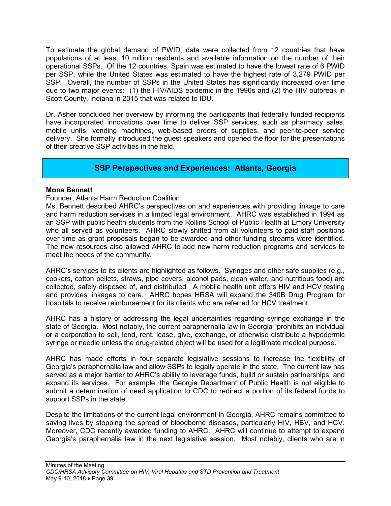To estimate the global demand of PWID, data were collected from 12 countries that have populations of at least 10 million residents and available information on the number of their operational SSPs. Of the 12 countries, Spain was estimated to have the lowest rate of 6 PWID per SSP, while the United States was estimated to have the highest rate of 3,279 PWID per SSP. Overall, the number of SSPs in the United States has significantly increased over time due to two major events: (1) the HIV/AIDS epidemic in the 1990s and (2) the HIV outbreak in Scott County, Indiana in 2015 that was related to IDU.

Dr. Asher concluded her overview by informing the participants that federally funded recipients have incorporated innovations over time to deliver SSP services, such as pharmacy sales, mobile units, vending machines, web-based orders of supplies, and peer-to-peer service delivery. She formally introduced the guest speakers and opened the floor for the presentations of their creative SSP activities in the field.

### **SSP Perspectives and Experiences: Atlanta, Georgia**

#### **Mona Bennett**

Founder, Atlanta Harm Reduction Coalition

Ms. Bennett described AHRC's perspectives on and experiences with providing linkage to care and harm reduction services in a limited legal environment. AHRC was established in 1994 as an SSP with public health students from the Rollins School of Public Health at Emory University who all served as volunteers. AHRC slowly shifted from all volunteers to paid staff positions over time as grant proposals began to be awarded and other funding streams were identified. The new resources also allowed AHRC to add new harm reduction programs and services to meet the needs of the community.

AHRC's services to its clients are highlighted as follows. Syringes and other safe supplies (e.g., cookers, cotton pellets, straws, pipe covers, alcohol pads, clean water, and nutritious food) are collected, safely disposed of, and distributed. A mobile health unit offers HIV and HCV testing and provides linkages to care. AHRC hopes HRSA will expand the 340B Drug Program for hospitals to receive reimbursement for its clients who are referred for HCV treatment.

AHRC has a history of addressing the legal uncertainties regarding syringe exchange in the state of Georgia. Most notably, the current paraphernalia law in Georgia "prohibits an individual or a corporation to sell, lend, rent, lease, give, exchange, or otherwise distribute a hypodermic syringe or needle unless the drug-related object will be used for a legitimate medical purpose."

AHRC has made efforts in four separate legislative sessions to increase the flexibility of Georgia's paraphernalia law and allow SSPs to legally operate in the state. The current law has served as a major barrier to AHRC's ability to leverage funds, build or sustain partnerships, and expand its services. For example, the Georgia Department of Public Health is not eligible to submit a determination of need application to CDC to redirect a portion of its federal funds to support SSPs in the state.

Despite the limitations of the current legal environment in Georgia, AHRC remains committed to saving lives by stopping the spread of bloodborne diseases, particularly HIV, HBV, and HCV. Moreover, CDC recently awarded funding to AHRC. AHRC will continue to attempt to expand Georgia's paraphernalia law in the next legislative session. Most notably, clients who are in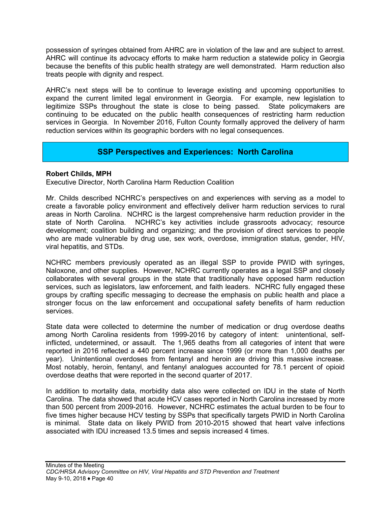possession of syringes obtained from AHRC are in violation of the law and are subject to arrest. AHRC will continue its advocacy efforts to make harm reduction a statewide policy in Georgia because the benefits of this public health strategy are well demonstrated. Harm reduction also treats people with dignity and respect.

AHRC's next steps will be to continue to leverage existing and upcoming opportunities to expand the current limited legal environment in Georgia. For example, new legislation to legitimize SSPs throughout the state is close to being passed. State policymakers are continuing to be educated on the public health consequences of restricting harm reduction services in Georgia. In November 2016, Fulton County formally approved the delivery of harm reduction services within its geographic borders with no legal consequences.

# **SSP Perspectives and Experiences: North Carolina**

#### **Robert Childs, MPH**

Executive Director, North Carolina Harm Reduction Coalition

Mr. Childs described NCHRC's perspectives on and experiences with serving as a model to create a favorable policy environment and effectively deliver harm reduction services to rural areas in North Carolina. NCHRC is the largest comprehensive harm reduction provider in the state of North Carolina. NCHRC's key activities include grassroots advocacy; resource development; coalition building and organizing; and the provision of direct services to people who are made vulnerable by drug use, sex work, overdose, immigration status, gender, HIV, viral hepatitis, and STDs.

NCHRC members previously operated as an illegal SSP to provide PWID with syringes, Naloxone, and other supplies. However, NCHRC currently operates as a legal SSP and closely collaborates with several groups in the state that traditionally have opposed harm reduction services, such as legislators, law enforcement, and faith leaders. NCHRC fully engaged these groups by crafting specific messaging to decrease the emphasis on public health and place a stronger focus on the law enforcement and occupational safety benefits of harm reduction services.

State data were collected to determine the number of medication or drug overdose deaths among North Carolina residents from 1999-2016 by category of intent: unintentional, selfinflicted, undetermined, or assault. The 1,965 deaths from all categories of intent that were reported in 2016 reflected a 440 percent increase since 1999 (or more than 1,000 deaths per year). Unintentional overdoses from fentanyl and heroin are driving this massive increase. Most notably, heroin, fentanyl, and fentanyl analogues accounted for 78.1 percent of opioid overdose deaths that were reported in the second quarter of 2017.

In addition to mortality data, morbidity data also were collected on IDU in the state of North Carolina. The data showed that acute HCV cases reported in North Carolina increased by more than 500 percent from 2009-2016. However, NCHRC estimates the actual burden to be four to five times higher because HCV testing by SSPs that specifically targets PWID in North Carolina is minimal. State data on likely PWID from 2010-2015 showed that heart valve infections associated with IDU increased 13.5 times and sepsis increased 4 times.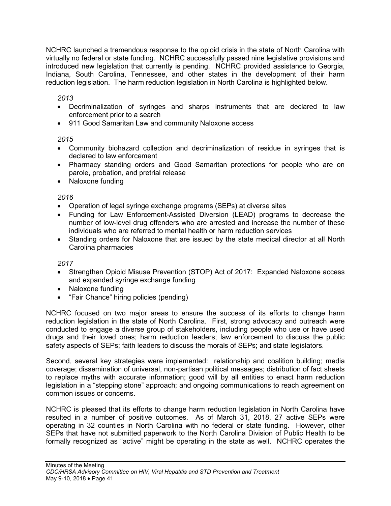NCHRC launched a tremendous response to the opioid crisis in the state of North Carolina with virtually no federal or state funding. NCHRC successfully passed nine legislative provisions and introduced new legislation that currently is pending. NCHRC provided assistance to Georgia, Indiana, South Carolina, Tennessee, and other states in the development of their harm reduction legislation. The harm reduction legislation in North Carolina is highlighted below.

*2013*

- Decriminalization of syringes and sharps instruments that are declared to law enforcement prior to a search
- 911 Good Samaritan Law and community Naloxone access

*2015*

- Community biohazard collection and decriminalization of residue in syringes that is declared to law enforcement
- Pharmacy standing orders and Good Samaritan protections for people who are on parole, probation, and pretrial release
- Naloxone funding

*2016*

- Operation of legal syringe exchange programs (SEPs) at diverse sites
- Funding for Law Enforcement-Assisted Diversion (LEAD) programs to decrease the number of low-level drug offenders who are arrested and increase the number of these individuals who are referred to mental health or harm reduction services
- Standing orders for Naloxone that are issued by the state medical director at all North Carolina pharmacies

*2017*

- Strengthen Opioid Misuse Prevention (STOP) Act of 2017: Expanded Naloxone access and expanded syringe exchange funding
- Naloxone funding
- "Fair Chance" hiring policies (pending)

NCHRC focused on two major areas to ensure the success of its efforts to change harm reduction legislation in the state of North Carolina. First, strong advocacy and outreach were conducted to engage a diverse group of stakeholders, including people who use or have used drugs and their loved ones; harm reduction leaders; law enforcement to discuss the public safety aspects of SEPs; faith leaders to discuss the morals of SEPs; and state legislators.

Second, several key strategies were implemented: relationship and coalition building; media coverage; dissemination of universal, non-partisan political messages; distribution of fact sheets to replace myths with accurate information; good will by all entities to enact harm reduction legislation in a "stepping stone" approach; and ongoing communications to reach agreement on common issues or concerns.

NCHRC is pleased that its efforts to change harm reduction legislation in North Carolina have resulted in a number of positive outcomes. As of March 31, 2018, 27 active SEPs were operating in 32 counties in North Carolina with no federal or state funding. However, other SEPs that have not submitted paperwork to the North Carolina Division of Public Health to be formally recognized as "active" might be operating in the state as well. NCHRC operates the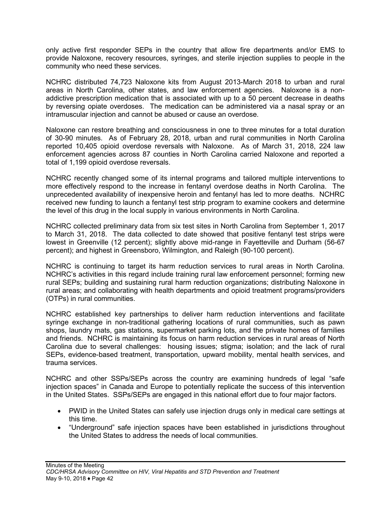only active first responder SEPs in the country that allow fire departments and/or EMS to provide Naloxone, recovery resources, syringes, and sterile injection supplies to people in the community who need these services.

NCHRC distributed 74,723 Naloxone kits from August 2013-March 2018 to urban and rural areas in North Carolina, other states, and law enforcement agencies. Naloxone is a nonaddictive prescription medication that is associated with up to a 50 percent decrease in deaths by reversing opiate overdoses. The medication can be administered via a nasal spray or an intramuscular injection and cannot be abused or cause an overdose.

Naloxone can restore breathing and consciousness in one to three minutes for a total duration of 30-90 minutes. As of February 28, 2018, urban and rural communities in North Carolina reported 10,405 opioid overdose reversals with Naloxone. As of March 31, 2018, 224 law enforcement agencies across 87 counties in North Carolina carried Naloxone and reported a total of 1,199 opioid overdose reversals.

NCHRC recently changed some of its internal programs and tailored multiple interventions to more effectively respond to the increase in fentanyl overdose deaths in North Carolina. The unprecedented availability of inexpensive heroin and fentanyl has led to more deaths. NCHRC received new funding to launch a fentanyl test strip program to examine cookers and determine the level of this drug in the local supply in various environments in North Carolina.

NCHRC collected preliminary data from six test sites in North Carolina from September 1, 2017 to March 31, 2018. The data collected to date showed that positive fentanyl test strips were lowest in Greenville (12 percent); slightly above mid-range in Fayetteville and Durham (56-67 percent); and highest in Greensboro, Wilmington, and Raleigh (90-100 percent).

NCHRC is continuing to target its harm reduction services to rural areas in North Carolina. NCHRC's activities in this regard include training rural law enforcement personnel; forming new rural SEPs; building and sustaining rural harm reduction organizations; distributing Naloxone in rural areas; and collaborating with health departments and opioid treatment programs/providers (OTPs) in rural communities.

NCHRC established key partnerships to deliver harm reduction interventions and facilitate syringe exchange in non-traditional gathering locations of rural communities, such as pawn shops, laundry mats, gas stations, supermarket parking lots, and the private homes of families and friends. NCHRC is maintaining its focus on harm reduction services in rural areas of North Carolina due to several challenges: housing issues; stigma; isolation; and the lack of rural SEPs, evidence-based treatment, transportation, upward mobility, mental health services, and trauma services.

NCHRC and other SSPs/SEPs across the country are examining hundreds of legal "safe injection spaces" in Canada and Europe to potentially replicate the success of this intervention in the United States. SSPs/SEPs are engaged in this national effort due to four major factors.

- PWID in the United States can safely use injection drugs only in medical care settings at this time.
- "Underground" safe injection spaces have been established in jurisdictions throughout the United States to address the needs of local communities.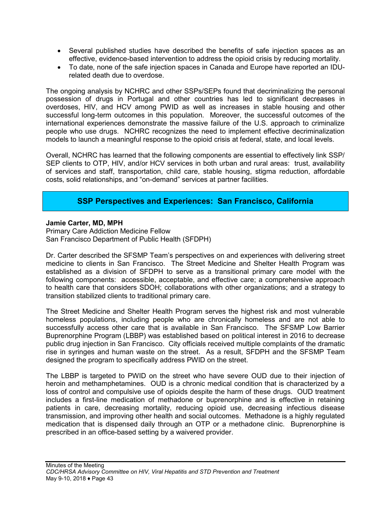- Several published studies have described the benefits of safe injection spaces as an effective, evidence-based intervention to address the opioid crisis by reducing mortality.
- To date, none of the safe injection spaces in Canada and Europe have reported an IDUrelated death due to overdose.

The ongoing analysis by NCHRC and other SSPs/SEPs found that decriminalizing the personal possession of drugs in Portugal and other countries has led to significant decreases in overdoses, HIV, and HCV among PWID as well as increases in stable housing and other successful long-term outcomes in this population. Moreover, the successful outcomes of the international experiences demonstrate the massive failure of the U.S. approach to criminalize people who use drugs. NCHRC recognizes the need to implement effective decriminalization models to launch a meaningful response to the opioid crisis at federal, state, and local levels.

Overall, NCHRC has learned that the following components are essential to effectively link SSP/ SEP clients to OTP, HIV, and/or HCV services in both urban and rural areas: trust, availability of services and staff, transportation, child care, stable housing, stigma reduction, affordable costs, solid relationships, and "on-demand" services at partner facilities.

### **SSP Perspectives and Experiences: San Francisco, California**

#### **Jamie Carter, MD, MPH**

Primary Care Addiction Medicine Fellow San Francisco Department of Public Health (SFDPH)

Dr. Carter described the SFSMP Team's perspectives on and experiences with delivering street medicine to clients in San Francisco. The Street Medicine and Shelter Health Program was established as a division of SFDPH to serve as a transitional primary care model with the following components: accessible, acceptable, and effective care; a comprehensive approach to health care that considers SDOH; collaborations with other organizations; and a strategy to transition stabilized clients to traditional primary care.

The Street Medicine and Shelter Health Program serves the highest risk and most vulnerable homeless populations, including people who are chronically homeless and are not able to successfully access other care that is available in San Francisco. The SFSMP Low Barrier Buprenorphine Program (LBBP) was established based on political interest in 2016 to decrease public drug injection in San Francisco. City officials received multiple complaints of the dramatic rise in syringes and human waste on the street. As a result, SFDPH and the SFSMP Team designed the program to specifically address PWID on the street.

The LBBP is targeted to PWID on the street who have severe OUD due to their injection of heroin and methamphetamines. OUD is a chronic medical condition that is characterized by a loss of control and compulsive use of opioids despite the harm of these drugs. OUD treatment includes a first-line medication of methadone or buprenorphine and is effective in retaining patients in care, decreasing mortality, reducing opioid use, decreasing infectious disease transmission, and improving other health and social outcomes. Methadone is a highly regulated medication that is dispensed daily through an OTP or a methadone clinic. Buprenorphine is prescribed in an office-based setting by a waivered provider.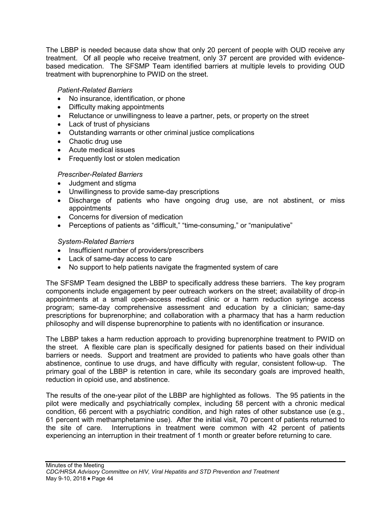The LBBP is needed because data show that only 20 percent of people with OUD receive any treatment. Of all people who receive treatment, only 37 percent are provided with evidencebased medication. The SFSMP Team identified barriers at multiple levels to providing OUD treatment with buprenorphine to PWID on the street.

### *Patient-Related Barriers*

- No insurance, identification, or phone
- Difficulty making appointments
- Reluctance or unwillingness to leave a partner, pets, or property on the street
- Lack of trust of physicians
- Outstanding warrants or other criminal justice complications
- Chaotic drug use
- Acute medical issues
- Frequently lost or stolen medication

### *Prescriber-Related Barriers*

- Judgment and stigma
- Unwillingness to provide same-day prescriptions
- Discharge of patients who have ongoing drug use, are not abstinent, or miss appointments
- Concerns for diversion of medication
- Perceptions of patients as "difficult," "time-consuming," or "manipulative"

### *System-Related Barriers*

- Insufficient number of providers/prescribers
- Lack of same-day access to care
- No support to help patients navigate the fragmented system of care

The SFSMP Team designed the LBBP to specifically address these barriers. The key program components include engagement by peer outreach workers on the street; availability of drop-in appointments at a small open-access medical clinic or a harm reduction syringe access program; same-day comprehensive assessment and education by a clinician; same-day prescriptions for buprenorphine; and collaboration with a pharmacy that has a harm reduction philosophy and will dispense buprenorphine to patients with no identification or insurance.

The LBBP takes a harm reduction approach to providing buprenorphine treatment to PWID on the street. A flexible care plan is specifically designed for patients based on their individual barriers or needs. Support and treatment are provided to patients who have goals other than abstinence, continue to use drugs, and have difficulty with regular, consistent follow-up. The primary goal of the LBBP is retention in care, while its secondary goals are improved health, reduction in opioid use, and abstinence.

The results of the one-year pilot of the LBBP are highlighted as follows. The 95 patients in the pilot were medically and psychiatrically complex, including 58 percent with a chronic medical condition, 66 percent with a psychiatric condition, and high rates of other substance use (e.g., 61 percent with methamphetamine use). After the initial visit, 70 percent of patients returned to the site of care. Interruptions in treatment were common with 42 percent of patients experiencing an interruption in their treatment of 1 month or greater before returning to care.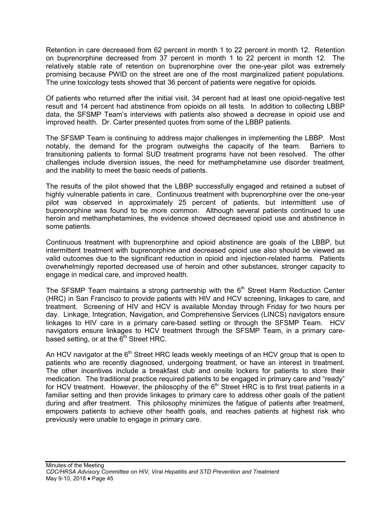Retention in care decreased from 62 percent in month 1 to 22 percent in month 12. Retention on buprenorphine decreased from 37 percent in month 1 to 22 percent in month 12. The relatively stable rate of retention on buprenorphine over the one-year pilot was extremely promising because PWID on the street are one of the most marginalized patient populations. The urine toxicology tests showed that 36 percent of patients were negative for opioids.

Of patients who returned after the initial visit, 34 percent had at least one opioid-negative test result and 14 percent had abstinence from opioids on all tests. In addition to collecting LBBP data, the SFSMP Team's interviews with patients also showed a decrease in opioid use and improved health. Dr. Carter presented quotes from some of the LBBP patients.

The SFSMP Team is continuing to address major challenges in implementing the LBBP. Most notably, the demand for the program outweighs the capacity of the team. Barriers to transitioning patients to formal SUD treatment programs have not been resolved. The other challenges include diversion issues, the need for methamphetamine use disorder treatment, and the inability to meet the basic needs of patients.

The results of the pilot showed that the LBBP successfully engaged and retained a subset of highly vulnerable patients in care. Continuous treatment with buprenorphine over the one-year pilot was observed in approximately 25 percent of patients, but intermittent use of buprenorphine was found to be more common. Although several patients continued to use heroin and methamphetamines, the evidence showed decreased opioid use and abstinence in some patients.

Continuous treatment with buprenorphine and opioid abstinence are goals of the LBBP, but intermittent treatment with buprenorphine and decreased opioid use also should be viewed as valid outcomes due to the significant reduction in opioid and injection-related harms. Patients overwhelmingly reported decreased use of heroin and other substances, stronger capacity to engage in medical care, and improved health.

The SFSMP Team maintains a strong partnership with the  $6<sup>th</sup>$  Street Harm Reduction Center (HRC) in San Francisco to provide patients with HIV and HCV screening, linkages to care, and treatment. Screening of HIV and HCV is available Monday through Friday for two hours per day. Linkage, Integration, Navigation, and Comprehensive Services (LINCS) navigators ensure linkages to HIV care in a primary care-based setting or through the SFSMP Team. HCV navigators ensure linkages to HCV treatment through the SFSMP Team, in a primary carebased setting, or at the  $6<sup>th</sup>$  Street HRC.

An HCV navigator at the  $6<sup>th</sup>$  Street HRC leads weekly meetings of an HCV group that is open to patients who are recently diagnosed, undergoing treatment, or have an interest in treatment. The other incentives include a breakfast club and onsite lockers for patients to store their medication. The traditional practice required patients to be engaged in primary care and "ready" for HCV treatment. However, the philosophy of the  $6<sup>th</sup>$  Street HRC is to first treat patients in a familiar setting and then provide linkages to primary care to address other goals of the patient during and after treatment. This philosophy minimizes the fatigue of patients after treatment, empowers patients to achieve other health goals, and reaches patients at highest risk who previously were unable to engage in primary care.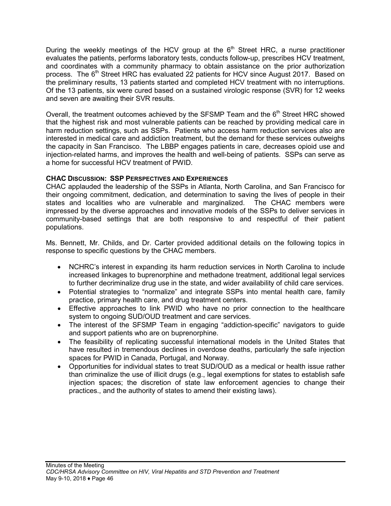During the weekly meetings of the HCV group at the  $6<sup>th</sup>$  Street HRC, a nurse practitioner evaluates the patients, performs laboratory tests, conducts follow-up, prescribes HCV treatment, and coordinates with a community pharmacy to obtain assistance on the prior authorization process. The 6<sup>th</sup> Street HRC has evaluated 22 patients for HCV since August 2017. Based on the preliminary results, 13 patients started and completed HCV treatment with no interruptions. Of the 13 patients, six were cured based on a sustained virologic response (SVR) for 12 weeks and seven are awaiting their SVR results.

Overall, the treatment outcomes achieved by the SFSMP Team and the 6<sup>th</sup> Street HRC showed that the highest risk and most vulnerable patients can be reached by providing medical care in harm reduction settings, such as SSPs. Patients who access harm reduction services also are interested in medical care and addiction treatment, but the demand for these services outweighs the capacity in San Francisco. The LBBP engages patients in care, decreases opioid use and injection-related harms, and improves the health and well-being of patients. SSPs can serve as a home for successful HCV treatment of PWID.

#### **CHAC DISCUSSION: SSP PERSPECTIVES AND EXPERIENCES**

CHAC applauded the leadership of the SSPs in Atlanta, North Carolina, and San Francisco for their ongoing commitment, dedication, and determination to saving the lives of people in their states and localities who are vulnerable and marginalized. The CHAC members were impressed by the diverse approaches and innovative models of the SSPs to deliver services in community-based settings that are both responsive to and respectful of their patient populations.

Ms. Bennett, Mr. Childs, and Dr. Carter provided additional details on the following topics in response to specific questions by the CHAC members.

- NCHRC's interest in expanding its harm reduction services in North Carolina to include increased linkages to buprenorphine and methadone treatment, additional legal services to further decriminalize drug use in the state, and wider availability of child care services.
- Potential strategies to "normalize" and integrate SSPs into mental health care, family practice, primary health care, and drug treatment centers.
- Effective approaches to link PWID who have no prior connection to the healthcare system to ongoing SUD/OUD treatment and care services.
- The interest of the SFSMP Team in engaging "addiction-specific" navigators to guide and support patients who are on buprenorphine.
- The feasibility of replicating successful international models in the United States that have resulted in tremendous declines in overdose deaths, particularly the safe injection spaces for PWID in Canada, Portugal, and Norway.
- Opportunities for individual states to treat SUD/OUD as a medical or health issue rather than criminalize the use of illicit drugs (e.g., legal exemptions for states to establish safe injection spaces; the discretion of state law enforcement agencies to change their practices., and the authority of states to amend their existing laws).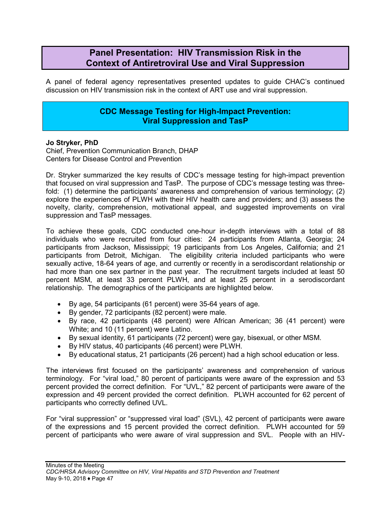# **Panel Presentation: HIV Transmission Risk in the Context of Antiretroviral Use and Viral Suppression**

A panel of federal agency representatives presented updates to guide CHAC's continued discussion on HIV transmission risk in the context of ART use and viral suppression.

### **CDC Message Testing for High-Impact Prevention: Viral Suppression and TasP**

#### **Jo Stryker, PhD**

Chief, Prevention Communication Branch, DHAP Centers for Disease Control and Prevention

Dr. Stryker summarized the key results of CDC's message testing for high-impact prevention that focused on viral suppression and TasP. The purpose of CDC's message testing was threefold: (1) determine the participants' awareness and comprehension of various terminology; (2) explore the experiences of PLWH with their HIV health care and providers; and (3) assess the novelty, clarity, comprehension, motivational appeal, and suggested improvements on viral suppression and TasP messages.

To achieve these goals, CDC conducted one-hour in-depth interviews with a total of 88 individuals who were recruited from four cities: 24 participants from Atlanta, Georgia; 24 participants from Jackson, Mississippi; 19 participants from Los Angeles, California; and 21 participants from Detroit, Michigan. The eligibility criteria included participants who were sexually active, 18-64 years of age, and currently or recently in a serodiscordant relationship or had more than one sex partner in the past year. The recruitment targets included at least 50 percent MSM, at least 33 percent PLWH, and at least 25 percent in a serodiscordant relationship. The demographics of the participants are highlighted below.

- By age, 54 participants (61 percent) were 35-64 years of age.
- By gender, 72 participants (82 percent) were male.
- By race, 42 participants (48 percent) were African American; 36 (41 percent) were White; and 10 (11 percent) were Latino.
- By sexual identity, 61 participants (72 percent) were gay, bisexual, or other MSM.
- By HIV status, 40 participants (46 percent) were PLWH.
- By educational status, 21 participants (26 percent) had a high school education or less.

The interviews first focused on the participants' awareness and comprehension of various terminology. For "viral load," 80 percent of participants were aware of the expression and 53 percent provided the correct definition. For "UVL," 82 percent of participants were aware of the expression and 49 percent provided the correct definition. PLWH accounted for 62 percent of participants who correctly defined UVL.

For "viral suppression" or "suppressed viral load" (SVL), 42 percent of participants were aware of the expressions and 15 percent provided the correct definition. PLWH accounted for 59 percent of participants who were aware of viral suppression and SVL. People with an HIV-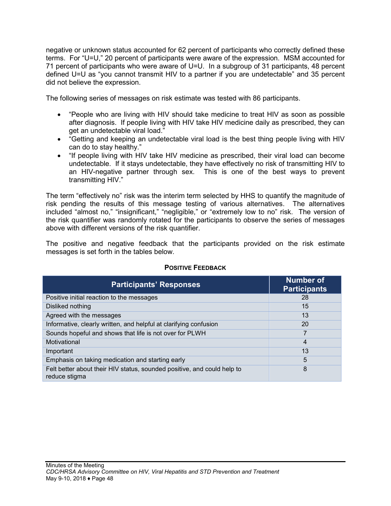negative or unknown status accounted for 62 percent of participants who correctly defined these terms. For "U=U," 20 percent of participants were aware of the expression. MSM accounted for 71 percent of participants who were aware of U=U. In a subgroup of 31 participants, 48 percent defined U=U as "you cannot transmit HIV to a partner if you are undetectable" and 35 percent did not believe the expression.

The following series of messages on risk estimate was tested with 86 participants.

- "People who are living with HIV should take medicine to treat HIV as soon as possible after diagnosis. If people living with HIV take HIV medicine daily as prescribed, they can get an undetectable viral load."
- "Getting and keeping an undetectable viral load is the best thing people living with HIV can do to stay healthy."
- "If people living with HIV take HIV medicine as prescribed, their viral load can become undetectable. If it stays undetectable, they have effectively no risk of transmitting HIV to an HIV-negative partner through sex. This is one of the best ways to prevent transmitting HIV."

The term "effectively no" risk was the interim term selected by HHS to quantify the magnitude of risk pending the results of this message testing of various alternatives. The alternatives included "almost no," "insignificant," "negligible," or "extremely low to no" risk. The version of the risk quantifier was randomly rotated for the participants to observe the series of messages above with different versions of the risk quantifier.

The positive and negative feedback that the participants provided on the risk estimate messages is set forth in the tables below.

| <b>Participants' Responses</b>                                                           | <b>Number of</b><br><b>Participants</b> |
|------------------------------------------------------------------------------------------|-----------------------------------------|
| Positive initial reaction to the messages                                                | 28                                      |
| Disliked nothing                                                                         | 15                                      |
| Agreed with the messages                                                                 | 13                                      |
| Informative, clearly written, and helpful at clarifying confusion                        | 20                                      |
| Sounds hopeful and shows that life is not over for PLWH                                  | 7                                       |
| Motivational                                                                             | 4                                       |
| Important                                                                                | 13                                      |
| Emphasis on taking medication and starting early                                         | 5                                       |
| Felt better about their HIV status, sounded positive, and could help to<br>reduce stigma | 8                                       |

### **POSITIVE FEEDBACK**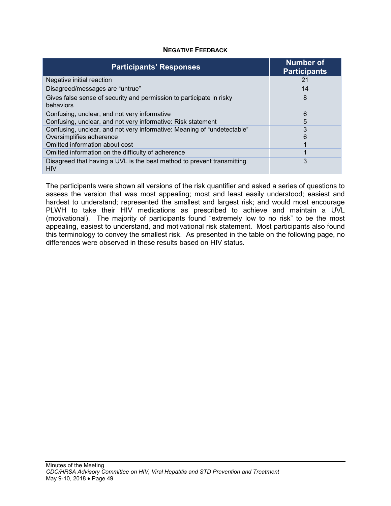| <b>NEGATIVE FEEDBACK</b> |  |
|--------------------------|--|
|--------------------------|--|

| <b>Participants' Responses</b>                                                       | <b>Number of</b><br><b>Participants</b> |
|--------------------------------------------------------------------------------------|-----------------------------------------|
| Negative initial reaction                                                            | 21                                      |
| Disagreed/messages are "untrue"                                                      | 14                                      |
| Gives false sense of security and permission to participate in risky<br>behaviors    | 8                                       |
| Confusing, unclear, and not very informative                                         | 6                                       |
| Confusing, unclear, and not very informative: Risk statement                         | 5                                       |
| Confusing, unclear, and not very informative: Meaning of "undetectable"              | 3                                       |
| Oversimplifies adherence                                                             | 6                                       |
| Omitted information about cost                                                       |                                         |
| Omitted information on the difficulty of adherence                                   |                                         |
| Disagreed that having a UVL is the best method to prevent transmitting<br><b>HIV</b> | 3                                       |

The participants were shown all versions of the risk quantifier and asked a series of questions to assess the version that was most appealing; most and least easily understood; easiest and hardest to understand; represented the smallest and largest risk; and would most encourage PLWH to take their HIV medications as prescribed to achieve and maintain a UVL (motivational). The majority of participants found "extremely low to no risk" to be the most appealing, easiest to understand, and motivational risk statement. Most participants also found this terminology to convey the smallest risk. As presented in the table on the following page, no differences were observed in these results based on HIV status.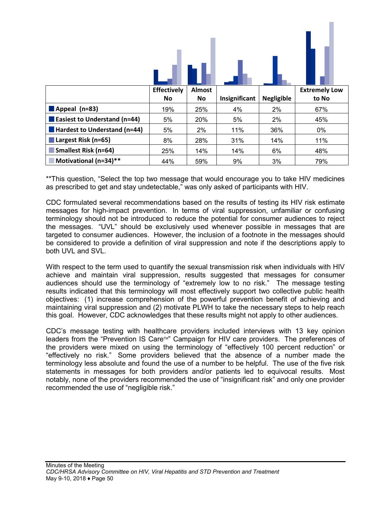|                                     | <b>Effectively</b> | Almost |               |                   | <b>Extremely Low</b> |
|-------------------------------------|--------------------|--------|---------------|-------------------|----------------------|
|                                     | No                 | No     | Insignificant | <b>Negligible</b> | to No                |
|                                     |                    |        |               |                   |                      |
| Appeal (n=83)                       | 19%                | 25%    | 4%            | 2%                | 67%                  |
| <b>Easiest to Understand (n=44)</b> | 5%                 | 20%    | 5%            | 2%                | 45%                  |
| Hardest to Understand (n=44)        | 5%                 | 2%     | 11%           | 36%               | 0%                   |
| Largest Risk (n=65)                 | 8%                 | 28%    | 31%           | 14%               | 11%                  |
| <b>Smallest Risk (n=64)</b>         | 25%                | 14%    | 14%           | 6%                | 48%                  |

\*\*This question, "Select the top two message that would encourage you to take HIV medicines as prescribed to get and stay undetectable," was only asked of participants with HIV.

CDC formulated several recommendations based on the results of testing its HIV risk estimate messages for high-impact prevention. In terms of viral suppression, unfamiliar or confusing terminology should not be introduced to reduce the potential for consumer audiences to reject the messages. "UVL" should be exclusively used whenever possible in messages that are targeted to consumer audiences. However, the inclusion of a footnote in the messages should be considered to provide a definition of viral suppression and note if the descriptions apply to both UVL and SVL.

With respect to the term used to quantify the sexual transmission risk when individuals with HIV achieve and maintain viral suppression, results suggested that messages for consumer audiences should use the terminology of "extremely low to no risk." The message testing results indicated that this terminology will most effectively support two collective public health objectives: (1) increase comprehension of the powerful prevention benefit of achieving and maintaining viral suppression and (2) motivate PLWH to take the necessary steps to help reach this goal. However, CDC acknowledges that these results might not apply to other audiences.

CDC's message testing with healthcare providers included interviews with 13 key opinion leaders from the "Prevention IS Care<sup>TM"</sup> Campaign for HIV care providers. The preferences of the providers were mixed on using the terminology of "effectively 100 percent reduction" or "effectively no risk." Some providers believed that the absence of a number made the terminology less absolute and found the use of a number to be helpful. The use of the five risk statements in messages for both providers and/or patients led to equivocal results. Most notably, none of the providers recommended the use of "insignificant risk" and only one provider recommended the use of "negligible risk."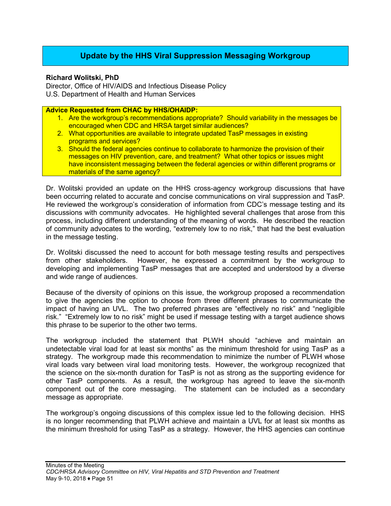# **Update by the HHS Viral Suppression Messaging Workgroup**

#### **Richard Wolitski, PhD**

Director, Office of HIV/AIDS and Infectious Disease Policy U.S. Department of Health and Human Services

**Advice Requested from CHAC by HHS/OHAIDP:**

- 1. Are the workgroup's recommendations appropriate? Should variability in the messages be encouraged when CDC and HRSA target similar audiences?
- 2. What opportunities are available to integrate updated TasP messages in existing programs and services?
- 3. Should the federal agencies continue to collaborate to harmonize the provision of their messages on HIV prevention, care, and treatment? What other topics or issues might have inconsistent messaging between the federal agencies or within different programs or materials of the same agency?

Dr. Wolitski provided an update on the HHS cross-agency workgroup discussions that have been occurring related to accurate and concise communications on viral suppression and TasP. He reviewed the workgroup's consideration of information from CDC's message testing and its discussions with community advocates. He highlighted several challenges that arose from this process, including different understanding of the meaning of words. He described the reaction of community advocates to the wording, "extremely low to no risk," that had the best evaluation in the message testing.

Dr. Wolitski discussed the need to account for both message testing results and perspectives from other stakeholders. However, he expressed a commitment by the workgroup to developing and implementing TasP messages that are accepted and understood by a diverse and wide range of audiences.

Because of the diversity of opinions on this issue, the workgroup proposed a recommendation to give the agencies the option to choose from three different phrases to communicate the impact of having an UVL. The two preferred phrases are "effectively no risk" and "negligible risk." "Extremely low to no risk" might be used if message testing with a target audience shows this phrase to be superior to the other two terms.

The workgroup included the statement that PLWH should "achieve and maintain an undetectable viral load for at least six months" as the minimum threshold for using TasP as a strategy. The workgroup made this recommendation to minimize the number of PLWH whose viral loads vary between viral load monitoring tests. However, the workgroup recognized that the science on the six-month duration for TasP is not as strong as the supporting evidence for other TasP components. As a result, the workgroup has agreed to leave the six-month component out of the core messaging. The statement can be included as a secondary message as appropriate.

The workgroup's ongoing discussions of this complex issue led to the following decision. HHS is no longer recommending that PLWH achieve and maintain a UVL for at least six months as the minimum threshold for using TasP as a strategy. However, the HHS agencies can continue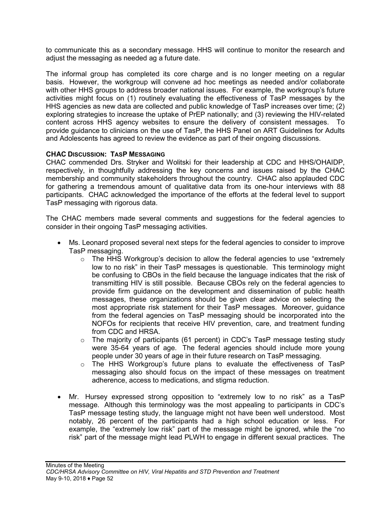to communicate this as a secondary message. HHS will continue to monitor the research and adjust the messaging as needed ag a future date.

The informal group has completed its core charge and is no longer meeting on a regular basis. However, the workgroup will convene ad hoc meetings as needed and/or collaborate with other HHS groups to address broader national issues. For example, the workgroup's future activities might focus on (1) routinely evaluating the effectiveness of TasP messages by the HHS agencies as new data are collected and public knowledge of TasP increases over time; (2) exploring strategies to increase the uptake of PrEP nationally; and (3) reviewing the HIV-related content across HHS agency websites to ensure the delivery of consistent messages. To provide guidance to clinicians on the use of TasP, the HHS Panel on ART Guidelines for Adults and Adolescents has agreed to review the evidence as part of their ongoing discussions.

#### **CHAC DISCUSSION: TASP MESSAGING**

CHAC commended Drs. Stryker and Wolitski for their leadership at CDC and HHS/OHAIDP, respectively, in thoughtfully addressing the key concerns and issues raised by the CHAC membership and community stakeholders throughout the country. CHAC also applauded CDC for gathering a tremendous amount of qualitative data from its one-hour interviews with 88 participants. CHAC acknowledged the importance of the efforts at the federal level to support TasP messaging with rigorous data.

The CHAC members made several comments and suggestions for the federal agencies to consider in their ongoing TasP messaging activities.

- Ms. Leonard proposed several next steps for the federal agencies to consider to improve TasP messaging.
	- $\circ$  The HHS Workgroup's decision to allow the federal agencies to use "extremely" low to no risk" in their TasP messages is questionable. This terminology might be confusing to CBOs in the field because the language indicates that the risk of transmitting HIV is still possible. Because CBOs rely on the federal agencies to provide firm guidance on the development and dissemination of public health messages, these organizations should be given clear advice on selecting the most appropriate risk statement for their TasP messages. Moreover, guidance from the federal agencies on TasP messaging should be incorporated into the NOFOs for recipients that receive HIV prevention, care, and treatment funding from CDC and HRSA.
	- o The majority of participants (61 percent) in CDC's TasP message testing study were 35-64 years of age. The federal agencies should include more young people under 30 years of age in their future research on TasP messaging.
	- o The HHS Workgroup's future plans to evaluate the effectiveness of TasP messaging also should focus on the impact of these messages on treatment adherence, access to medications, and stigma reduction.
- Mr. Hursey expressed strong opposition to "extremely low to no risk" as a TasP message. Although this terminology was the most appealing to participants in CDC's TasP message testing study, the language might not have been well understood. Most notably, 26 percent of the participants had a high school education or less. For example, the "extremely low risk" part of the message might be ignored, while the "no risk" part of the message might lead PLWH to engage in different sexual practices. The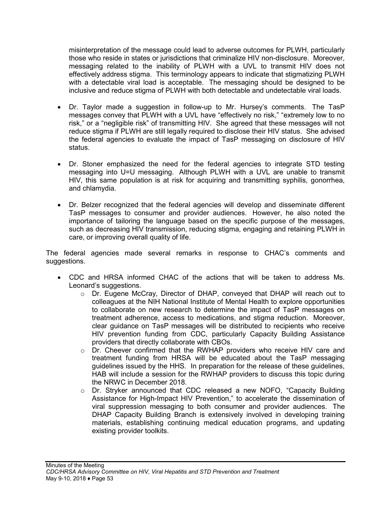misinterpretation of the message could lead to adverse outcomes for PLWH, particularly those who reside in states or jurisdictions that criminalize HIV non-disclosure. Moreover, messaging related to the inability of PLWH with a UVL to transmit HIV does not effectively address stigma. This terminology appears to indicate that stigmatizing PLWH with a detectable viral load is acceptable. The messaging should be designed to be inclusive and reduce stigma of PLWH with both detectable and undetectable viral loads.

- Dr. Taylor made a suggestion in follow-up to Mr. Hursey's comments. The TasP messages convey that PLWH with a UVL have "effectively no risk," "extremely low to no risk," or a "negligible risk" of transmitting HIV. She agreed that these messages will not reduce stigma if PLWH are still legally required to disclose their HIV status. She advised the federal agencies to evaluate the impact of TasP messaging on disclosure of HIV status.
- Dr. Stoner emphasized the need for the federal agencies to integrate STD testing messaging into U=U messaging. Although PLWH with a UVL are unable to transmit HIV, this same population is at risk for acquiring and transmitting syphilis, gonorrhea, and chlamydia.
- Dr. Belzer recognized that the federal agencies will develop and disseminate different TasP messages to consumer and provider audiences. However, he also noted the importance of tailoring the language based on the specific purpose of the messages, such as decreasing HIV transmission, reducing stigma, engaging and retaining PLWH in care, or improving overall quality of life.

The federal agencies made several remarks in response to CHAC's comments and suggestions.

- CDC and HRSA informed CHAC of the actions that will be taken to address Ms. Leonard's suggestions.
	- o Dr. Eugene McCray, Director of DHAP, conveyed that DHAP will reach out to colleagues at the NIH National Institute of Mental Health to explore opportunities to collaborate on new research to determine the impact of TasP messages on treatment adherence, access to medications, and stigma reduction. Moreover, clear guidance on TasP messages will be distributed to recipients who receive HIV prevention funding from CDC, particularly Capacity Building Assistance providers that directly collaborate with CBOs.
	- $\circ$  Dr. Cheever confirmed that the RWHAP providers who receive HIV care and treatment funding from HRSA will be educated about the TasP messaging guidelines issued by the HHS. In preparation for the release of these guidelines, HAB will include a session for the RWHAP providers to discuss this topic during the NRWC in December 2018.
	- $\circ$  Dr. Stryker announced that CDC released a new NOFO, "Capacity Building Assistance for High-Impact HIV Prevention," to accelerate the dissemination of viral suppression messaging to both consumer and provider audiences. The DHAP Capacity Building Branch is extensively involved in developing training materials, establishing continuing medical education programs, and updating existing provider toolkits.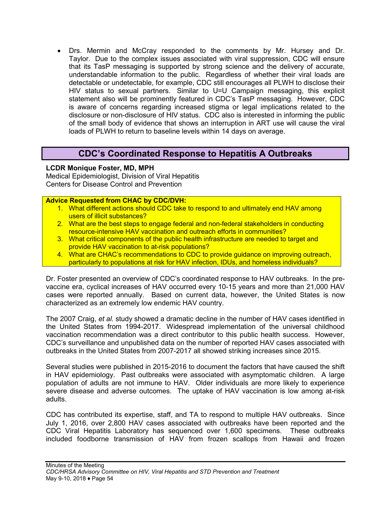• Drs. Mermin and McCray responded to the comments by Mr. Hursey and Dr. Taylor. Due to the complex issues associated with viral suppression, CDC will ensure that its TasP messaging is supported by strong science and the delivery of accurate, understandable information to the public. Regardless of whether their viral loads are detectable or undetectable, for example, CDC still encourages all PLWH to disclose their HIV status to sexual partners. Similar to U=U Campaign messaging, this explicit statement also will be prominently featured in CDC's TasP messaging. However, CDC is aware of concerns regarding increased stigma or legal implications related to the disclosure or non-disclosure of HIV status. CDC also is interested in informing the public of the small body of evidence that shows an interruption in ART use will cause the viral loads of PLWH to return to baseline levels within 14 days on average.

# **CDC's Coordinated Response to Hepatitis A Outbreaks**

### **LCDR Monique Foster, MD, MPH**

Medical Epidemiologist, Division of Viral Hepatitis Centers for Disease Control and Prevention

#### **Advice Requested from CHAC by CDC/DVH:**

- 1. What different actions should CDC take to respond to and ultimately end HAV among users of illicit substances?
- 2. What are the best steps to engage federal and non-federal stakeholders in conducting resource-intensive HAV vaccination and outreach efforts in communities?
- 3. What critical components of the public health infrastructure are needed to target and provide HAV vaccination to at-risk populations?
- 4. What are CHAC's recommendations to CDC to provide guidance on improving outreach, particularly to populations at risk for HAV infection, IDUs, and homeless individuals?

Dr. Foster presented an overview of CDC's coordinated response to HAV outbreaks. In the prevaccine era, cyclical increases of HAV occurred every 10-15 years and more than 21,000 HAV cases were reported annually. Based on current data, however, the United States is now characterized as an extremely low endemic HAV country.

The 2007 Craig, *et al.* study showed a dramatic decline in the number of HAV cases identified in the United States from 1994-2017. Widespread implementation of the universal childhood vaccination recommendation was a direct contributor to this public health success. However, CDC's surveillance and unpublished data on the number of reported HAV cases associated with outbreaks in the United States from 2007-2017 all showed striking increases since 2015.

Several studies were published in 2015-2016 to document the factors that have caused the shift in HAV epidemiology. Past outbreaks were associated with asymptomatic children. A large population of adults are not immune to HAV. Older individuals are more likely to experience severe disease and adverse outcomes. The uptake of HAV vaccination is low among at-risk adults.

CDC has contributed its expertise, staff, and TA to respond to multiple HAV outbreaks. Since July 1, 2016, over 2,800 HAV cases associated with outbreaks have been reported and the CDC Viral Hepatitis Laboratory has sequenced over 1,600 specimens. These outbreaks included foodborne transmission of HAV from frozen scallops from Hawaii and frozen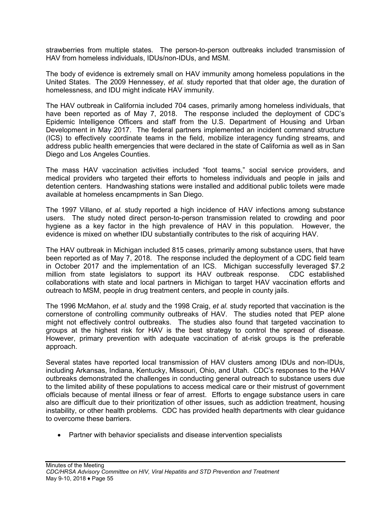strawberries from multiple states. The person-to-person outbreaks included transmission of HAV from homeless individuals, IDUs/non-IDUs, and MSM.

The body of evidence is extremely small on HAV immunity among homeless populations in the United States. The 2009 Hennessey, *et al.* study reported that that older age, the duration of homelessness, and IDU might indicate HAV immunity.

The HAV outbreak in California included 704 cases, primarily among homeless individuals, that have been reported as of May 7, 2018. The response included the deployment of CDC's Epidemic Intelligence Officers and staff from the U.S. Department of Housing and Urban Development in May 2017. The federal partners implemented an incident command structure (ICS) to effectively coordinate teams in the field, mobilize interagency funding streams, and address public health emergencies that were declared in the state of California as well as in San Diego and Los Angeles Counties.

The mass HAV vaccination activities included "foot teams," social service providers, and medical providers who targeted their efforts to homeless individuals and people in jails and detention centers. Handwashing stations were installed and additional public toilets were made available at homeless encampments in San Diego.

The 1997 Villano, *et al.* study reported a high incidence of HAV infections among substance users. The study noted direct person-to-person transmission related to crowding and poor hygiene as a key factor in the high prevalence of HAV in this population. However, the evidence is mixed on whether IDU substantially contributes to the risk of acquiring HAV.

The HAV outbreak in Michigan included 815 cases, primarily among substance users, that have been reported as of May 7, 2018. The response included the deployment of a CDC field team in October 2017 and the implementation of an ICS. Michigan successfully leveraged \$7.2 million from state legislators to support its HAV outbreak response. CDC established collaborations with state and local partners in Michigan to target HAV vaccination efforts and outreach to MSM, people in drug treatment centers, and people in county jails.

The 1996 McMahon, *et al.* study and the 1998 Craig, *et al.* study reported that vaccination is the cornerstone of controlling community outbreaks of HAV. The studies noted that PEP alone might not effectively control outbreaks. The studies also found that targeted vaccination to groups at the highest risk for HAV is the best strategy to control the spread of disease. However, primary prevention with adequate vaccination of at-risk groups is the preferable approach.

Several states have reported local transmission of HAV clusters among IDUs and non-IDUs, including Arkansas, Indiana, Kentucky, Missouri, Ohio, and Utah. CDC's responses to the HAV outbreaks demonstrated the challenges in conducting general outreach to substance users due to the limited ability of these populations to access medical care or their mistrust of government officials because of mental illness or fear of arrest. Efforts to engage substance users in care also are difficult due to their prioritization of other issues, such as addiction treatment, housing instability, or other health problems. CDC has provided health departments with clear guidance to overcome these barriers.

• Partner with behavior specialists and disease intervention specialists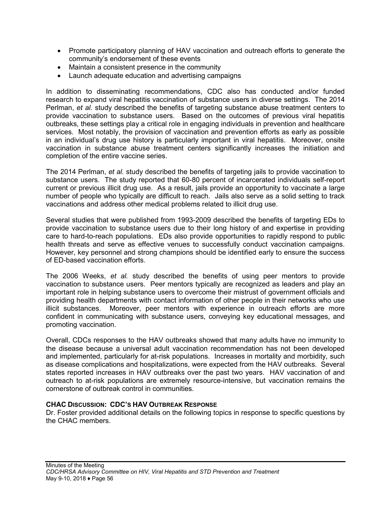- Promote participatory planning of HAV vaccination and outreach efforts to generate the community's endorsement of these events
- Maintain a consistent presence in the community
- Launch adequate education and advertising campaigns

In addition to disseminating recommendations, CDC also has conducted and/or funded research to expand viral hepatitis vaccination of substance users in diverse settings. The 2014 Perlman, *et al.* study described the benefits of targeting substance abuse treatment centers to provide vaccination to substance users. Based on the outcomes of previous viral hepatitis outbreaks, these settings play a critical role in engaging individuals in prevention and healthcare services. Most notably, the provision of vaccination and prevention efforts as early as possible in an individual's drug use history is particularly important in viral hepatitis. Moreover, onsite vaccination in substance abuse treatment centers significantly increases the initiation and completion of the entire vaccine series.

The 2014 Perlman, *et al.* study described the benefits of targeting jails to provide vaccination to substance users. The study reported that 60-80 percent of incarcerated individuals self-report current or previous illicit drug use. As a result, jails provide an opportunity to vaccinate a large number of people who typically are difficult to reach. Jails also serve as a solid setting to track vaccinations and address other medical problems related to illicit drug use.

Several studies that were published from 1993-2009 described the benefits of targeting EDs to provide vaccination to substance users due to their long history of and expertise in providing care to hard-to-reach populations. EDs also provide opportunities to rapidly respond to public health threats and serve as effective venues to successfully conduct vaccination campaigns. However, key personnel and strong champions should be identified early to ensure the success of ED-based vaccination efforts.

The 2006 Weeks, *et al.* study described the benefits of using peer mentors to provide vaccination to substance users. Peer mentors typically are recognized as leaders and play an important role in helping substance users to overcome their mistrust of government officials and providing health departments with contact information of other people in their networks who use illicit substances. Moreover, peer mentors with experience in outreach efforts are more confident in communicating with substance users, conveying key educational messages, and promoting vaccination.

Overall, CDCs responses to the HAV outbreaks showed that many adults have no immunity to the disease because a universal adult vaccination recommendation has not been developed and implemented, particularly for at-risk populations. Increases in mortality and morbidity, such as disease complications and hospitalizations, were expected from the HAV outbreaks. Several states reported increases in HAV outbreaks over the past two years. HAV vaccination of and outreach to at-risk populations are extremely resource-intensive, but vaccination remains the cornerstone of outbreak control in communities.

### **CHAC DISCUSSION: CDC'S HAV OUTBREAK RESPONSE**

Dr. Foster provided additional details on the following topics in response to specific questions by the CHAC members.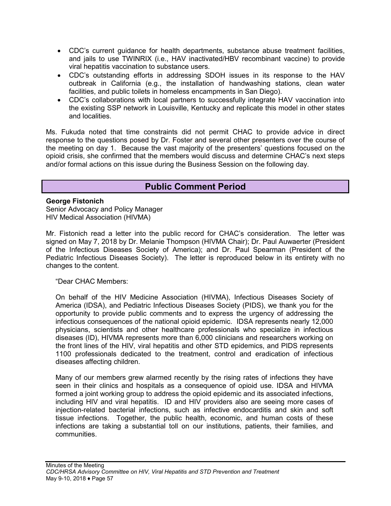- CDC's current guidance for health departments, substance abuse treatment facilities, and jails to use TWINRIX (i.e., HAV inactivated/HBV recombinant vaccine) to provide viral hepatitis vaccination to substance users.
- CDC's outstanding efforts in addressing SDOH issues in its response to the HAV outbreak in California (e.g., the installation of handwashing stations, clean water facilities, and public toilets in homeless encampments in San Diego).
- CDC's collaborations with local partners to successfully integrate HAV vaccination into the existing SSP network in Louisville, Kentucky and replicate this model in other states and localities.

Ms. Fukuda noted that time constraints did not permit CHAC to provide advice in direct response to the questions posed by Dr. Foster and several other presenters over the course of the meeting on day 1. Because the vast majority of the presenters' questions focused on the opioid crisis, she confirmed that the members would discuss and determine CHAC's next steps and/or formal actions on this issue during the Business Session on the following day.

# **Public Comment Period**

#### **George Fistonich**

Senior Advocacy and Policy Manager HIV Medical Association (HIVMA)

Mr. Fistonich read a letter into the public record for CHAC's consideration. The letter was signed on May 7, 2018 by Dr. Melanie Thompson (HIVMA Chair); Dr. Paul Auwaerter (President of the Infectious Diseases Society of America); and Dr. Paul Spearman (President of the Pediatric Infectious Diseases Society). The letter is reproduced below in its entirety with no changes to the content.

"Dear CHAC Members:

On behalf of the HIV Medicine Association (HIVMA), Infectious Diseases Society of America (IDSA), and Pediatric Infectious Diseases Society (PIDS), we thank you for the opportunity to provide public comments and to express the urgency of addressing the infectious consequences of the national opioid epidemic. IDSA represents nearly 12,000 physicians, scientists and other healthcare professionals who specialize in infectious diseases (ID), HIVMA represents more than 6,000 clinicians and researchers working on the front lines of the HIV, viral hepatitis and other STD epidemics, and PIDS represents 1100 professionals dedicated to the treatment, control and eradication of infectious diseases affecting children.

Many of our members grew alarmed recently by the rising rates of infections they have seen in their clinics and hospitals as a consequence of opioid use. IDSA and HIVMA formed a joint working group to address the opioid epidemic and its associated infections, including HIV and viral hepatitis. ID and HIV providers also are seeing more cases of injection-related bacterial infections, such as infective endocarditis and skin and soft tissue infections. Together, the public health, economic, and human costs of these infections are taking a substantial toll on our institutions, patients, their families, and communities.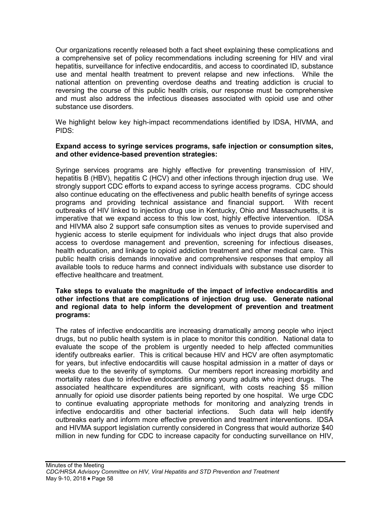Our organizations recently released both a fact sheet explaining these complications and a comprehensive set of policy recommendations including screening for HIV and viral hepatitis, surveillance for infective endocarditis, and access to coordinated ID, substance use and mental health treatment to prevent relapse and new infections. While the national attention on preventing overdose deaths and treating addiction is crucial to reversing the course of this public health crisis, our response must be comprehensive and must also address the infectious diseases associated with opioid use and other substance use disorders.

We highlight below key high-impact recommendations identified by IDSA, HIVMA, and PIDS:

#### **Expand access to syringe services programs, safe injection or consumption sites, and other evidence-based prevention strategies:**

Syringe services programs are highly effective for preventing transmission of HIV, hepatitis B (HBV), hepatitis C (HCV) and other infections through injection drug use. We strongly support CDC efforts to expand access to syringe access programs. CDC should also continue educating on the effectiveness and public health benefits of syringe access programs and providing technical assistance and financial support. With recent outbreaks of HIV linked to injection drug use in Kentucky, Ohio and Massachusetts, it is imperative that we expand access to this low cost, highly effective intervention. IDSA and HIVMA also 2 support safe consumption sites as venues to provide supervised and hygienic access to sterile equipment for individuals who inject drugs that also provide access to overdose management and prevention, screening for infectious diseases, health education, and linkage to opioid addiction treatment and other medical care. This public health crisis demands innovative and comprehensive responses that employ all available tools to reduce harms and connect individuals with substance use disorder to effective healthcare and treatment.

#### **Take steps to evaluate the magnitude of the impact of infective endocarditis and other infections that are complications of injection drug use. Generate national and regional data to help inform the development of prevention and treatment programs:**

The rates of infective endocarditis are increasing dramatically among people who inject drugs, but no public health system is in place to monitor this condition. National data to evaluate the scope of the problem is urgently needed to help affected communities identify outbreaks earlier. This is critical because HIV and HCV are often asymptomatic for years, but infective endocarditis will cause hospital admission in a matter of days or weeks due to the severity of symptoms. Our members report increasing morbidity and mortality rates due to infective endocarditis among young adults who inject drugs. The associated healthcare expenditures are significant, with costs reaching \$5 million annually for opioid use disorder patients being reported by one hospital. We urge CDC to continue evaluating appropriate methods for monitoring and analyzing trends in infective endocarditis and other bacterial infections. Such data will help identify outbreaks early and inform more effective prevention and treatment interventions. IDSA and HIVMA support legislation currently considered in Congress that would authorize \$40 million in new funding for CDC to increase capacity for conducting surveillance on HIV,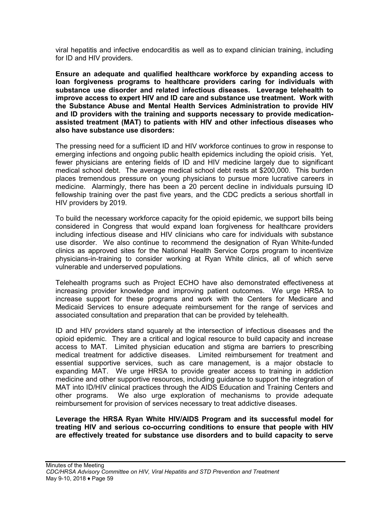viral hepatitis and infective endocarditis as well as to expand clinician training, including for ID and HIV providers.

**Ensure an adequate and qualified healthcare workforce by expanding access to loan forgiveness programs to healthcare providers caring for individuals with substance use disorder and related infectious diseases. Leverage telehealth to improve access to expert HIV and ID care and substance use treatment. Work with the Substance Abuse and Mental Health Services Administration to provide HIV and ID providers with the training and supports necessary to provide medicationassisted treatment (MAT) to patients with HIV and other infectious diseases who also have substance use disorders:**

The pressing need for a sufficient ID and HIV workforce continues to grow in response to emerging infections and ongoing public health epidemics including the opioid crisis. Yet, fewer physicians are entering fields of ID and HIV medicine largely due to significant medical school debt. The average medical school debt rests at \$200,000. This burden places tremendous pressure on young physicians to pursue more lucrative careers in medicine. Alarmingly, there has been a 20 percent decline in individuals pursuing ID fellowship training over the past five years, and the CDC predicts a serious shortfall in HIV providers by 2019.

To build the necessary workforce capacity for the opioid epidemic, we support bills being considered in Congress that would expand loan forgiveness for healthcare providers including infectious disease and HIV clinicians who care for individuals with substance use disorder. We also continue to recommend the designation of Ryan White-funded clinics as approved sites for the National Health Service Corps program to incentivize physicians-in-training to consider working at Ryan White clinics, all of which serve vulnerable and underserved populations.

Telehealth programs such as Project ECHO have also demonstrated effectiveness at increasing provider knowledge and improving patient outcomes. We urge HRSA to increase support for these programs and work with the Centers for Medicare and Medicaid Services to ensure adequate reimbursement for the range of services and associated consultation and preparation that can be provided by telehealth.

ID and HIV providers stand squarely at the intersection of infectious diseases and the opioid epidemic. They are a critical and logical resource to build capacity and increase access to MAT. Limited physician education and stigma are barriers to prescribing medical treatment for addictive diseases. Limited reimbursement for treatment and essential supportive services, such as care management, is a major obstacle to expanding MAT. We urge HRSA to provide greater access to training in addiction medicine and other supportive resources, including guidance to support the integration of MAT into ID/HIV clinical practices through the AIDS Education and Training Centers and other programs. We also urge exploration of mechanisms to provide adequate reimbursement for provision of services necessary to treat addictive diseases.

**Leverage the HRSA Ryan White HIV/AIDS Program and its successful model for treating HIV and serious co-occurring conditions to ensure that people with HIV are effectively treated for substance use disorders and to build capacity to serve**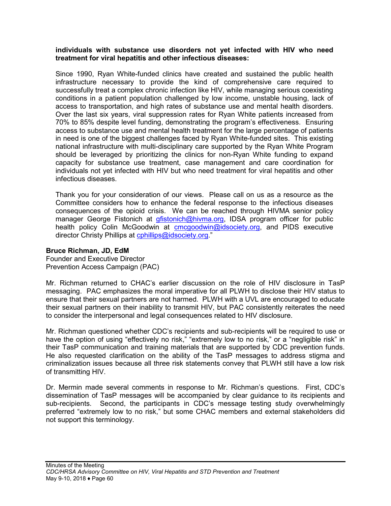#### **individuals with substance use disorders not yet infected with HIV who need treatment for viral hepatitis and other infectious diseases:**

Since 1990, Ryan White-funded clinics have created and sustained the public health infrastructure necessary to provide the kind of comprehensive care required to successfully treat a complex chronic infection like HIV, while managing serious coexisting conditions in a patient population challenged by low income, unstable housing, lack of access to transportation, and high rates of substance use and mental health disorders. Over the last six years, viral suppression rates for Ryan White patients increased from 70% to 85% despite level funding, demonstrating the program's effectiveness. Ensuring access to substance use and mental health treatment for the large percentage of patients in need is one of the biggest challenges faced by Ryan White-funded sites. This existing national infrastructure with multi-disciplinary care supported by the Ryan White Program should be leveraged by prioritizing the clinics for non-Ryan White funding to expand capacity for substance use treatment, case management and care coordination for individuals not yet infected with HIV but who need treatment for viral hepatitis and other infectious diseases.

Thank you for your consideration of our views. Please call on us as a resource as the Committee considers how to enhance the federal response to the infectious diseases consequences of the opioid crisis. We can be reached through HIVMA senior policy manager George Fistonich at [gfistonich@hivma.org,](mailto:gfistonich@hivma.org) IDSA program officer for public health policy Colin McGoodwin at [cmcgoodwin@idsociety.org,](mailto:cmcgoodwin@idsociety.org) and PIDS executive director Christy Phillips at contillips@idsociety.org."

### **Bruce Richman, JD, EdM**

Founder and Executive Director Prevention Access Campaign (PAC)

Mr. Richman returned to CHAC's earlier discussion on the role of HIV disclosure in TasP messaging. PAC emphasizes the moral imperative for all PLWH to disclose their HIV status to ensure that their sexual partners are not harmed. PLWH with a UVL are encouraged to educate their sexual partners on their inability to transmit HIV, but PAC consistently reiterates the need to consider the interpersonal and legal consequences related to HIV disclosure.

Mr. Richman questioned whether CDC's recipients and sub-recipients will be required to use or have the option of using "effectively no risk," "extremely low to no risk," or a "negligible risk" in their TasP communication and training materials that are supported by CDC prevention funds. He also requested clarification on the ability of the TasP messages to address stigma and criminalization issues because all three risk statements convey that PLWH still have a low risk of transmitting HIV.

Dr. Mermin made several comments in response to Mr. Richman's questions. First, CDC's dissemination of TasP messages will be accompanied by clear guidance to its recipients and sub-recipients. Second, the participants in CDC's message testing study overwhelmingly preferred "extremely low to no risk," but some CHAC members and external stakeholders did not support this terminology.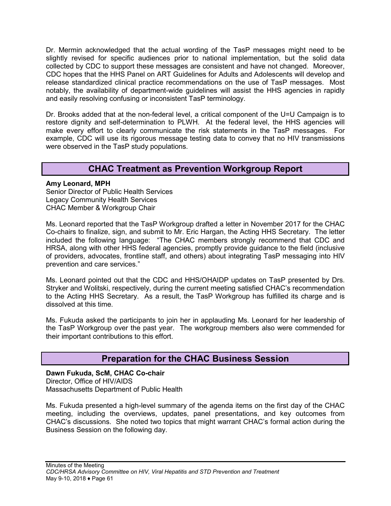Dr. Mermin acknowledged that the actual wording of the TasP messages might need to be slightly revised for specific audiences prior to national implementation, but the solid data collected by CDC to support these messages are consistent and have not changed. Moreover, CDC hopes that the HHS Panel on ART Guidelines for Adults and Adolescents will develop and release standardized clinical practice recommendations on the use of TasP messages. Most notably, the availability of department-wide guidelines will assist the HHS agencies in rapidly and easily resolving confusing or inconsistent TasP terminology.

Dr. Brooks added that at the non-federal level, a critical component of the U=U Campaign is to restore dignity and self-determination to PLWH. At the federal level, the HHS agencies will make every effort to clearly communicate the risk statements in the TasP messages. For example, CDC will use its rigorous message testing data to convey that no HIV transmissions were observed in the TasP study populations.

# **CHAC Treatment as Prevention Workgroup Report**

#### **Amy Leonard, MPH**

Senior Director of Public Health Services Legacy Community Health Services CHAC Member & Workgroup Chair

Ms. Leonard reported that the TasP Workgroup drafted a letter in November 2017 for the CHAC Co-chairs to finalize, sign, and submit to Mr. Eric Hargan, the Acting HHS Secretary. The letter included the following language: "The CHAC members strongly recommend that CDC and HRSA, along with other HHS federal agencies, promptly provide guidance to the field (inclusive of providers, advocates, frontline staff, and others) about integrating TasP messaging into HIV prevention and care services."

Ms. Leonard pointed out that the CDC and HHS/OHAIDP updates on TasP presented by Drs. Stryker and Wolitski, respectively, during the current meeting satisfied CHAC's recommendation to the Acting HHS Secretary. As a result, the TasP Workgroup has fulfilled its charge and is dissolved at this time.

Ms. Fukuda asked the participants to join her in applauding Ms. Leonard for her leadership of the TasP Workgroup over the past year. The workgroup members also were commended for their important contributions to this effort.

# **Preparation for the CHAC Business Session**

**Dawn Fukuda, ScM, CHAC Co-chair** Director, Office of HIV/AIDS Massachusetts Department of Public Health

Ms. Fukuda presented a high-level summary of the agenda items on the first day of the CHAC meeting, including the overviews, updates, panel presentations, and key outcomes from CHAC's discussions. She noted two topics that might warrant CHAC's formal action during the Business Session on the following day.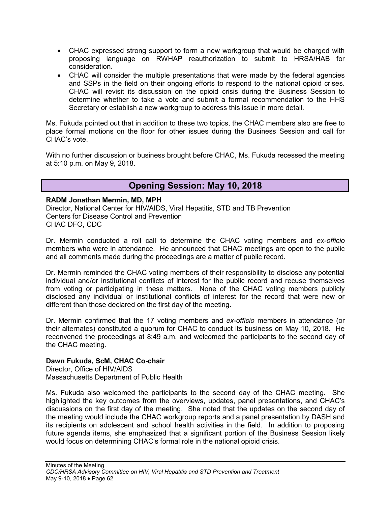- CHAC expressed strong support to form a new workgroup that would be charged with proposing language on RWHAP reauthorization to submit to HRSA/HAB for consideration.
- CHAC will consider the multiple presentations that were made by the federal agencies and SSPs in the field on their ongoing efforts to respond to the national opioid crises. CHAC will revisit its discussion on the opioid crisis during the Business Session to determine whether to take a vote and submit a formal recommendation to the HHS Secretary or establish a new workgroup to address this issue in more detail.

Ms. Fukuda pointed out that in addition to these two topics, the CHAC members also are free to place formal motions on the floor for other issues during the Business Session and call for CHAC's vote.

With no further discussion or business brought before CHAC, Ms. Fukuda recessed the meeting at 5:10 p.m. on May 9, 2018.

# **Opening Session: May 10, 2018**

#### **RADM Jonathan Mermin, MD, MPH**

Director, National Center for HIV/AIDS, Viral Hepatitis, STD and TB Prevention Centers for Disease Control and Prevention CHAC DFO, CDC

Dr. Mermin conducted a roll call to determine the CHAC voting members and *ex-officio* members who were in attendance. He announced that CHAC meetings are open to the public and all comments made during the proceedings are a matter of public record.

Dr. Mermin reminded the CHAC voting members of their responsibility to disclose any potential individual and/or institutional conflicts of interest for the public record and recuse themselves from voting or participating in these matters. None of the CHAC voting members publicly disclosed any individual or institutional conflicts of interest for the record that were new or different than those declared on the first day of the meeting.

Dr. Mermin confirmed that the 17 voting members and *ex-officio* members in attendance (or their alternates) constituted a quorum for CHAC to conduct its business on May 10, 2018. He reconvened the proceedings at 8:49 a.m. and welcomed the participants to the second day of the CHAC meeting.

#### **Dawn Fukuda, ScM, CHAC Co-chair**

Director, Office of HIV/AIDS Massachusetts Department of Public Health

Ms. Fukuda also welcomed the participants to the second day of the CHAC meeting. She highlighted the key outcomes from the overviews, updates, panel presentations, and CHAC's discussions on the first day of the meeting. She noted that the updates on the second day of the meeting would include the CHAC workgroup reports and a panel presentation by DASH and its recipients on adolescent and school health activities in the field. In addition to proposing future agenda items, she emphasized that a significant portion of the Business Session likely would focus on determining CHAC's formal role in the national opioid crisis.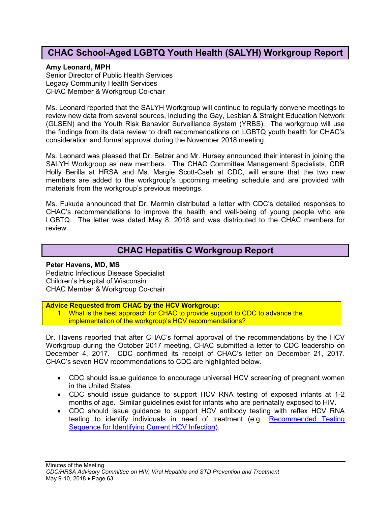# **CHAC School-Aged LGBTQ Youth Health (SALYH) Workgroup Report**

#### **Amy Leonard, MPH**

Senior Director of Public Health Services Legacy Community Health Services CHAC Member & Workgroup Co-chair

Ms. Leonard reported that the SALYH Workgroup will continue to regularly convene meetings to review new data from several sources, including the Gay, Lesbian & Straight Education Network (GLSEN) and the Youth Risk Behavior Surveillance System (YRBS). The workgroup will use the findings from its data review to draft recommendations on LGBTQ youth health for CHAC's consideration and formal approval during the November 2018 meeting.

Ms. Leonard was pleased that Dr. Belzer and Mr. Hursey announced their interest in joining the SALYH Workgroup as new members. The CHAC Committee Management Specialists, CDR Holly Berilla at HRSA and Ms. Margie Scott-Cseh at CDC, will ensure that the two new members are added to the workgroup's upcoming meeting schedule and are provided with materials from the workgroup's previous meetings.

Ms. Fukuda announced that Dr. Mermin distributed a letter with CDC's detailed responses to CHAC's recommendations to improve the health and well-being of young people who are LGBTQ. The letter was dated May 8, 2018 and was distributed to the CHAC members for review.

# **CHAC Hepatitis C Workgroup Report**

**Peter Havens, MD, MS** Pediatric Infectious Disease Specialist Children's Hospital of Wisconsin CHAC Member & Workgroup Co-chair

#### **Advice Requested from CHAC by the HCV Workgroup:**

1. What is the best approach for CHAC to provide support to CDC to advance the implementation of the workgroup's HCV recommendations?

Dr. Havens reported that after CHAC's formal approval of the recommendations by the HCV Workgroup during the October 2017 meeting, CHAC submitted a letter to CDC leadership on December 4, 2017. CDC confirmed its receipt of CHAC's letter on December 21, 2017. CHAC's seven HCV recommendations to CDC are highlighted below.

- CDC should issue guidance to encourage universal HCV screening of pregnant women in the United States.
- CDC should issue guidance to support HCV RNA testing of exposed infants at 1-2 months of age. Similar guidelines exist for infants who are perinatally exposed to HIV.
- CDC should issue guidance to support HCV antibody testing with reflex HCV RNA testing to identify individuals in need of treatment (e.g., [Recommended Testing](https://www.cdc.gov/hepatitis/hcv/pdfs/hcv_flow.pdf)  [Sequence for Identifying Current HCV Infection\)](https://www.cdc.gov/hepatitis/hcv/pdfs/hcv_flow.pdf).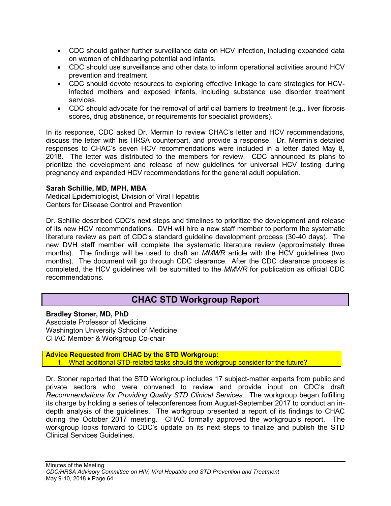- CDC should gather further surveillance data on HCV infection, including expanded data on women of childbearing potential and infants.
- CDC should use surveillance and other data to inform operational activities around HCV prevention and treatment.
- CDC should devote resources to exploring effective linkage to care strategies for HCVinfected mothers and exposed infants, including substance use disorder treatment services.
- CDC should advocate for the removal of artificial barriers to treatment (e.g., liver fibrosis scores, drug abstinence, or requirements for specialist providers).

In its response, CDC asked Dr. Mermin to review CHAC's letter and HCV recommendations, discuss the letter with his HRSA counterpart, and provide a response. Dr. Mermin's detailed responses to CHAC's seven HCV recommendations were included in a letter dated May 8, 2018. The letter was distributed to the members for review. CDC announced its plans to prioritize the development and release of new guidelines for universal HCV testing during pregnancy and expanded HCV recommendations for the general adult population.

#### **Sarah Schillie, MD, MPH, MBA**

Medical Epidemiologist, Division of Viral Hepatitis Centers for Disease Control and Prevention

Dr. Schillie described CDC's next steps and timelines to prioritize the development and release of its new HCV recommendations. DVH will hire a new staff member to perform the systematic literature review as part of CDC's standard guideline development process (30-40 days). The new DVH staff member will complete the systematic literature review (approximately three months). The findings will be used to draft an *MMWR* article with the HCV guidelines (two months). The document will go through CDC clearance. After the CDC clearance process is completed, the HCV guidelines will be submitted to the *MMWR* for publication as official CDC recommendations.

# **CHAC STD Workgroup Report**

#### **Bradley Stoner, MD, PhD** Associate Professor of Medicine Washington University School of Medicine CHAC Member & Workgroup Co-chair

**Advice Requested from CHAC by the STD Workgroup:** 1. What additional STD-related tasks should the workgroup consider for the future?

Dr. Stoner reported that the STD Workgroup includes 17 subject-matter experts from public and private sectors who were convened to review and provide input on CDC's draft *Recommendations for Providing Quality STD Clinical Services*. The workgroup began fulfilling its charge by holding a series of teleconferences from August-September 2017 to conduct an indepth analysis of the guidelines. The workgroup presented a report of its findings to CHAC during the October 2017 meeting. CHAC formally approved the workgroup's report. The workgroup looks forward to CDC's update on its next steps to finalize and publish the STD Clinical Services Guidelines.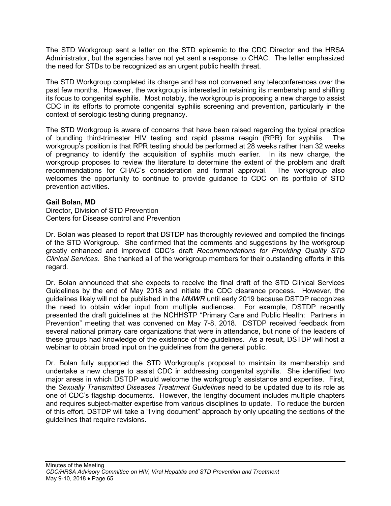The STD Workgroup sent a letter on the STD epidemic to the CDC Director and the HRSA Administrator, but the agencies have not yet sent a response to CHAC. The letter emphasized the need for STDs to be recognized as an urgent public health threat.

The STD Workgroup completed its charge and has not convened any teleconferences over the past few months. However, the workgroup is interested in retaining its membership and shifting its focus to congenital syphilis. Most notably, the workgroup is proposing a new charge to assist CDC in its efforts to promote congenital syphilis screening and prevention, particularly in the context of serologic testing during pregnancy.

The STD Workgroup is aware of concerns that have been raised regarding the typical practice of bundling third-trimester HIV testing and rapid plasma reagin (RPR) for syphilis. The workgroup's position is that RPR testing should be performed at 28 weeks rather than 32 weeks of pregnancy to identify the acquisition of syphilis much earlier. In its new charge, the workgroup proposes to review the literature to determine the extent of the problem and draft recommendations for CHAC's consideration and formal approval. The workgroup also welcomes the opportunity to continue to provide guidance to CDC on its portfolio of STD prevention activities.

#### **Gail Bolan, MD**

Director, Division of STD Prevention Centers for Disease control and Prevention

Dr. Bolan was pleased to report that DSTDP has thoroughly reviewed and compiled the findings of the STD Workgroup. She confirmed that the comments and suggestions by the workgroup greatly enhanced and improved CDC's draft *Recommendations for Providing Quality STD Clinical Services*. She thanked all of the workgroup members for their outstanding efforts in this regard.

Dr. Bolan announced that she expects to receive the final draft of the STD Clinical Services Guidelines by the end of May 2018 and initiate the CDC clearance process. However, the guidelines likely will not be published in the *MMWR* until early 2019 because DSTDP recognizes the need to obtain wider input from multiple audiences. For example, DSTDP recently presented the draft guidelines at the NCHHSTP "Primary Care and Public Health: Partners in Prevention" meeting that was convened on May 7-8, 2018. DSTDP received feedback from several national primary care organizations that were in attendance, but none of the leaders of these groups had knowledge of the existence of the guidelines. As a result, DSTDP will host a webinar to obtain broad input on the guidelines from the general public.

Dr. Bolan fully supported the STD Workgroup's proposal to maintain its membership and undertake a new charge to assist CDC in addressing congenital syphilis. She identified two major areas in which DSTDP would welcome the workgroup's assistance and expertise. First, the *Sexually Transmitted Diseases Treatment Guidelines* need to be updated due to its role as one of CDC's flagship documents. However, the lengthy document includes multiple chapters and requires subject-matter expertise from various disciplines to update. To reduce the burden of this effort, DSTDP will take a "living document" approach by only updating the sections of the guidelines that require revisions.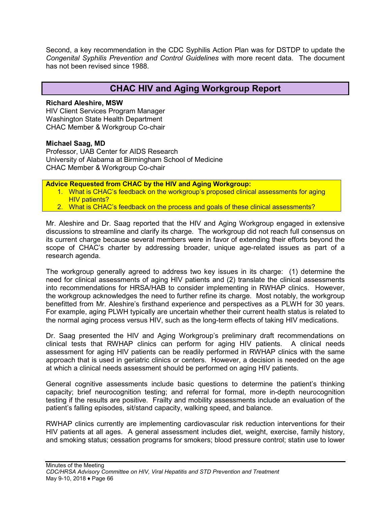Second, a key recommendation in the CDC Syphilis Action Plan was for DSTDP to update the *Congenital Syphilis Prevention and Control Guidelines* with more recent data. The document has not been revised since 1988.

# **CHAC HIV and Aging Workgroup Report**

#### **Richard Aleshire, MSW**

HIV Client Services Program Manager Washington State Health Department CHAC Member & Workgroup Co-chair

#### **Michael Saag, MD**

Professor, UAB Center for AIDS Research University of Alabama at Birmingham School of Medicine CHAC Member & Workgroup Co-chair

**Advice Requested from CHAC by the HIV and Aging Workgroup:**

- 1. What is CHAC's feedback on the workgroup's proposed clinical assessments for aging **HIV patients?**
- 2. What is CHAC's feedback on the process and goals of these clinical assessments?

Mr. Aleshire and Dr. Saag reported that the HIV and Aging Workgroup engaged in extensive discussions to streamline and clarify its charge. The workgroup did not reach full consensus on its current charge because several members were in favor of extending their efforts beyond the scope of CHAC's charter by addressing broader, unique age-related issues as part of a research agenda.

The workgroup generally agreed to address two key issues in its charge: (1) determine the need for clinical assessments of aging HIV patients and (2) translate the clinical assessments into recommendations for HRSA/HAB to consider implementing in RWHAP clinics. However, the workgroup acknowledges the need to further refine its charge. Most notably, the workgroup benefitted from Mr. Aleshire's firsthand experience and perspectives as a PLWH for 30 years. For example, aging PLWH typically are uncertain whether their current health status is related to the normal aging process versus HIV, such as the long-term effects of taking HIV medications.

Dr. Saag presented the HIV and Aging Workgroup's preliminary draft recommendations on clinical tests that RWHAP clinics can perform for aging HIV patients. A clinical needs assessment for aging HIV patients can be readily performed in RWHAP clinics with the same approach that is used in geriatric clinics or centers. However, a decision is needed on the age at which a clinical needs assessment should be performed on aging HIV patients.

General cognitive assessments include basic questions to determine the patient's thinking capacity; brief neurocognition testing; and referral for formal, more in-depth neurocognition testing if the results are positive. Frailty and mobility assessments include an evaluation of the patient's falling episodes, sit/stand capacity, walking speed, and balance.

RWHAP clinics currently are implementing cardiovascular risk reduction interventions for their HIV patients at all ages. A general assessment includes diet, weight, exercise, family history, and smoking status; cessation programs for smokers; blood pressure control; statin use to lower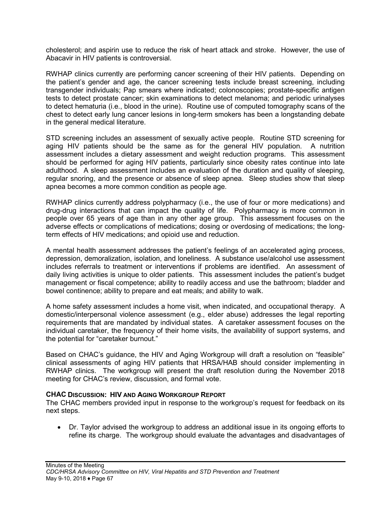cholesterol; and aspirin use to reduce the risk of heart attack and stroke. However, the use of Abacavir in HIV patients is controversial.

RWHAP clinics currently are performing cancer screening of their HIV patients. Depending on the patient's gender and age, the cancer screening tests include breast screening, including transgender individuals; Pap smears where indicated; colonoscopies; prostate-specific antigen tests to detect prostate cancer; skin examinations to detect melanoma; and periodic urinalyses to detect hematuria (i.e., blood in the urine). Routine use of computed tomography scans of the chest to detect early lung cancer lesions in long-term smokers has been a longstanding debate in the general medical literature.

STD screening includes an assessment of sexually active people. Routine STD screening for aging HIV patients should be the same as for the general HIV population. A nutrition assessment includes a dietary assessment and weight reduction programs. This assessment should be performed for aging HIV patients, particularly since obesity rates continue into late adulthood. A sleep assessment includes an evaluation of the duration and quality of sleeping, regular snoring, and the presence or absence of sleep apnea. Sleep studies show that sleep apnea becomes a more common condition as people age.

RWHAP clinics currently address polypharmacy (i.e., the use of four or more medications) and drug-drug interactions that can impact the quality of life. Polypharmacy is more common in people over 65 years of age than in any other age group. This assessment focuses on the adverse effects or complications of medications; dosing or overdosing of medications; the longterm effects of HIV medications; and opioid use and reduction.

A mental health assessment addresses the patient's feelings of an accelerated aging process, depression, demoralization, isolation, and loneliness. A substance use/alcohol use assessment includes referrals to treatment or interventions if problems are identified. An assessment of daily living activities is unique to older patients. This assessment includes the patient's budget management or fiscal competence; ability to readily access and use the bathroom; bladder and bowel continence; ability to prepare and eat meals; and ability to walk.

A home safety assessment includes a home visit, when indicated, and occupational therapy. A domestic/interpersonal violence assessment (e.g., elder abuse) addresses the legal reporting requirements that are mandated by individual states. A caretaker assessment focuses on the individual caretaker, the frequency of their home visits, the availability of support systems, and the potential for "caretaker burnout."

Based on CHAC's guidance, the HIV and Aging Workgroup will draft a resolution on "feasible" clinical assessments of aging HIV patients that HRSA/HAB should consider implementing in RWHAP clinics. The workgroup will present the draft resolution during the November 2018 meeting for CHAC's review, discussion, and formal vote.

#### **CHAC DISCUSSION: HIV AND AGING WORKGROUP REPORT**

The CHAC members provided input in response to the workgroup's request for feedback on its next steps.

• Dr. Taylor advised the workgroup to address an additional issue in its ongoing efforts to refine its charge. The workgroup should evaluate the advantages and disadvantages of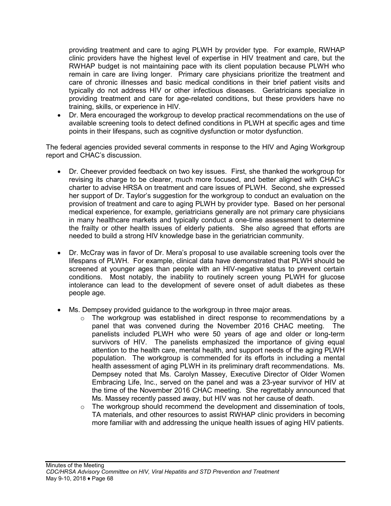providing treatment and care to aging PLWH by provider type. For example, RWHAP clinic providers have the highest level of expertise in HIV treatment and care, but the RWHAP budget is not maintaining pace with its client population because PLWH who remain in care are living longer. Primary care physicians prioritize the treatment and care of chronic illnesses and basic medical conditions in their brief patient visits and typically do not address HIV or other infectious diseases. Geriatricians specialize in providing treatment and care for age-related conditions, but these providers have no training, skills, or experience in HIV.

• Dr. Mera encouraged the workgroup to develop practical recommendations on the use of available screening tools to detect defined conditions in PLWH at specific ages and time points in their lifespans, such as cognitive dysfunction or motor dysfunction.

The federal agencies provided several comments in response to the HIV and Aging Workgroup report and CHAC's discussion.

- Dr. Cheever provided feedback on two key issues. First, she thanked the workgroup for revising its charge to be clearer, much more focused, and better aligned with CHAC's charter to advise HRSA on treatment and care issues of PLWH. Second, she expressed her support of Dr. Taylor's suggestion for the workgroup to conduct an evaluation on the provision of treatment and care to aging PLWH by provider type. Based on her personal medical experience, for example, geriatricians generally are not primary care physicians in many healthcare markets and typically conduct a one-time assessment to determine the frailty or other health issues of elderly patients. She also agreed that efforts are needed to build a strong HIV knowledge base in the geriatrician community.
- Dr. McCray was in favor of Dr. Mera's proposal to use available screening tools over the lifespans of PLWH. For example, clinical data have demonstrated that PLWH should be screened at younger ages than people with an HIV-negative status to prevent certain conditions. Most notably, the inability to routinely screen young PLWH for glucose intolerance can lead to the development of severe onset of adult diabetes as these people age.
- Ms. Dempsey provided guidance to the workgroup in three major areas.
	- o The workgroup was established in direct response to recommendations by a panel that was convened during the November 2016 CHAC meeting. The panel that was convened during the November 2016 CHAC meeting. panelists included PLWH who were 50 years of age and older or long-term survivors of HIV. The panelists emphasized the importance of giving equal attention to the health care, mental health, and support needs of the aging PLWH population. The workgroup is commended for its efforts in including a mental health assessment of aging PLWH in its preliminary draft recommendations. Ms. Dempsey noted that Ms. Carolyn Massey, Executive Director of Older Women Embracing Life, Inc., served on the panel and was a 23-year survivor of HIV at the time of the November 2016 CHAC meeting. She regrettably announced that Ms. Massey recently passed away, but HIV was not her cause of death.
	- $\circ$  The workgroup should recommend the development and dissemination of tools, TA materials, and other resources to assist RWHAP clinic providers in becoming more familiar with and addressing the unique health issues of aging HIV patients.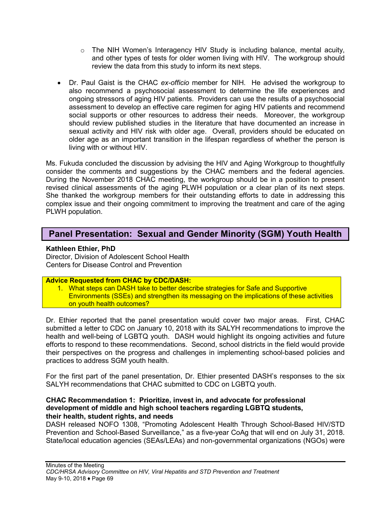- $\circ$  The NIH Women's Interagency HIV Study is including balance, mental acuity, and other types of tests for older women living with HIV. The workgroup should review the data from this study to inform its next steps.
- Dr. Paul Gaist is the CHAC *ex-officio* member for NIH. He advised the workgroup to also recommend a psychosocial assessment to determine the life experiences and ongoing stressors of aging HIV patients. Providers can use the results of a psychosocial assessment to develop an effective care regimen for aging HIV patients and recommend social supports or other resources to address their needs. Moreover, the workgroup should review published studies in the literature that have documented an increase in sexual activity and HIV risk with older age. Overall, providers should be educated on older age as an important transition in the lifespan regardless of whether the person is living with or without HIV.

Ms. Fukuda concluded the discussion by advising the HIV and Aging Workgroup to thoughtfully consider the comments and suggestions by the CHAC members and the federal agencies. During the November 2018 CHAC meeting, the workgroup should be in a position to present revised clinical assessments of the aging PLWH population or a clear plan of its next steps. She thanked the workgroup members for their outstanding efforts to date in addressing this complex issue and their ongoing commitment to improving the treatment and care of the aging PLWH population.

# **Panel Presentation: Sexual and Gender Minority (SGM) Youth Health**

### **Kathleen Ethier, PhD**

Director, Division of Adolescent School Health Centers for Disease Control and Prevention

#### **Advice Requested from CHAC by CDC/DASH:**

1. What steps can DASH take to better describe strategies for Safe and Supportive Environments (SSEs) and strengthen its messaging on the implications of these activities on youth health outcomes?

Dr. Ethier reported that the panel presentation would cover two major areas. First, CHAC submitted a letter to CDC on January 10, 2018 with its SALYH recommendations to improve the health and well-being of LGBTQ youth. DASH would highlight its ongoing activities and future efforts to respond to these recommendations. Second, school districts in the field would provide their perspectives on the progress and challenges in implementing school-based policies and practices to address SGM youth health.

For the first part of the panel presentation, Dr. Ethier presented DASH's responses to the six SALYH recommendations that CHAC submitted to CDC on LGBTQ youth.

#### **CHAC Recommendation 1: Prioritize, invest in, and advocate for professional development of middle and high school teachers regarding LGBTQ students, their health, student rights, and needs**

DASH released NOFO 1308, "Promoting Adolescent Health Through School-Based HIV/STD Prevention and School-Based Surveillance," as a five-year CoAg that will end on July 31, 2018. State/local education agencies (SEAs/LEAs) and non-governmental organizations (NGOs) were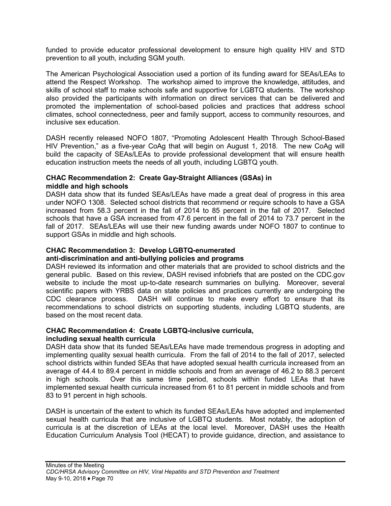funded to provide educator professional development to ensure high quality HIV and STD prevention to all youth, including SGM youth.

The American Psychological Association used a portion of its funding award for SEAs/LEAs to attend the Respect Workshop. The workshop aimed to improve the knowledge, attitudes, and skills of school staff to make schools safe and supportive for LGBTQ students. The workshop also provided the participants with information on direct services that can be delivered and promoted the implementation of school-based policies and practices that address school climates, school connectedness, peer and family support, access to community resources, and inclusive sex education.

DASH recently released NOFO 1807, "Promoting Adolescent Health Through School-Based HIV Prevention," as a five-year CoAg that will begin on August 1, 2018. The new CoAg will build the capacity of SEAs/LEAs to provide professional development that will ensure health education instruction meets the needs of all youth, including LGBTQ youth.

#### **CHAC Recommendation 2: Create Gay-Straight Alliances (GSAs) in middle and high schools**

DASH data show that its funded SEAs/LEAs have made a great deal of progress in this area under NOFO 1308. Selected school districts that recommend or require schools to have a GSA increased from 58.3 percent in the fall of 2014 to 85 percent in the fall of 2017. Selected schools that have a GSA increased from 47.6 percent in the fall of 2014 to 73.7 percent in the fall of 2017. SEAs/LEAs will use their new funding awards under NOFO 1807 to continue to support GSAs in middle and high schools.

# **CHAC Recommendation 3: Develop LGBTQ-enumerated**

#### **anti-discrimination and anti-bullying policies and programs**

DASH reviewed its information and other materials that are provided to school districts and the general public. Based on this review, DASH revised infobriefs that are posted on the CDC.gov website to include the most up-to-date research summaries on bullying. Moreover, several scientific papers with YRBS data on state policies and practices currently are undergoing the CDC clearance process. DASH will continue to make every effort to ensure that its recommendations to school districts on supporting students, including LGBTQ students, are based on the most recent data.

# **CHAC Recommendation 4: Create LGBTQ-inclusive curricula,**

## **including sexual health curricula**

DASH data show that its funded SEAs/LEAs have made tremendous progress in adopting and implementing quality sexual health curricula. From the fall of 2014 to the fall of 2017, selected school districts within funded SEAs that have adopted sexual health curricula increased from an average of 44.4 to 89.4 percent in middle schools and from an average of 46.2 to 88.3 percent in high schools. Over this same time period, schools within funded LEAs that have implemented sexual health curricula increased from 61 to 81 percent in middle schools and from 83 to 91 percent in high schools.

DASH is uncertain of the extent to which its funded SEAs/LEAs have adopted and implemented sexual health curricula that are inclusive of LGBTQ students. Most notably, the adoption of curricula is at the discretion of LEAs at the local level. Moreover, DASH uses the Health Education Curriculum Analysis Tool (HECAT) to provide guidance, direction, and assistance to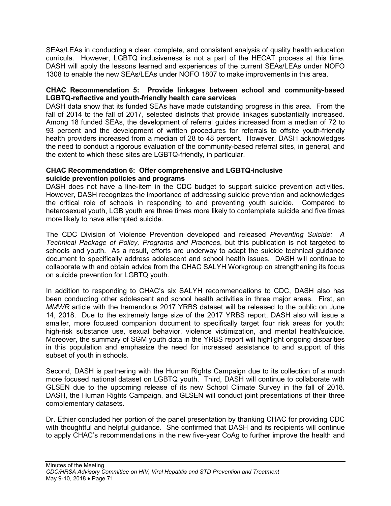SEAs/LEAs in conducting a clear, complete, and consistent analysis of quality health education curricula. However, LGBTQ inclusiveness is not a part of the HECAT process at this time. DASH will apply the lessons learned and experiences of the current SEAs/LEAs under NOFO 1308 to enable the new SEAs/LEAs under NOFO 1807 to make improvements in this area.

## **CHAC Recommendation 5: Provide linkages between school and community-based LGBTQ-reflective and youth-friendly health care services**

DASH data show that its funded SEAs have made outstanding progress in this area. From the fall of 2014 to the fall of 2017, selected districts that provide linkages substantially increased. Among 18 funded SEAs, the development of referral guides increased from a median of 72 to 93 percent and the development of written procedures for referrals to offsite youth-friendly health providers increased from a median of 28 to 48 percent. However, DASH acknowledges the need to conduct a rigorous evaluation of the community-based referral sites, in general, and the extent to which these sites are LGBTQ-friendly, in particular.

## **CHAC Recommendation 6: Offer comprehensive and LGBTQ-inclusive suicide prevention policies and programs**

DASH does not have a line-item in the CDC budget to support suicide prevention activities. However, DASH recognizes the importance of addressing suicide prevention and acknowledges the critical role of schools in responding to and preventing youth suicide. Compared to heterosexual youth, LGB youth are three times more likely to contemplate suicide and five times more likely to have attempted suicide.

The CDC Division of Violence Prevention developed and released *Preventing Suicide: A Technical Package of Policy, Programs and Practices*, but this publication is not targeted to schools and youth. As a result, efforts are underway to adapt the suicide technical guidance document to specifically address adolescent and school health issues. DASH will continue to collaborate with and obtain advice from the CHAC SALYH Workgroup on strengthening its focus on suicide prevention for LGBTQ youth.

In addition to responding to CHAC's six SALYH recommendations to CDC, DASH also has been conducting other adolescent and school health activities in three major areas. First, an *MMWR* article with the tremendous 2017 YRBS dataset will be released to the public on June 14, 2018. Due to the extremely large size of the 2017 YRBS report, DASH also will issue a smaller, more focused companion document to specifically target four risk areas for youth: high-risk substance use, sexual behavior, violence victimization, and mental health/suicide. Moreover, the summary of SGM youth data in the YRBS report will highlight ongoing disparities in this population and emphasize the need for increased assistance to and support of this subset of youth in schools.

Second, DASH is partnering with the Human Rights Campaign due to its collection of a much more focused national dataset on LGBTQ youth. Third, DASH will continue to collaborate with GLSEN due to the upcoming release of its new School Climate Survey in the fall of 2018. DASH, the Human Rights Campaign, and GLSEN will conduct joint presentations of their three complementary datasets.

Dr. Ethier concluded her portion of the panel presentation by thanking CHAC for providing CDC with thoughtful and helpful guidance. She confirmed that DASH and its recipients will continue to apply CHAC's recommendations in the new five-year CoAg to further improve the health and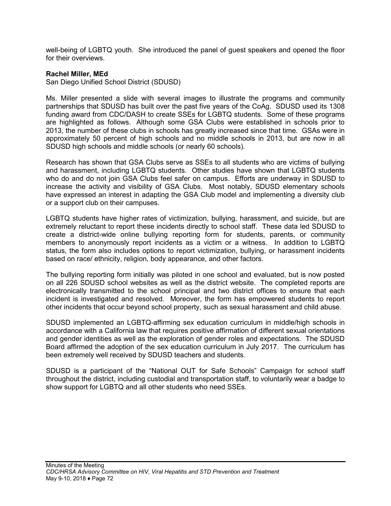well-being of LGBTQ youth. She introduced the panel of guest speakers and opened the floor for their overviews.

#### **Rachel Miller, MEd**

San Diego Unified School District (SDUSD)

Ms. Miller presented a slide with several images to illustrate the programs and community partnerships that SDUSD has built over the past five years of the CoAg. SDUSD used its 1308 funding award from CDC/DASH to create SSEs for LGBTQ students. Some of these programs are highlighted as follows. Although some GSA Clubs were established in schools prior to 2013, the number of these clubs in schools has greatly increased since that time. GSAs were in approximately 50 percent of high schools and no middle schools in 2013, but are now in all SDUSD high schools and middle schools (or nearly 60 schools).

Research has shown that GSA Clubs serve as SSEs to all students who are victims of bullying and harassment, including LGBTQ students. Other studies have shown that LGBTQ students who do and do not join GSA Clubs feel safer on campus. Efforts are underway in SDUSD to increase the activity and visibility of GSA Clubs. Most notably, SDUSD elementary schools have expressed an interest in adapting the GSA Club model and implementing a diversity club or a support club on their campuses.

LGBTQ students have higher rates of victimization, bullying, harassment, and suicide, but are extremely reluctant to report these incidents directly to school staff. These data led SDUSD to create a district-wide online bullying reporting form for students, parents, or community members to anonymously report incidents as a victim or a witness. In addition to LGBTQ status, the form also includes options to report victimization, bullying, or harassment incidents based on race/ ethnicity, religion, body appearance, and other factors.

The bullying reporting form initially was piloted in one school and evaluated, but is now posted on all 226 SDUSD school websites as well as the district website. The completed reports are electronically transmitted to the school principal and two district offices to ensure that each incident is investigated and resolved. Moreover, the form has empowered students to report other incidents that occur beyond school property, such as sexual harassment and child abuse.

SDUSD implemented an LGBTQ-affirming sex education curriculum in middle/high schools in accordance with a California law that requires positive affirmation of different sexual orientations and gender identities as well as the exploration of gender roles and expectations. The SDUSD Board affirmed the adoption of the sex education curriculum in July 2017. The curriculum has been extremely well received by SDUSD teachers and students.

SDUSD is a participant of the "National OUT for Safe Schools" Campaign for school staff throughout the district, including custodial and transportation staff, to voluntarily wear a badge to show support for LGBTQ and all other students who need SSEs.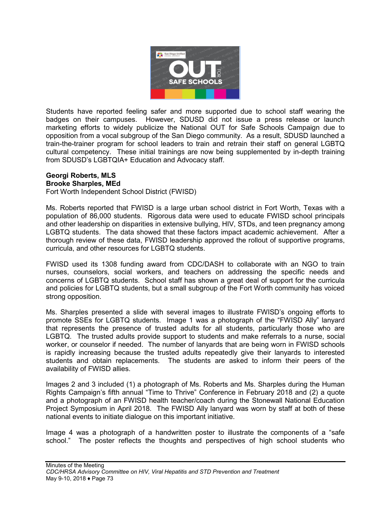

Students have reported feeling safer and more supported due to school staff wearing the badges on their campuses. However, SDUSD did not issue a press release or launch marketing efforts to widely publicize the National OUT for Safe Schools Campaign due to opposition from a vocal subgroup of the San Diego community. As a result, SDUSD launched a train-the-trainer program for school leaders to train and retrain their staff on general LGBTQ cultural competency. These initial trainings are now being supplemented by in-depth training from SDUSD's LGBTQIA+ Education and Advocacy staff.

## **Georgi Roberts, MLS**

#### **Brooke Sharples, MEd**

Fort Worth Independent School District (FWISD)

Ms. Roberts reported that FWISD is a large urban school district in Fort Worth, Texas with a population of 86,000 students. Rigorous data were used to educate FWISD school principals and other leadership on disparities in extensive bullying, HIV, STDs, and teen pregnancy among LGBTQ students. The data showed that these factors impact academic achievement. After a thorough review of these data, FWISD leadership approved the rollout of supportive programs, curricula, and other resources for LGBTQ students.

FWISD used its 1308 funding award from CDC/DASH to collaborate with an NGO to train nurses, counselors, social workers, and teachers on addressing the specific needs and concerns of LGBTQ students. School staff has shown a great deal of support for the curricula and policies for LGBTQ students, but a small subgroup of the Fort Worth community has voiced strong opposition.

Ms. Sharples presented a slide with several images to illustrate FWISD's ongoing efforts to promote SSEs for LGBTQ students. Image 1 was a photograph of the "FWISD Ally" lanyard that represents the presence of trusted adults for all students, particularly those who are LGBTQ. The trusted adults provide support to students and make referrals to a nurse, social worker, or counselor if needed. The number of lanyards that are being worn in FWISD schools is rapidly increasing because the trusted adults repeatedly give their lanyards to interested students and obtain replacements. The students are asked to inform their peers of the availability of FWISD allies.

Images 2 and 3 included (1) a photograph of Ms. Roberts and Ms. Sharples during the Human Rights Campaign's fifth annual "Time to Thrive" Conference in February 2018 and (2) a quote and a photograph of an FWISD health teacher/coach during the Stonewall National Education Project Symposium in April 2018. The FWISD Ally lanyard was worn by staff at both of these national events to initiate dialogue on this important initiative.

Image 4 was a photograph of a handwritten poster to illustrate the components of a "safe school." The poster reflects the thoughts and perspectives of high school students who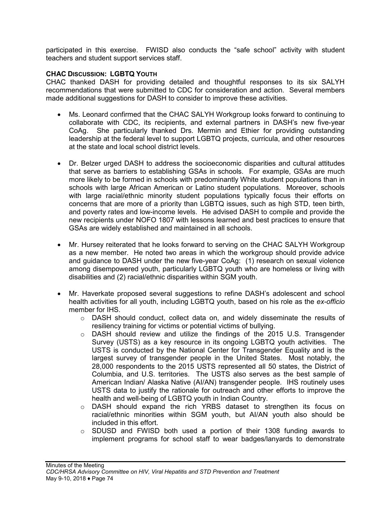participated in this exercise. FWISD also conducts the "safe school" activity with student teachers and student support services staff.

## **CHAC DISCUSSION: LGBTQ YOUTH**

CHAC thanked DASH for providing detailed and thoughtful responses to its six SALYH recommendations that were submitted to CDC for consideration and action. Several members made additional suggestions for DASH to consider to improve these activities.

- Ms. Leonard confirmed that the CHAC SALYH Workgroup looks forward to continuing to collaborate with CDC, its recipients, and external partners in DASH's new five-year CoAg. She particularly thanked Drs. Mermin and Ethier for providing outstanding leadership at the federal level to support LGBTQ projects, curricula, and other resources at the state and local school district levels.
- Dr. Belzer urged DASH to address the socioeconomic disparities and cultural attitudes that serve as barriers to establishing GSAs in schools. For example, GSAs are much more likely to be formed in schools with predominantly White student populations than in schools with large African American or Latino student populations. Moreover, schools with large racial/ethnic minority student populations typically focus their efforts on concerns that are more of a priority than LGBTQ issues, such as high STD, teen birth, and poverty rates and low-income levels. He advised DASH to compile and provide the new recipients under NOFO 1807 with lessons learned and best practices to ensure that GSAs are widely established and maintained in all schools.
- Mr. Hursey reiterated that he looks forward to serving on the CHAC SALYH Workgroup as a new member. He noted two areas in which the workgroup should provide advice and guidance to DASH under the new five-year CoAg: (1) research on sexual violence among disempowered youth, particularly LGBTQ youth who are homeless or living with disabilities and (2) racial/ethnic disparities within SGM youth.
- Mr. Haverkate proposed several suggestions to refine DASH's adolescent and school health activities for all youth, including LGBTQ youth, based on his role as the *ex-officio* member for IHS.
	- $\circ$  DASH should conduct, collect data on, and widely disseminate the results of resiliency training for victims or potential victims of bullying.
	- o DASH should review and utilize the findings of the 2015 U.S. Transgender Survey (USTS) as a key resource in its ongoing LGBTQ youth activities. The USTS is conducted by the National Center for Transgender Equality and is the largest survey of transgender people in the United States. Most notably, the 28,000 respondents to the 2015 USTS represented all 50 states, the District of Columbia, and U.S. territories. The USTS also serves as the best sample of American Indian/ Alaska Native (AI/AN) transgender people. IHS routinely uses USTS data to justify the rationale for outreach and other efforts to improve the health and well-being of LGBTQ youth in Indian Country.
	- $\circ$  DASH should expand the rich YRBS dataset to strengthen its focus on racial/ethnic minorities within SGM youth, but AI/AN youth also should be included in this effort.
	- $\circ$  SDUSD and FWISD both used a portion of their 1308 funding awards to implement programs for school staff to wear badges/lanyards to demonstrate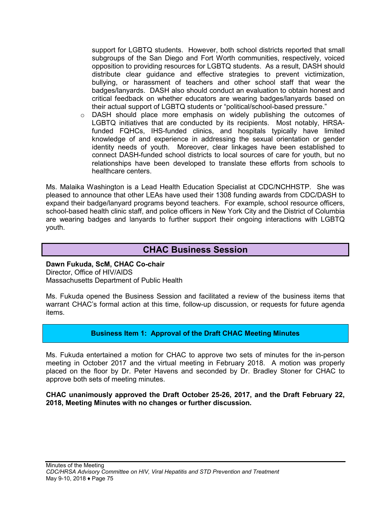support for LGBTQ students. However, both school districts reported that small subgroups of the San Diego and Fort Worth communities, respectively, voiced opposition to providing resources for LGBTQ students. As a result, DASH should distribute clear guidance and effective strategies to prevent victimization, bullying, or harassment of teachers and other school staff that wear the badges/lanyards. DASH also should conduct an evaluation to obtain honest and critical feedback on whether educators are wearing badges/lanyards based on their actual support of LGBTQ students or "political/school-based pressure."

o DASH should place more emphasis on widely publishing the outcomes of LGBTQ initiatives that are conducted by its recipients. Most notably, HRSAfunded FQHCs, IHS-funded clinics, and hospitals typically have limited knowledge of and experience in addressing the sexual orientation or gender identity needs of youth. Moreover, clear linkages have been established to connect DASH-funded school districts to local sources of care for youth, but no relationships have been developed to translate these efforts from schools to healthcare centers.

Ms. Malaika Washington is a Lead Health Education Specialist at CDC/NCHHSTP. She was pleased to announce that other LEAs have used their 1308 funding awards from CDC/DASH to expand their badge/lanyard programs beyond teachers. For example, school resource officers, school-based health clinic staff, and police officers in New York City and the District of Columbia are wearing badges and lanyards to further support their ongoing interactions with LGBTQ youth.

# **CHAC Business Session**

#### **Dawn Fukuda, ScM, CHAC Co-chair** Director, Office of HIV/AIDS Massachusetts Department of Public Health

Ms. Fukuda opened the Business Session and facilitated a review of the business items that warrant CHAC's formal action at this time, follow-up discussion, or requests for future agenda items.

## **Business Item 1: Approval of the Draft CHAC Meeting Minutes**

Ms. Fukuda entertained a motion for CHAC to approve two sets of minutes for the in-person meeting in October 2017 and the virtual meeting in February 2018. A motion was properly placed on the floor by Dr. Peter Havens and seconded by Dr. Bradley Stoner for CHAC to approve both sets of meeting minutes.

#### **CHAC unanimously approved the Draft October 25-26, 2017, and the Draft February 22, 2018, Meeting Minutes with no changes or further discussion.**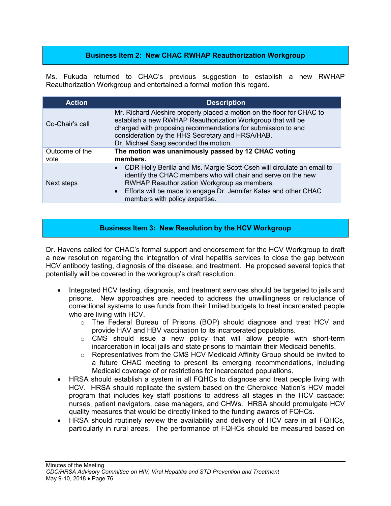# **Business Item 2: New CHAC RWHAP Reauthorization Workgroup**

Ms. Fukuda returned to CHAC's previous suggestion to establish a new RWHAP Reauthorization Workgroup and entertained a formal motion this regard.

| <b>Action</b>          | <b>Description</b>                                                                                                                                                                                                                                                                                        |
|------------------------|-----------------------------------------------------------------------------------------------------------------------------------------------------------------------------------------------------------------------------------------------------------------------------------------------------------|
| Co-Chair's call        | Mr. Richard Aleshire properly placed a motion on the floor for CHAC to<br>establish a new RWHAP Reauthorization Workgroup that will be<br>charged with proposing recommendations for submission to and<br>consideration by the HHS Secretary and HRSA/HAB.<br>Dr. Michael Saag seconded the motion.       |
| Outcome of the<br>vote | The motion was unanimously passed by 12 CHAC voting<br>members.                                                                                                                                                                                                                                           |
| Next steps             | CDR Holly Berilla and Ms. Margie Scott-Cseh will circulate an email to<br>identify the CHAC members who will chair and serve on the new<br>RWHAP Reauthorization Workgroup as members.<br>Efforts will be made to engage Dr. Jennifer Kates and other CHAC<br>$\bullet$<br>members with policy expertise. |

## **Business Item 3: New Resolution by the HCV Workgroup**

Dr. Havens called for CHAC's formal support and endorsement for the HCV Workgroup to draft a new resolution regarding the integration of viral hepatitis services to close the gap between HCV antibody testing, diagnosis of the disease, and treatment. He proposed several topics that potentially will be covered in the workgroup's draft resolution.

- Integrated HCV testing, diagnosis, and treatment services should be targeted to jails and prisons. New approaches are needed to address the unwillingness or reluctance of correctional systems to use funds from their limited budgets to treat incarcerated people who are living with HCV.
	- o The Federal Bureau of Prisons (BOP) should diagnose and treat HCV and provide HAV and HBV vaccination to its incarcerated populations.
	- $\circ$  CMS should issue a new policy that will allow people with short-term incarceration in local jails and state prisons to maintain their Medicaid benefits.
	- o Representatives from the CMS HCV Medicaid Affinity Group should be invited to a future CHAC meeting to present its emerging recommendations, including Medicaid coverage of or restrictions for incarcerated populations.
- HRSA should establish a system in all FQHCs to diagnose and treat people living with HCV. HRSA should replicate the system based on the Cherokee Nation's HCV model program that includes key staff positions to address all stages in the HCV cascade: nurses, patient navigators, case managers, and CHWs. HRSA should promulgate HCV quality measures that would be directly linked to the funding awards of FQHCs.
- HRSA should routinely review the availability and delivery of HCV care in all FQHCs, particularly in rural areas. The performance of FQHCs should be measured based on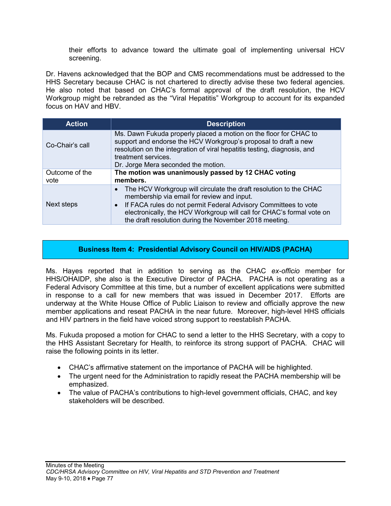their efforts to advance toward the ultimate goal of implementing universal HCV screening.

Dr. Havens acknowledged that the BOP and CMS recommendations must be addressed to the HHS Secretary because CHAC is not chartered to directly advise these two federal agencies. He also noted that based on CHAC's formal approval of the draft resolution, the HCV Workgroup might be rebranded as the "Viral Hepatitis" Workgroup to account for its expanded focus on HAV and HBV.

| <b>Action</b>          | <b>Description</b>                                                                                                                                                                                                                                                                                                                 |
|------------------------|------------------------------------------------------------------------------------------------------------------------------------------------------------------------------------------------------------------------------------------------------------------------------------------------------------------------------------|
| Co-Chair's call        | Ms. Dawn Fukuda properly placed a motion on the floor for CHAC to<br>support and endorse the HCV Workgroup's proposal to draft a new<br>resolution on the integration of viral hepatitis testing, diagnosis, and<br>treatment services.<br>Dr. Jorge Mera seconded the motion.                                                     |
| Outcome of the<br>vote | The motion was unanimously passed by 12 CHAC voting<br>members.                                                                                                                                                                                                                                                                    |
| Next steps             | The HCV Workgroup will circulate the draft resolution to the CHAC<br>membership via email for review and input.<br>If FACA rules do not permit Federal Advisory Committees to vote<br>$\bullet$<br>electronically, the HCV Workgroup will call for CHAC's formal vote on<br>the draft resolution during the November 2018 meeting. |

## **Business Item 4: Presidential Advisory Council on HIV/AIDS (PACHA)**

Ms. Hayes reported that in addition to serving as the CHAC *ex-officio* member for HHS/OHAIDP, she also is the Executive Director of PACHA. PACHA is not operating as a Federal Advisory Committee at this time, but a number of excellent applications were submitted in response to a call for new members that was issued in December 2017. Efforts are underway at the White House Office of Public Liaison to review and officially approve the new member applications and reseat PACHA in the near future. Moreover, high-level HHS officials and HIV partners in the field have voiced strong support to reestablish PACHA.

Ms. Fukuda proposed a motion for CHAC to send a letter to the HHS Secretary, with a copy to the HHS Assistant Secretary for Health, to reinforce its strong support of PACHA. CHAC will raise the following points in its letter.

- CHAC's affirmative statement on the importance of PACHA will be highlighted.
- The urgent need for the Administration to rapidly reseat the PACHA membership will be emphasized.
- The value of PACHA's contributions to high-level government officials, CHAC, and key stakeholders will be described.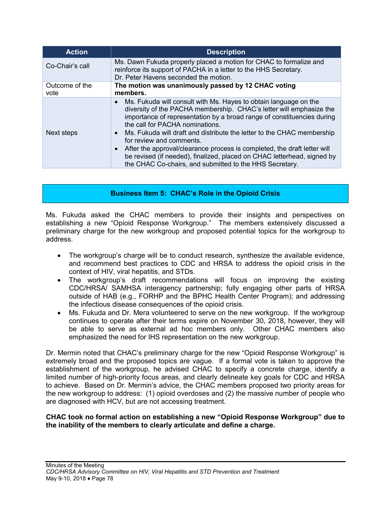| <b>Action</b>          | <b>Description</b>                                                                                                                                                                                                                                                                                                                                                                                                                                                                                                                                                                                                  |
|------------------------|---------------------------------------------------------------------------------------------------------------------------------------------------------------------------------------------------------------------------------------------------------------------------------------------------------------------------------------------------------------------------------------------------------------------------------------------------------------------------------------------------------------------------------------------------------------------------------------------------------------------|
| Co-Chair's call        | Ms. Dawn Fukuda properly placed a motion for CHAC to formalize and<br>reinforce its support of PACHA in a letter to the HHS Secretary.<br>Dr. Peter Havens seconded the motion.                                                                                                                                                                                                                                                                                                                                                                                                                                     |
| Outcome of the<br>vote | The motion was unanimously passed by 12 CHAC voting<br>members.                                                                                                                                                                                                                                                                                                                                                                                                                                                                                                                                                     |
| Next steps             | Ms. Fukuda will consult with Ms. Hayes to obtain language on the<br>$\bullet$<br>diversity of the PACHA membership. CHAC's letter will emphasize the<br>importance of representation by a broad range of constituencies during<br>the call for PACHA nominations.<br>Ms. Fukuda will draft and distribute the letter to the CHAC membership<br>$\bullet$<br>for review and comments.<br>After the approval/clearance process is completed, the draft letter will<br>$\bullet$<br>be revised (if needed), finalized, placed on CHAC letterhead, signed by<br>the CHAC Co-chairs, and submitted to the HHS Secretary. |

# **Business Item 5: CHAC's Role in the Opioid Crisis**

Ms. Fukuda asked the CHAC members to provide their insights and perspectives on establishing a new "Opioid Response Workgroup." The members extensively discussed a preliminary charge for the new workgroup and proposed potential topics for the workgroup to address.

- The workgroup's charge will be to conduct research, synthesize the available evidence, and recommend best practices to CDC and HRSA to address the opioid crisis in the context of HIV, viral hepatitis, and STDs.
- The workgroup's draft recommendations will focus on improving the existing CDC/HRSA/ SAMHSA interagency partnership; fully engaging other parts of HRSA outside of HAB (e.g., FORHP and the BPHC Health Center Program); and addressing the infectious disease consequences of the opioid crisis.
- Ms. Fukuda and Dr. Mera volunteered to serve on the new workgroup. If the workgroup continues to operate after their terms expire on November 30, 2018, however, they will be able to serve as external ad hoc members only. Other CHAC members also emphasized the need for IHS representation on the new workgroup.

Dr. Mermin noted that CHAC's preliminary charge for the new "Opioid Response Workgroup" is extremely broad and the proposed topics are vague. If a formal vote is taken to approve the establishment of the workgroup, he advised CHAC to specify a concrete charge, identify a limited number of high-priority focus areas, and clearly delineate key goals for CDC and HRSA to achieve. Based on Dr. Mermin's advice, the CHAC members proposed two priority areas for the new workgroup to address: (1) opioid overdoses and (2) the massive number of people who are diagnosed with HCV, but are not accessing treatment.

#### **CHAC took no formal action on establishing a new "Opioid Response Workgroup" due to the inability of the members to clearly articulate and define a charge.**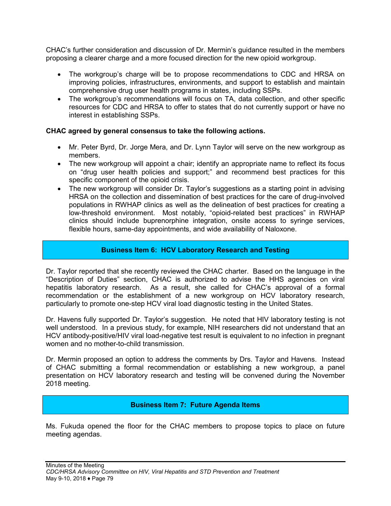CHAC's further consideration and discussion of Dr. Mermin's guidance resulted in the members proposing a clearer charge and a more focused direction for the new opioid workgroup.

- The workgroup's charge will be to propose recommendations to CDC and HRSA on improving policies, infrastructures, environments, and support to establish and maintain comprehensive drug user health programs in states, including SSPs.
- The workgroup's recommendations will focus on TA, data collection, and other specific resources for CDC and HRSA to offer to states that do not currently support or have no interest in establishing SSPs.

## **CHAC agreed by general consensus to take the following actions.**

- Mr. Peter Byrd, Dr. Jorge Mera, and Dr. Lynn Taylor will serve on the new workgroup as members.
- The new workgroup will appoint a chair; identify an appropriate name to reflect its focus on "drug user health policies and support;" and recommend best practices for this specific component of the opioid crisis.
- The new workgroup will consider Dr. Taylor's suggestions as a starting point in advising HRSA on the collection and dissemination of best practices for the care of drug-involved populations in RWHAP clinics as well as the delineation of best practices for creating a low-threshold environment. Most notably, "opioid-related best practices" in RWHAP clinics should include buprenorphine integration, onsite access to syringe services, flexible hours, same-day appointments, and wide availability of Naloxone.

## **Business Item 6: HCV Laboratory Research and Testing**

Dr. Taylor reported that she recently reviewed the CHAC charter. Based on the language in the "Description of Duties" section, CHAC is authorized to advise the HHS agencies on viral hepatitis laboratory research. As a result, she called for CHAC's approval of a formal recommendation or the establishment of a new workgroup on HCV laboratory research, particularly to promote one-step HCV viral load diagnostic testing in the United States.

Dr. Havens fully supported Dr. Taylor's suggestion. He noted that HIV laboratory testing is not well understood. In a previous study, for example, NIH researchers did not understand that an HCV antibody-positive/HIV viral load-negative test result is equivalent to no infection in pregnant women and no mother-to-child transmission.

Dr. Mermin proposed an option to address the comments by Drs. Taylor and Havens. Instead of CHAC submitting a formal recommendation or establishing a new workgroup, a panel presentation on HCV laboratory research and testing will be convened during the November 2018 meeting.

#### **Business Item 7: Future Agenda Items**

Ms. Fukuda opened the floor for the CHAC members to propose topics to place on future meeting agendas.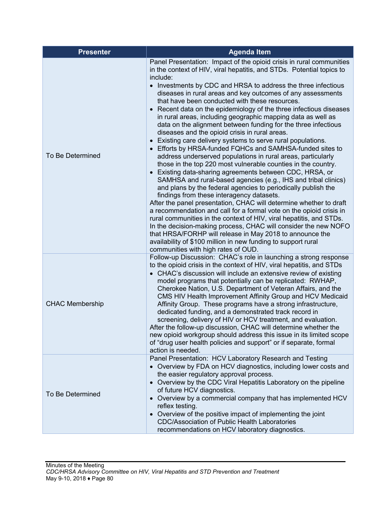| <b>Presenter</b>       | <b>Agenda Item</b>                                                                                                                                                                                                                                                                                                                                                                                                                                                                                                                                                                                                                                                                                                                                                                                                                                                                                                                                                                                                                                                                                                                                                                                                                                                                                                                                                                                                                                                                                                                                                       |
|------------------------|--------------------------------------------------------------------------------------------------------------------------------------------------------------------------------------------------------------------------------------------------------------------------------------------------------------------------------------------------------------------------------------------------------------------------------------------------------------------------------------------------------------------------------------------------------------------------------------------------------------------------------------------------------------------------------------------------------------------------------------------------------------------------------------------------------------------------------------------------------------------------------------------------------------------------------------------------------------------------------------------------------------------------------------------------------------------------------------------------------------------------------------------------------------------------------------------------------------------------------------------------------------------------------------------------------------------------------------------------------------------------------------------------------------------------------------------------------------------------------------------------------------------------------------------------------------------------|
| To Be Determined       | Panel Presentation: Impact of the opioid crisis in rural communities<br>in the context of HIV, viral hepatitis, and STDs. Potential topics to<br>include:<br>• Investments by CDC and HRSA to address the three infectious<br>diseases in rural areas and key outcomes of any assessments<br>that have been conducted with these resources.<br>• Recent data on the epidemiology of the three infectious diseases<br>in rural areas, including geographic mapping data as well as<br>data on the alignment between funding for the three infectious<br>diseases and the opioid crisis in rural areas.<br>• Existing care delivery systems to serve rural populations.<br>• Efforts by HRSA-funded FQHCs and SAMHSA-funded sites to<br>address underserved populations in rural areas, particularly<br>those in the top 220 most vulnerable counties in the country.<br>Existing data-sharing agreements between CDC, HRSA, or<br>SAMHSA and rural-based agencies (e.g., IHS and tribal clinics)<br>and plans by the federal agencies to periodically publish the<br>findings from these interagency datasets.<br>After the panel presentation, CHAC will determine whether to draft<br>a recommendation and call for a formal vote on the opioid crisis in<br>rural communities in the context of HIV, viral hepatitis, and STDs.<br>In the decision-making process, CHAC will consider the new NOFO<br>that HRSA/FORHP will release in May 2018 to announce the<br>availability of \$100 million in new funding to support rural<br>communities with high rates of OUD. |
| <b>CHAC Membership</b> | Follow-up Discussion: CHAC's role in launching a strong response<br>to the opioid crisis in the context of HIV, viral hepatitis, and STDs<br>• CHAC's discussion will include an extensive review of existing<br>model programs that potentially can be replicated: RWHAP,<br>Cherokee Nation, U.S. Department of Veteran Affairs, and the<br>CMS HIV Health Improvement Affinity Group and HCV Medicaid<br>Affinity Group. These programs have a strong infrastructure,<br>dedicated funding, and a demonstrated track record in<br>screening, delivery of HIV or HCV treatment, and evaluation.<br>After the follow-up discussion, CHAC will determine whether the<br>new opioid workgroup should address this issue in its limited scope<br>of "drug user health policies and support" or if separate, formal<br>action is needed.                                                                                                                                                                                                                                                                                                                                                                                                                                                                                                                                                                                                                                                                                                                                    |
| To Be Determined       | Panel Presentation: HCV Laboratory Research and Testing<br>• Overview by FDA on HCV diagnostics, including lower costs and<br>the easier regulatory approval process.<br>• Overview by the CDC Viral Hepatitis Laboratory on the pipeline<br>of future HCV diagnostics.<br>• Overview by a commercial company that has implemented HCV<br>reflex testing.<br>• Overview of the positive impact of implementing the joint<br><b>CDC/Association of Public Health Laboratories</b><br>recommendations on HCV laboratory diagnostics.                                                                                                                                                                                                                                                                                                                                                                                                                                                                                                                                                                                                                                                                                                                                                                                                                                                                                                                                                                                                                                       |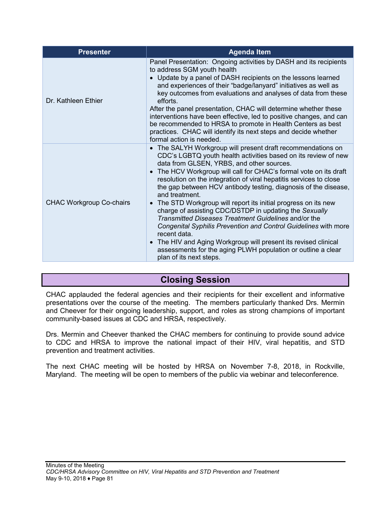| <b>Presenter</b>                | <b>Agenda Item</b>                                                                                                                                                                                                                                                                                                                                                                                                                                                                                                                                                                                                                                                                                                                                                                                                                                          |
|---------------------------------|-------------------------------------------------------------------------------------------------------------------------------------------------------------------------------------------------------------------------------------------------------------------------------------------------------------------------------------------------------------------------------------------------------------------------------------------------------------------------------------------------------------------------------------------------------------------------------------------------------------------------------------------------------------------------------------------------------------------------------------------------------------------------------------------------------------------------------------------------------------|
| Dr. Kathleen Ethier             | Panel Presentation: Ongoing activities by DASH and its recipients<br>to address SGM youth health<br>• Update by a panel of DASH recipients on the lessons learned<br>and experiences of their "badge/lanyard" initiatives as well as<br>key outcomes from evaluations and analyses of data from these<br>efforts.<br>After the panel presentation, CHAC will determine whether these<br>interventions have been effective, led to positive changes, and can<br>be recommended to HRSA to promote in Health Centers as best<br>practices. CHAC will identify its next steps and decide whether<br>formal action is needed.                                                                                                                                                                                                                                   |
| <b>CHAC Workgroup Co-chairs</b> | • The SALYH Workgroup will present draft recommendations on<br>CDC's LGBTQ youth health activities based on its review of new<br>data from GLSEN, YRBS, and other sources.<br>• The HCV Workgroup will call for CHAC's formal vote on its draft<br>resolution on the integration of viral hepatitis services to close<br>the gap between HCV antibody testing, diagnosis of the disease,<br>and treatment.<br>The STD Workgroup will report its initial progress on its new<br>$\bullet$<br>charge of assisting CDC/DSTDP in updating the Sexually<br>Transmitted Diseases Treatment Guidelines and/or the<br>Congenital Syphilis Prevention and Control Guidelines with more<br>recent data.<br>• The HIV and Aging Workgroup will present its revised clinical<br>assessments for the aging PLWH population or outline a clear<br>plan of its next steps. |

# **Closing Session**

CHAC applauded the federal agencies and their recipients for their excellent and informative presentations over the course of the meeting. The members particularly thanked Drs. Mermin and Cheever for their ongoing leadership, support, and roles as strong champions of important community-based issues at CDC and HRSA, respectively.

Drs. Mermin and Cheever thanked the CHAC members for continuing to provide sound advice to CDC and HRSA to improve the national impact of their HIV, viral hepatitis, and STD prevention and treatment activities.

The next CHAC meeting will be hosted by HRSA on November 7-8, 2018, in Rockville, Maryland. The meeting will be open to members of the public via webinar and teleconference.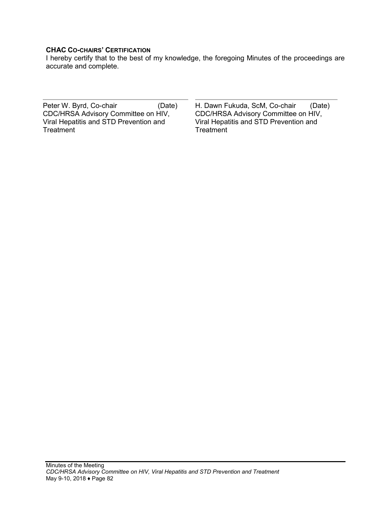#### **CHAC CO-CHAIRS' CERTIFICATION**

I hereby certify that to the best of my knowledge, the foregoing Minutes of the proceedings are accurate and complete.

Peter W. Byrd, Co-chair CDC/HRSA Advisory Committee on HIV, Viral Hepatitis and STD Prevention and **Treatment** 

(Date) H. Dawn Fukuda, ScM, Co-chair CDC/HRSA Advisory Committee on HIV, Viral Hepatitis and STD Prevention and **Treatment** (Date)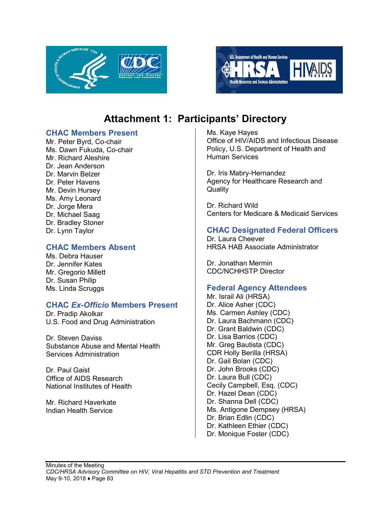



# **Attachment 1: Participants' Directory**

## **CHAC Members Present**

Mr. Peter Byrd, Co-chair Ms. Dawn Fukuda, Co-chair Mr. Richard Aleshire Dr. Jean Anderson Dr. Marvin Belzer Dr. Peter Havens Mr. Devin Hursey Ms. Amy Leonard Dr. Jorge Mera Dr. Michael Saag Dr. Bradley Stoner Dr. Lynn Taylor

# **CHAC Members Absent**

Ms. Debra Hauser Dr. Jennifer Kates Mr. Gregorio Millett Dr. Susan Philip Ms. Linda Scruggs

# **CHAC** *Ex-Officio* **Members Present**

Dr. Pradip Akolkar U.S. Food and Drug Administration

Dr. Steven Daviss Substance Abuse and Mental Health Services Administration

Dr. Paul Gaist Office of AIDS Research National Institutes of Health

Mr. Richard Haverkate Indian Health Service

Ms. Kaye Hayes Office of HIV/AIDS and Infectious Disease Policy, U.S. Department of Health and Human Services

Dr. Iris Mabry-Hernandez Agency for Healthcare Research and **Quality** 

Dr. Richard Wild Centers for Medicare & Medicaid Services

## **CHAC Designated Federal Officers**

Dr. Laura Cheever HRSA HAB Associate Administrator

Dr. Jonathan Mermin CDC/NCHHSTP Director

# **Federal Agency Attendees**

Mr. Israil Ali (HRSA) Dr. Alice Asher (CDC) Ms. Carmen Ashley (CDC) Dr. Laura Bachmann (CDC) Dr. Grant Baldwin (CDC) Dr. Lisa Barrios (CDC) Mr. Greg Bautista (CDC) CDR Holly Berilla (HRSA) Dr. Gail Bolan (CDC) Dr. John Brooks (CDC) Dr. Laura Bull (CDC) Cecily Campbell, Esq. (CDC) Dr. Hazel Dean (CDC) Dr. Shanna Dell (CDC) Ms. Antigone Dempsey (HRSA) Dr. Brian Edlin (CDC) Dr. Kathleen Ethier (CDC) Dr. Monique Foster (CDC)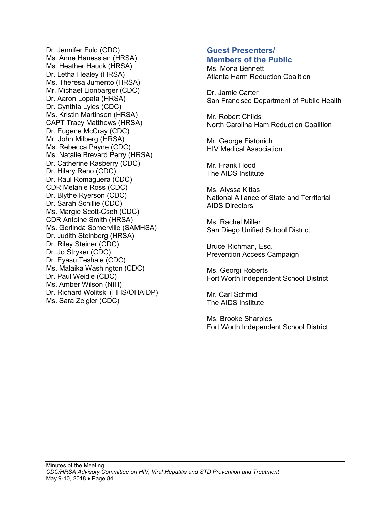Dr. Jennifer Fuld (CDC) Ms. Anne Hanessian (HRSA) Ms. Heather Hauck (HRSA) Dr. Letha Healey (HRSA) Ms. Theresa Jumento (HRSA) Mr. Michael Lionbarger (CDC) Dr. Aaron Lopata (HRSA) Dr. Cynthia Lyles (CDC) Ms. Kristin Martinsen (HRSA) CAPT Tracy Matthews (HRSA) Dr. Eugene McCray (CDC) Mr. John Milberg (HRSA) Ms. Rebecca Payne (CDC) Ms. Natalie Brevard Perry (HRSA) Dr. Catherine Rasberry (CDC) Dr. Hilary Reno (CDC) Dr. Raul Romaguera (CDC) CDR Melanie Ross (CDC) Dr. Blythe Ryerson (CDC) Dr. Sarah Schillie (CDC) Ms. Margie Scott-Cseh (CDC) CDR Antoine Smith (HRSA) Ms. Gerlinda Somerville (SAMHSA) Dr. Judith Steinberg (HRSA) Dr. Riley Steiner (CDC) Dr. Jo Stryker (CDC) Dr. Eyasu Teshale (CDC) Ms. Malaika Washington (CDC) Dr. Paul Weidle (CDC) Ms. Amber Wilson (NIH) Dr. Richard Wolitski (HHS/OHAIDP) Ms. Sara Zeigler (CDC)

## **Guest Presenters/ Members of the Public**

Ms. Mona Bennett Atlanta Harm Reduction Coalition

Dr. Jamie Carter San Francisco Department of Public Health

Mr. Robert Childs North Carolina Ham Reduction Coalition

Mr. George Fistonich HIV Medical Association

Mr. Frank Hood The AIDS Institute

Ms. Alyssa Kitlas National Alliance of State and Territorial AIDS Directors

Ms. Rachel Miller San Diego Unified School District

Bruce Richman, Esq. Prevention Access Campaign

Ms. Georgi Roberts Fort Worth Independent School District

Mr. Carl Schmid The AIDS Institute

Ms. Brooke Sharples Fort Worth Independent School District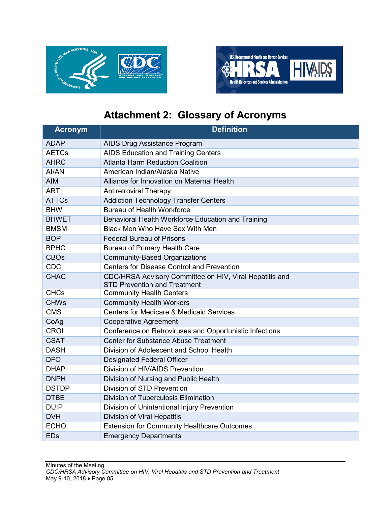



# **Attachment 2: Glossary of Acronyms**

| <b>Acronym</b> | <b>Definition</b>                                                                              |
|----------------|------------------------------------------------------------------------------------------------|
| <b>ADAP</b>    | AIDS Drug Assistance Program                                                                   |
| <b>AETCs</b>   | AIDS Education and Training Centers                                                            |
| <b>AHRC</b>    | <b>Atlanta Harm Reduction Coalition</b>                                                        |
| AI/AN          | American Indian/Alaska Native                                                                  |
| <b>AIM</b>     | Alliance for Innovation on Maternal Health                                                     |
| <b>ART</b>     | <b>Antiretroviral Therapy</b>                                                                  |
| <b>ATTCs</b>   | <b>Addiction Technology Transfer Centers</b>                                                   |
| <b>BHW</b>     | <b>Bureau of Health Workforce</b>                                                              |
| <b>BHWET</b>   | Behavioral Health Workforce Education and Training                                             |
| <b>BMSM</b>    | Black Men Who Have Sex With Men                                                                |
| <b>BOP</b>     | <b>Federal Bureau of Prisons</b>                                                               |
| <b>BPHC</b>    | Bureau of Primary Health Care                                                                  |
| <b>CBOs</b>    | <b>Community-Based Organizations</b>                                                           |
| <b>CDC</b>     | <b>Centers for Disease Control and Prevention</b>                                              |
| <b>CHAC</b>    | CDC/HRSA Advisory Committee on HIV, Viral Hepatitis and<br><b>STD Prevention and Treatment</b> |
| <b>CHCs</b>    | <b>Community Health Centers</b>                                                                |
| <b>CHWs</b>    | <b>Community Health Workers</b>                                                                |
| <b>CMS</b>     | Centers for Medicare & Medicaid Services                                                       |
| CoAg           | <b>Cooperative Agreement</b>                                                                   |
| <b>CROI</b>    | Conference on Retroviruses and Opportunistic Infections                                        |
| <b>CSAT</b>    | <b>Center for Substance Abuse Treatment</b>                                                    |
| <b>DASH</b>    | Division of Adolescent and School Health                                                       |
| <b>DFO</b>     | <b>Designated Federal Officer</b>                                                              |
| <b>DHAP</b>    | Division of HIV/AIDS Prevention                                                                |
| <b>DNPH</b>    | Division of Nursing and Public Health                                                          |
| <b>DSTDP</b>   | Division of STD Prevention                                                                     |
| <b>DTBE</b>    | <b>Division of Tuberculosis Elimination</b>                                                    |
| <b>DUIP</b>    | Division of Unintentional Injury Prevention                                                    |
| <b>DVH</b>     | Division of Viral Hepatitis                                                                    |
| <b>ECHO</b>    | <b>Extension for Community Healthcare Outcomes</b>                                             |
| <b>EDs</b>     | <b>Emergency Departments</b>                                                                   |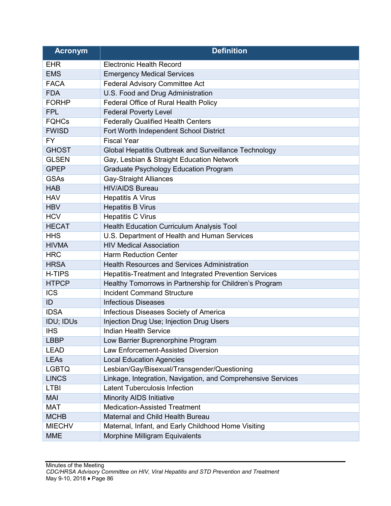| <b>Acronym</b> | <b>Definition</b>                                            |
|----------------|--------------------------------------------------------------|
| <b>EHR</b>     | <b>Electronic Health Record</b>                              |
| <b>EMS</b>     | <b>Emergency Medical Services</b>                            |
| <b>FACA</b>    | <b>Federal Advisory Committee Act</b>                        |
| <b>FDA</b>     | U.S. Food and Drug Administration                            |
| <b>FORHP</b>   | Federal Office of Rural Health Policy                        |
| <b>FPL</b>     | <b>Federal Poverty Level</b>                                 |
| <b>FQHCs</b>   | <b>Federally Qualified Health Centers</b>                    |
| <b>FWISD</b>   | Fort Worth Independent School District                       |
| <b>FY</b>      | <b>Fiscal Year</b>                                           |
| <b>GHOST</b>   | Global Hepatitis Outbreak and Surveillance Technology        |
| <b>GLSEN</b>   | Gay, Lesbian & Straight Education Network                    |
| <b>GPEP</b>    | <b>Graduate Psychology Education Program</b>                 |
| <b>GSAs</b>    | <b>Gay-Straight Alliances</b>                                |
| <b>HAB</b>     | <b>HIV/AIDS Bureau</b>                                       |
| <b>HAV</b>     | <b>Hepatitis A Virus</b>                                     |
| <b>HBV</b>     | <b>Hepatitis B Virus</b>                                     |
| <b>HCV</b>     | <b>Hepatitis C Virus</b>                                     |
| <b>HECAT</b>   | <b>Health Education Curriculum Analysis Tool</b>             |
| <b>HHS</b>     | U.S. Department of Health and Human Services                 |
| <b>HIVMA</b>   | <b>HIV Medical Association</b>                               |
| <b>HRC</b>     | <b>Harm Reduction Center</b>                                 |
| <b>HRSA</b>    | <b>Health Resources and Services Administration</b>          |
| <b>H-TIPS</b>  | Hepatitis-Treatment and Integrated Prevention Services       |
| <b>HTPCP</b>   | Healthy Tomorrows in Partnership for Children's Program      |
| <b>ICS</b>     | <b>Incident Command Structure</b>                            |
| ID             | <b>Infectious Diseases</b>                                   |
| <b>IDSA</b>    | Infectious Diseases Society of America                       |
| IDU; IDUs      | Injection Drug Use; Injection Drug Users                     |
| <b>IHS</b>     | Indian Health Service                                        |
| <b>LBBP</b>    | Low Barrier Buprenorphine Program                            |
| <b>LEAD</b>    | Law Enforcement-Assisted Diversion                           |
| <b>LEAs</b>    | <b>Local Education Agencies</b>                              |
| <b>LGBTQ</b>   | Lesbian/Gay/Bisexual/Transgender/Questioning                 |
| <b>LINCS</b>   | Linkage, Integration, Navigation, and Comprehensive Services |
| <b>LTBI</b>    | <b>Latent Tuberculosis Infection</b>                         |
| <b>MAI</b>     | <b>Minority AIDS Initiative</b>                              |
| <b>MAT</b>     | <b>Medication-Assisted Treatment</b>                         |
| <b>MCHB</b>    | Maternal and Child Health Bureau                             |
| <b>MIECHV</b>  | Maternal, Infant, and Early Childhood Home Visiting          |
| <b>MME</b>     | Morphine Milligram Equivalents                               |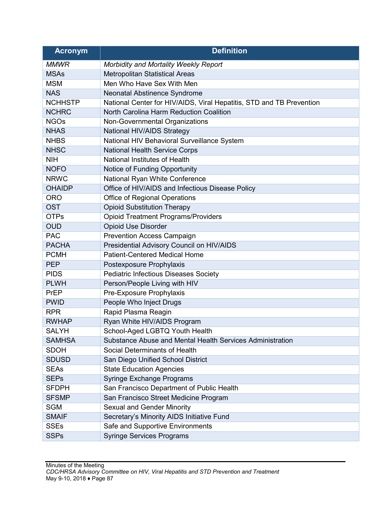| <b>Acronym</b> | <b>Definition</b>                                                    |
|----------------|----------------------------------------------------------------------|
| <b>MMWR</b>    | Morbidity and Mortality Weekly Report                                |
| <b>MSAs</b>    | <b>Metropolitan Statistical Areas</b>                                |
| <b>MSM</b>     | Men Who Have Sex With Men                                            |
| <b>NAS</b>     | Neonatal Abstinence Syndrome                                         |
| <b>NCHHSTP</b> | National Center for HIV/AIDS, Viral Hepatitis, STD and TB Prevention |
| <b>NCHRC</b>   | North Carolina Harm Reduction Coalition                              |
| <b>NGOs</b>    | Non-Governmental Organizations                                       |
| <b>NHAS</b>    | National HIV/AIDS Strategy                                           |
| <b>NHBS</b>    | National HIV Behavioral Surveillance System                          |
| <b>NHSC</b>    | <b>National Health Service Corps</b>                                 |
| <b>NIH</b>     | National Institutes of Health                                        |
| <b>NOFO</b>    | Notice of Funding Opportunity                                        |
| <b>NRWC</b>    | National Ryan White Conference                                       |
| <b>OHAIDP</b>  | Office of HIV/AIDS and Infectious Disease Policy                     |
| <b>ORO</b>     | <b>Office of Regional Operations</b>                                 |
| <b>OST</b>     | <b>Opioid Substitution Therapy</b>                                   |
| <b>OTPs</b>    | <b>Opioid Treatment Programs/Providers</b>                           |
| <b>OUD</b>     | <b>Opioid Use Disorder</b>                                           |
| <b>PAC</b>     | <b>Prevention Access Campaign</b>                                    |
| <b>PACHA</b>   | Presidential Advisory Council on HIV/AIDS                            |
| <b>PCMH</b>    | <b>Patient-Centered Medical Home</b>                                 |
| <b>PEP</b>     | Postexposure Prophylaxis                                             |
| <b>PIDS</b>    | <b>Pediatric Infectious Diseases Society</b>                         |
| <b>PLWH</b>    | Person/People Living with HIV                                        |
| <b>PrEP</b>    | Pre-Exposure Prophylaxis                                             |
| <b>PWID</b>    | People Who Inject Drugs                                              |
| <b>RPR</b>     | Rapid Plasma Reagin                                                  |
| <b>RWHAP</b>   | Ryan White HIV/AIDS Program                                          |
| <b>SALYH</b>   | School-Aged LGBTQ Youth Health                                       |
| <b>SAMHSA</b>  | Substance Abuse and Mental Health Services Administration            |
| <b>SDOH</b>    | Social Determinants of Health                                        |
| <b>SDUSD</b>   | San Diego Unified School District                                    |
| <b>SEAs</b>    | <b>State Education Agencies</b>                                      |
| <b>SEPs</b>    | <b>Syringe Exchange Programs</b>                                     |
| <b>SFDPH</b>   | San Francisco Department of Public Health                            |
| <b>SFSMP</b>   | San Francisco Street Medicine Program                                |
| <b>SGM</b>     | <b>Sexual and Gender Minority</b>                                    |
| <b>SMAIF</b>   | Secretary's Minority AIDS Initiative Fund                            |
| <b>SSEs</b>    | Safe and Supportive Environments                                     |
| <b>SSPs</b>    | <b>Syringe Services Programs</b>                                     |